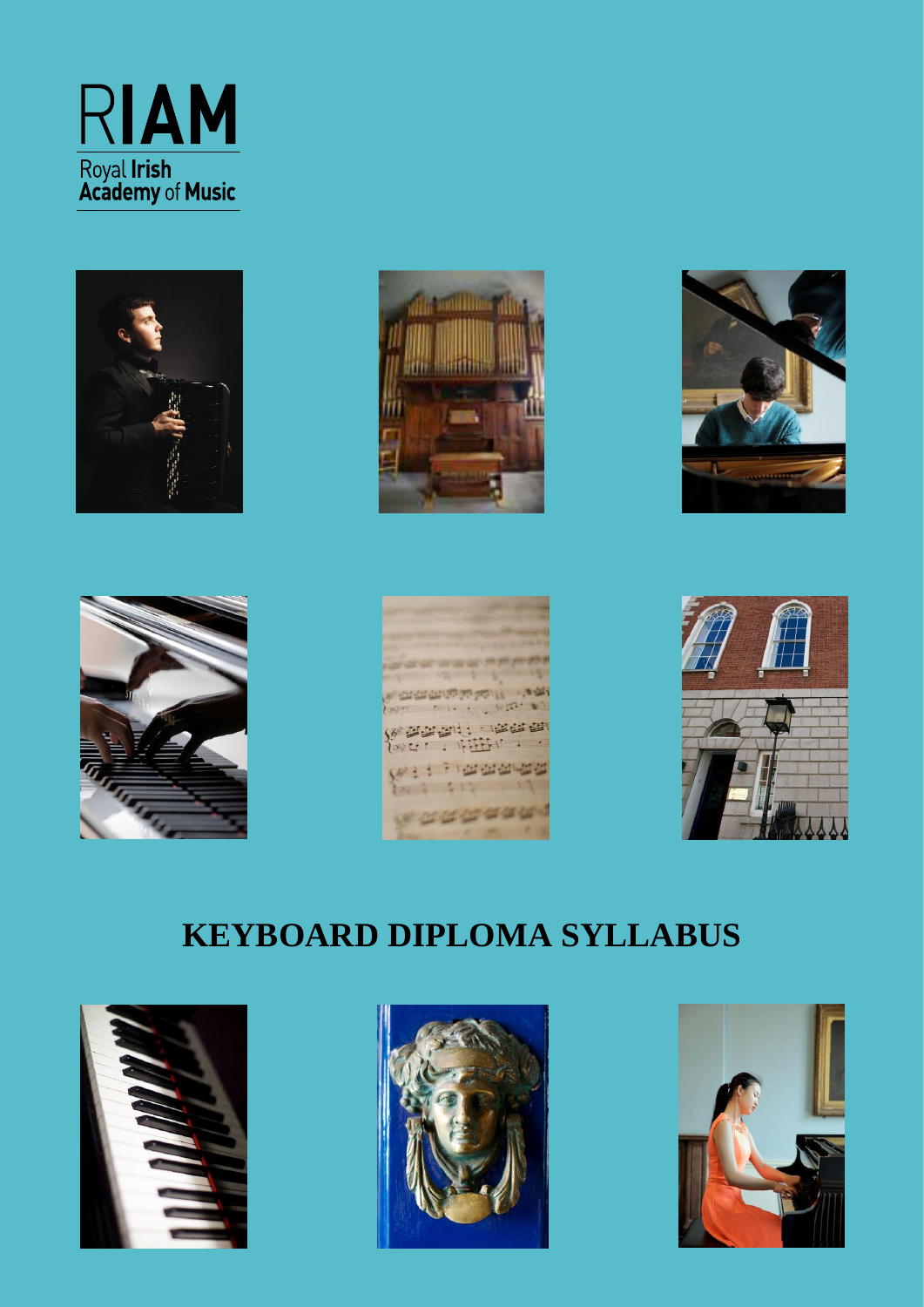









construction property  $M$  $14.73 - 10$ **PELLIPE** · 12222 2231  $\mathbf{r}$  $7 - 1.71$ The definition of 100000000



# **KEYBOARD DIPLOMA SYLLABUS**





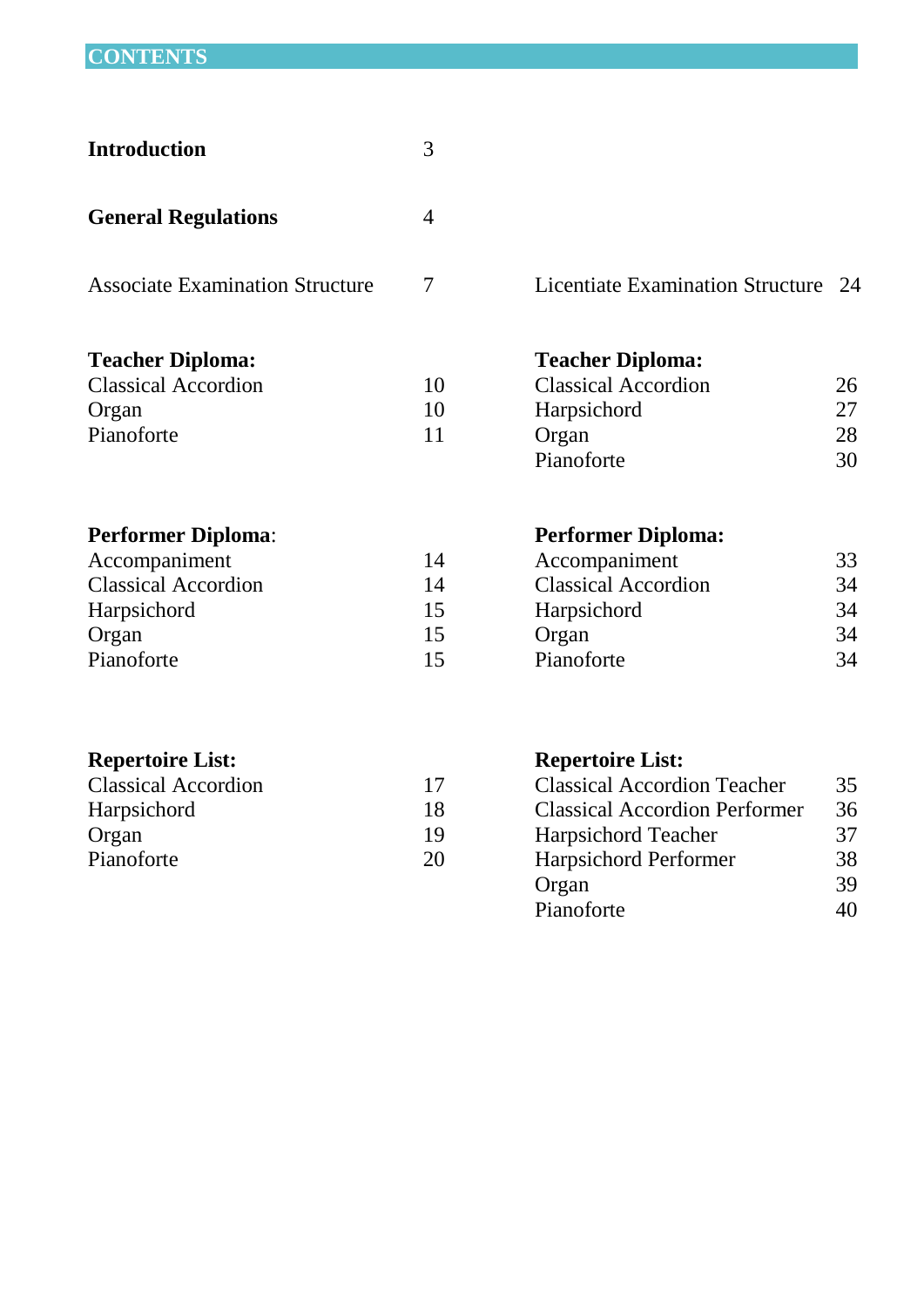# **CONTENTS**

| <b>Introduction</b>                    | 3  |                                         |     |
|----------------------------------------|----|-----------------------------------------|-----|
| <b>General Regulations</b>             | 4  |                                         |     |
| <b>Associate Examination Structure</b> | 7  | <b>Licentiate Examination Structure</b> | -24 |
| <b>Teacher Diploma:</b>                |    | <b>Teacher Diploma:</b>                 |     |
| <b>Classical Accordion</b>             | 10 | <b>Classical Accordion</b>              | 26  |
| Organ                                  | 10 | Harpsichord                             | 27  |
| Pianoforte                             | 11 | Organ                                   | 28  |
|                                        |    | Pianoforte                              | 30  |
| <b>Performer Diploma:</b>              |    | <b>Performer Diploma:</b>               |     |
| Accompaniment                          | 14 | Accompaniment                           | 33  |
| <b>Classical Accordion</b>             | 14 | <b>Classical Accordion</b>              | 34  |
| Harpsichord                            | 15 | Harpsichord                             | 34  |
| Organ                                  | 15 | Organ                                   | 34  |
| Pianoforte                             | 15 | Pianoforte                              | 34  |
| <b>Repertoire List:</b>                |    | <b>Repertoire List:</b>                 |     |
| <b>Classical Accordion</b>             | 17 | <b>Classical Accordion Teacher</b>      | 35  |
| Harpsichord                            | 18 | <b>Classical Accordion Performer</b>    | 36  |
|                                        |    |                                         |     |

| <b>Classical Accordion</b> | 17 | <b>Classical Accordion Teacher</b>   | 35 |
|----------------------------|----|--------------------------------------|----|
| <b>Harpsichord</b>         | 18 | <b>Classical Accordion Performer</b> | 36 |
| Organ                      | 19 | <b>Harpsichord Teacher</b>           | 37 |
| Pianoforte                 | 20 | <b>Harpsichord Performer</b>         | 38 |
|                            |    | Organ                                | 39 |
|                            |    | Pianoforte                           | 40 |
|                            |    |                                      |    |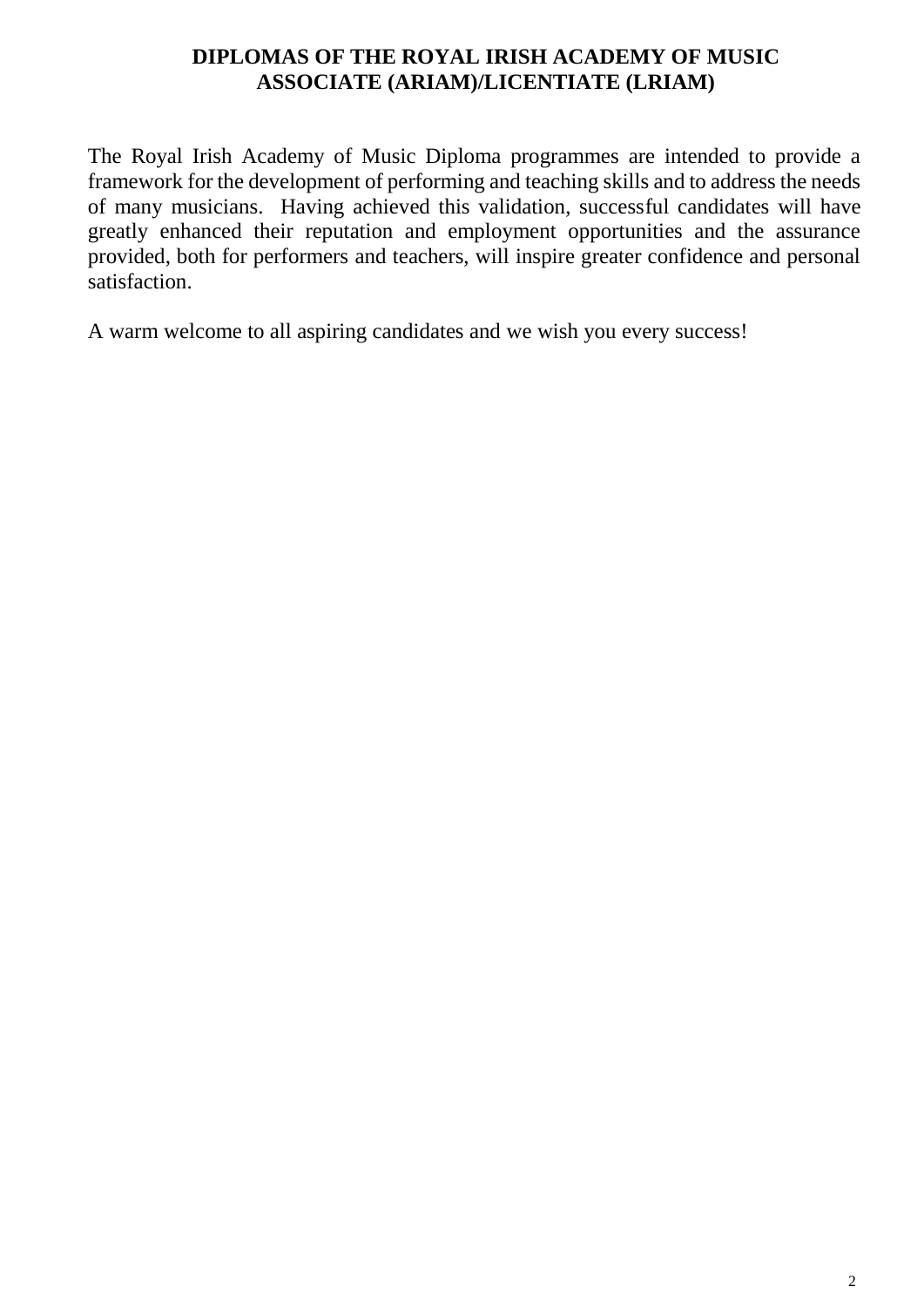#### **DIPLOMAS OF THE ROYAL IRISH ACADEMY OF MUSIC ASSOCIATE (ARIAM)/LICENTIATE (LRIAM)**

The Royal Irish Academy of Music Diploma programmes are intended to provide a framework for the development of performing and teaching skills and to address the needs of many musicians. Having achieved this validation, successful candidates will have greatly enhanced their reputation and employment opportunities and the assurance provided, both for performers and teachers, will inspire greater confidence and personal satisfaction.

A warm welcome to all aspiring candidates and we wish you every success!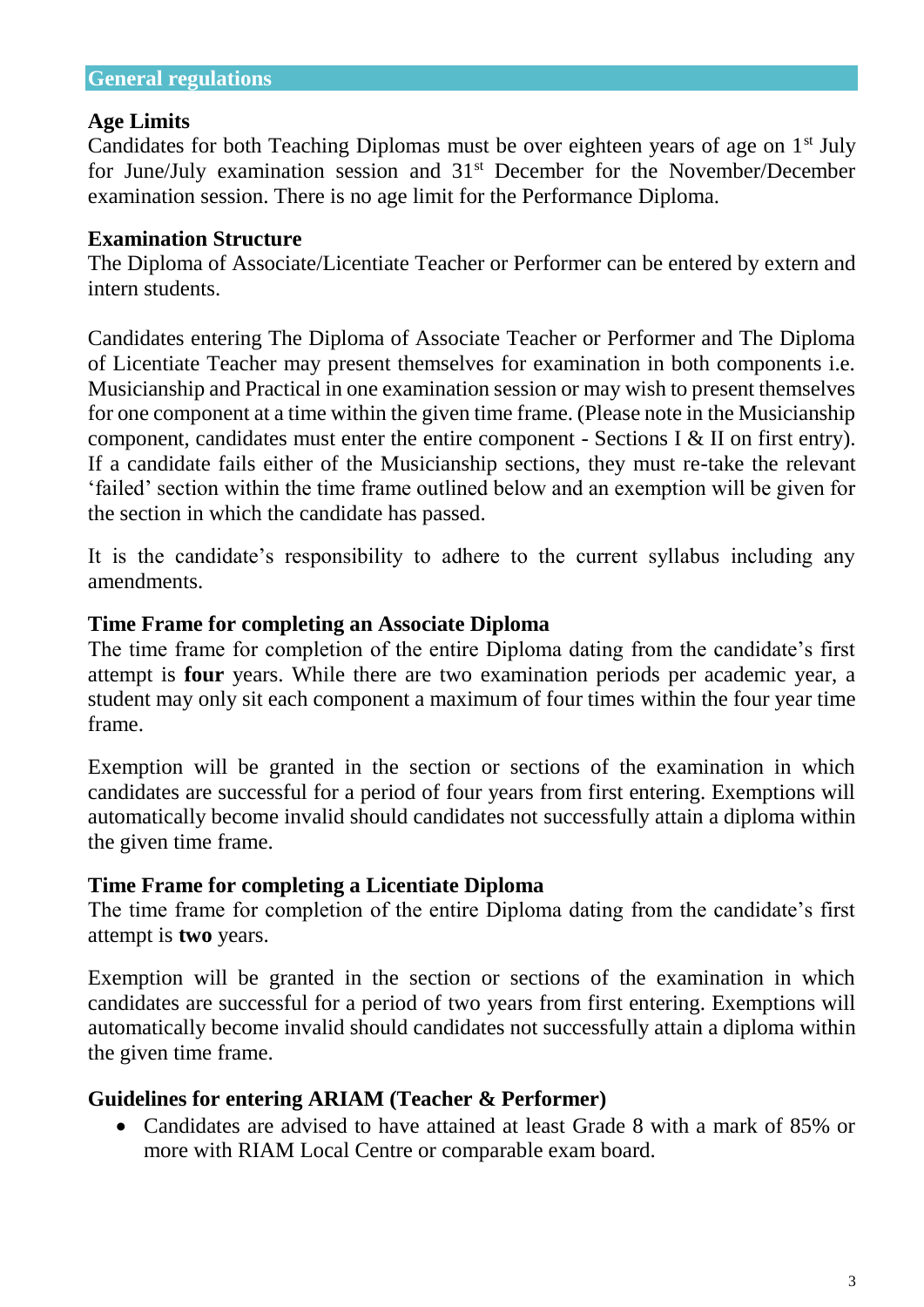#### **Age Limits**

Candidates for both Teaching Diplomas must be over eighteen years of age on  $1<sup>st</sup>$  July for June/July examination session and 31<sup>st</sup> December for the November/December examination session. There is no age limit for the Performance Diploma.

#### **Examination Structure**

The Diploma of Associate/Licentiate Teacher or Performer can be entered by extern and intern students.

Candidates entering The Diploma of Associate Teacher or Performer and The Diploma of Licentiate Teacher may present themselves for examination in both components i.e. Musicianship and Practical in one examination session or may wish to present themselves for one component at a time within the given time frame. (Please note in the Musicianship component, candidates must enter the entire component - Sections I  $&$  II on first entry). If a candidate fails either of the Musicianship sections, they must re-take the relevant 'failed' section within the time frame outlined below and an exemption will be given for the section in which the candidate has passed.

It is the candidate's responsibility to adhere to the current syllabus including any amendments.

#### **Time Frame for completing an Associate Diploma**

The time frame for completion of the entire Diploma dating from the candidate's first attempt is **four** years. While there are two examination periods per academic year, a student may only sit each component a maximum of four times within the four year time frame.

Exemption will be granted in the section or sections of the examination in which candidates are successful for a period of four years from first entering. Exemptions will automatically become invalid should candidates not successfully attain a diploma within the given time frame.

### **Time Frame for completing a Licentiate Diploma**

The time frame for completion of the entire Diploma dating from the candidate's first attempt is **two** years.

Exemption will be granted in the section or sections of the examination in which candidates are successful for a period of two years from first entering. Exemptions will automatically become invalid should candidates not successfully attain a diploma within the given time frame.

### **Guidelines for entering ARIAM (Teacher & Performer)**

 Candidates are advised to have attained at least Grade 8 with a mark of 85% or more with RIAM Local Centre or comparable exam board.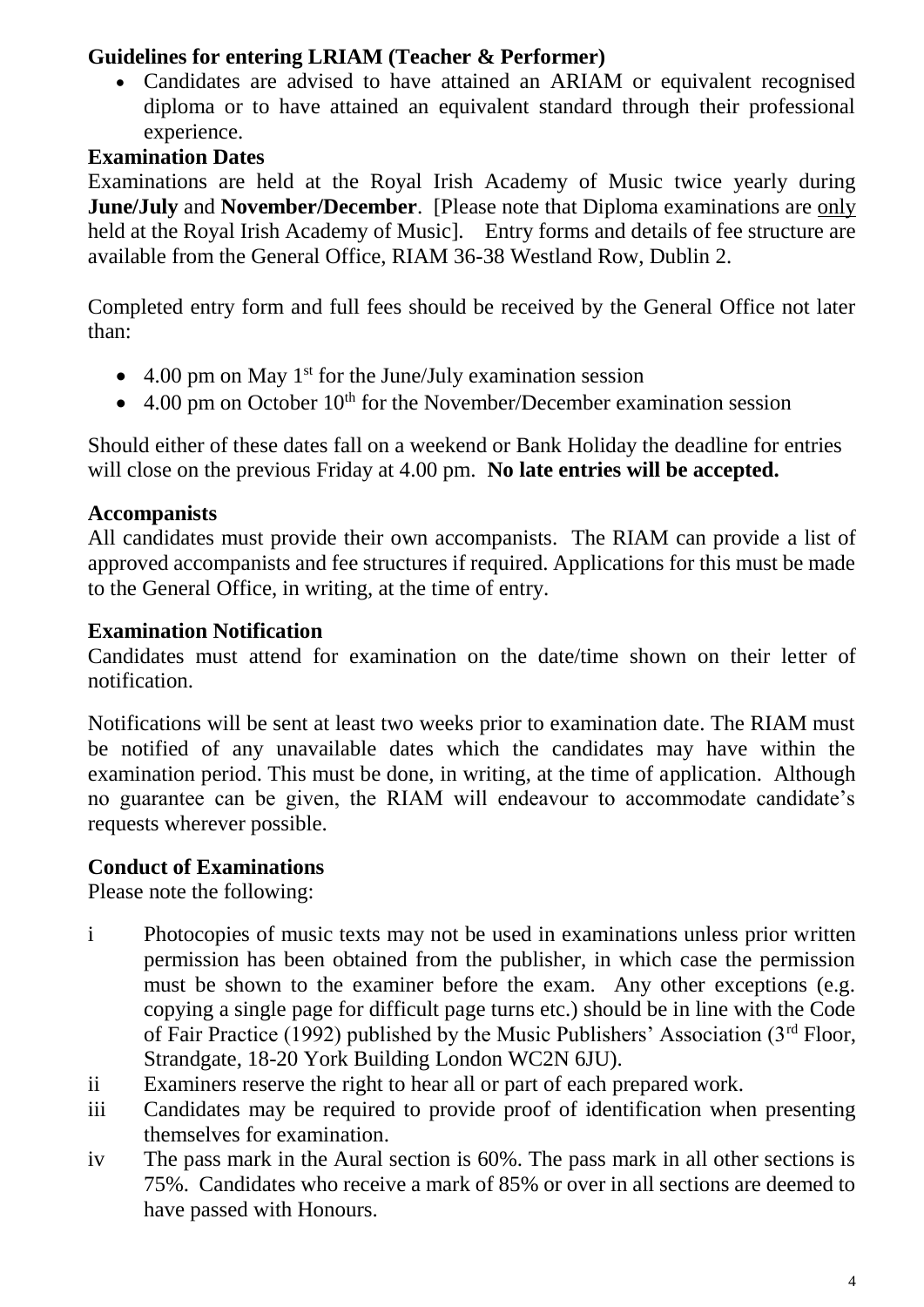### **Guidelines for entering LRIAM (Teacher & Performer)**

 Candidates are advised to have attained an ARIAM or equivalent recognised diploma or to have attained an equivalent standard through their professional experience.

### **Examination Dates**

Examinations are held at the Royal Irish Academy of Music twice yearly during **June/July** and **November/December**. [Please note that Diploma examinations are only held at the Royal Irish Academy of Music]. Entry forms and details of fee structure are available from the General Office, RIAM 36-38 Westland Row, Dublin 2.

Completed entry form and full fees should be received by the General Office not later than:

- $\bullet$  4.00 pm on May 1<sup>st</sup> for the June/July examination session
- $\bullet$  4.00 pm on October 10<sup>th</sup> for the November/December examination session

Should either of these dates fall on a weekend or Bank Holiday the deadline for entries will close on the previous Friday at 4.00 pm. **No late entries will be accepted.**

### **Accompanists**

All candidates must provide their own accompanists. The RIAM can provide a list of approved accompanists and fee structures if required. Applications for this must be made to the General Office, in writing, at the time of entry.

### **Examination Notification**

Candidates must attend for examination on the date/time shown on their letter of notification.

Notifications will be sent at least two weeks prior to examination date. The RIAM must be notified of any unavailable dates which the candidates may have within the examination period. This must be done, in writing, at the time of application. Although no guarantee can be given, the RIAM will endeavour to accommodate candidate's requests wherever possible.

### **Conduct of Examinations**

Please note the following:

- i Photocopies of music texts may not be used in examinations unless prior written permission has been obtained from the publisher, in which case the permission must be shown to the examiner before the exam. Any other exceptions (e.g. copying a single page for difficult page turns etc.) should be in line with the Code of Fair Practice (1992) published by the Music Publishers' Association ( $3<sup>rd</sup>$  Floor, Strandgate, 18-20 York Building London WC2N 6JU).
- ii Examiners reserve the right to hear all or part of each prepared work.
- iii Candidates may be required to provide proof of identification when presenting themselves for examination.
- iv The pass mark in the Aural section is 60%. The pass mark in all other sections is 75%. Candidates who receive a mark of 85% or over in all sections are deemed to have passed with Honours.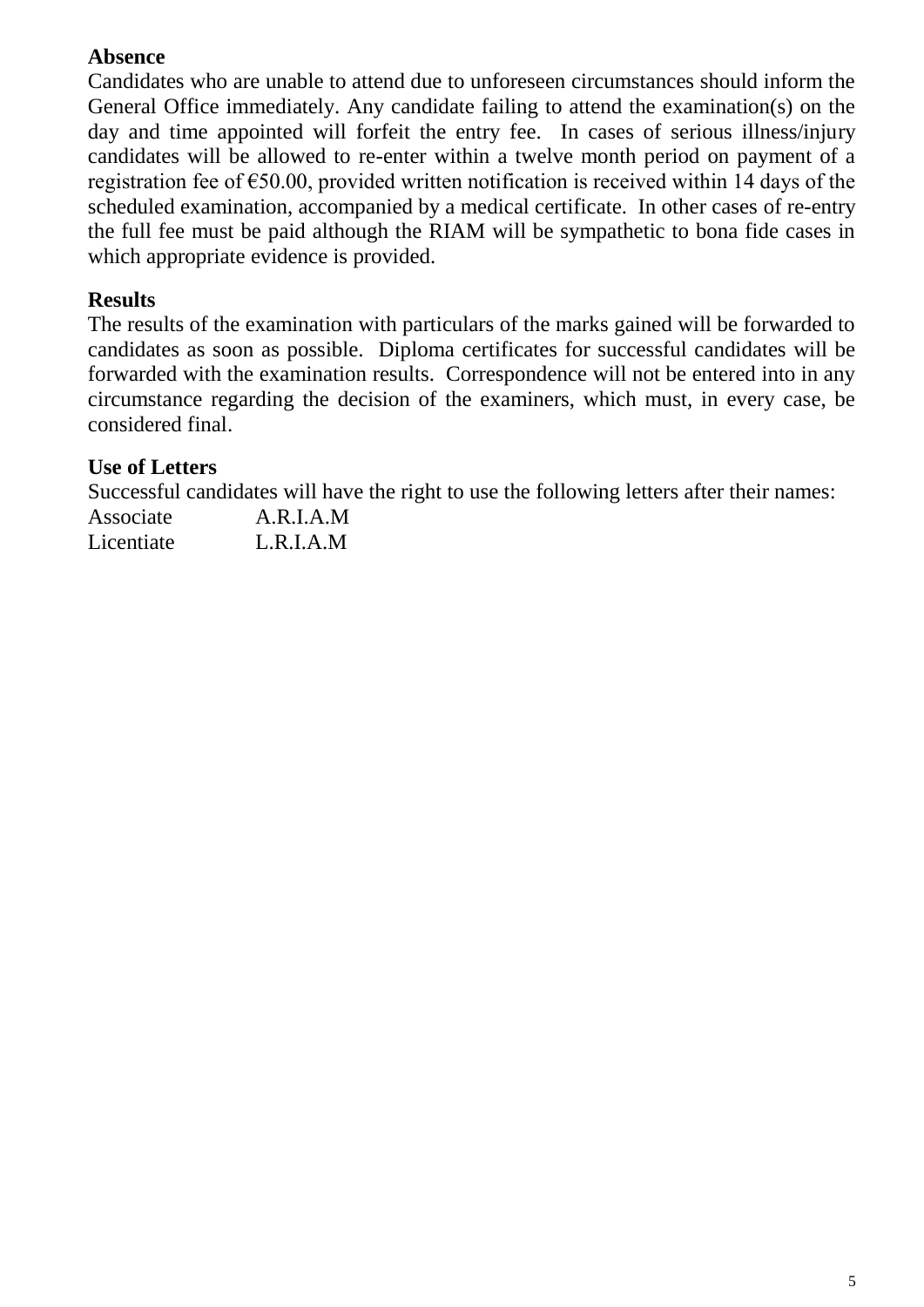### **Absence**

Candidates who are unable to attend due to unforeseen circumstances should inform the General Office immediately. Any candidate failing to attend the examination(s) on the day and time appointed will forfeit the entry fee. In cases of serious illness/injury candidates will be allowed to re-enter within a twelve month period on payment of a registration fee of  $\epsilon$ 50.00, provided written notification is received within 14 days of the scheduled examination, accompanied by a medical certificate. In other cases of re-entry the full fee must be paid although the RIAM will be sympathetic to bona fide cases in which appropriate evidence is provided.

### **Results**

The results of the examination with particulars of the marks gained will be forwarded to candidates as soon as possible. Diploma certificates for successful candidates will be forwarded with the examination results. Correspondence will not be entered into in any circumstance regarding the decision of the examiners, which must, in every case, be considered final.

### **Use of Letters**

Successful candidates will have the right to use the following letters after their names:

Associate A.R.I.A.M Licentiate L.R.I.A.M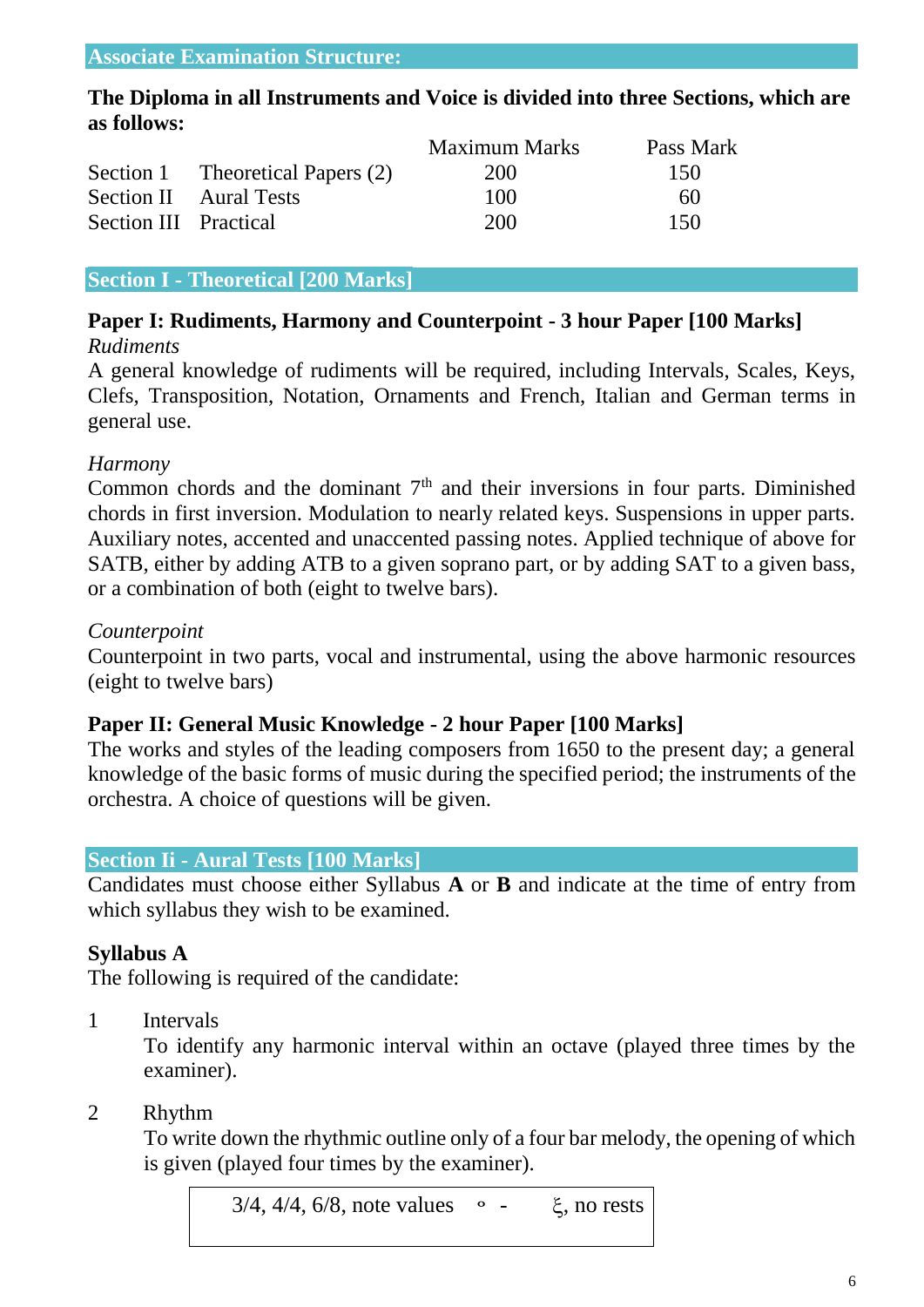#### **The Diploma in all Instruments and Voice is divided into three Sections, which are as follows:**

|                       |                                  | <b>Maximum Marks</b> | Pass Mark |
|-----------------------|----------------------------------|----------------------|-----------|
|                       | Section 1 Theoretical Papers (2) | 200                  | 150       |
|                       | <b>Section II</b> Aural Tests    | 100                  | 60        |
| Section III Practical |                                  | 200                  | 150       |

#### **Section I - Theoretical [200 Marks]**

#### **Paper I: Rudiments, Harmony and Counterpoint - 3 hour Paper [100 Marks]** *Rudiments*

A general knowledge of rudiments will be required, including Intervals, Scales, Keys, Clefs, Transposition, Notation, Ornaments and French, Italian and German terms in general use.

#### *Harmony*

Common chords and the dominant  $7<sup>th</sup>$  and their inversions in four parts. Diminished chords in first inversion. Modulation to nearly related keys. Suspensions in upper parts. Auxiliary notes, accented and unaccented passing notes. Applied technique of above for SATB, either by adding ATB to a given soprano part, or by adding SAT to a given bass, or a combination of both (eight to twelve bars).

#### *Counterpoint*

Counterpoint in two parts, vocal and instrumental, using the above harmonic resources (eight to twelve bars)

#### **Paper II: General Music Knowledge - 2 hour Paper [100 Marks]**

The works and styles of the leading composers from 1650 to the present day; a general knowledge of the basic forms of music during the specified period; the instruments of the orchestra. A choice of questions will be given.

#### **Section Ii - Aural Tests [100 Marks]**

Candidates must choose either Syllabus **A** or **B** and indicate at the time of entry from which syllabus they wish to be examined.

#### **Syllabus A**

The following is required of the candidate:

1 Intervals

To identify any harmonic interval within an octave (played three times by the examiner).

#### 2 Rhythm

To write down the rhythmic outline only of a four bar melody, the opening of which is given (played four times by the examiner).

 $3/4$ ,  $4/4$ ,  $6/8$ , note values  $\circ$  -  $\xi$ , no rests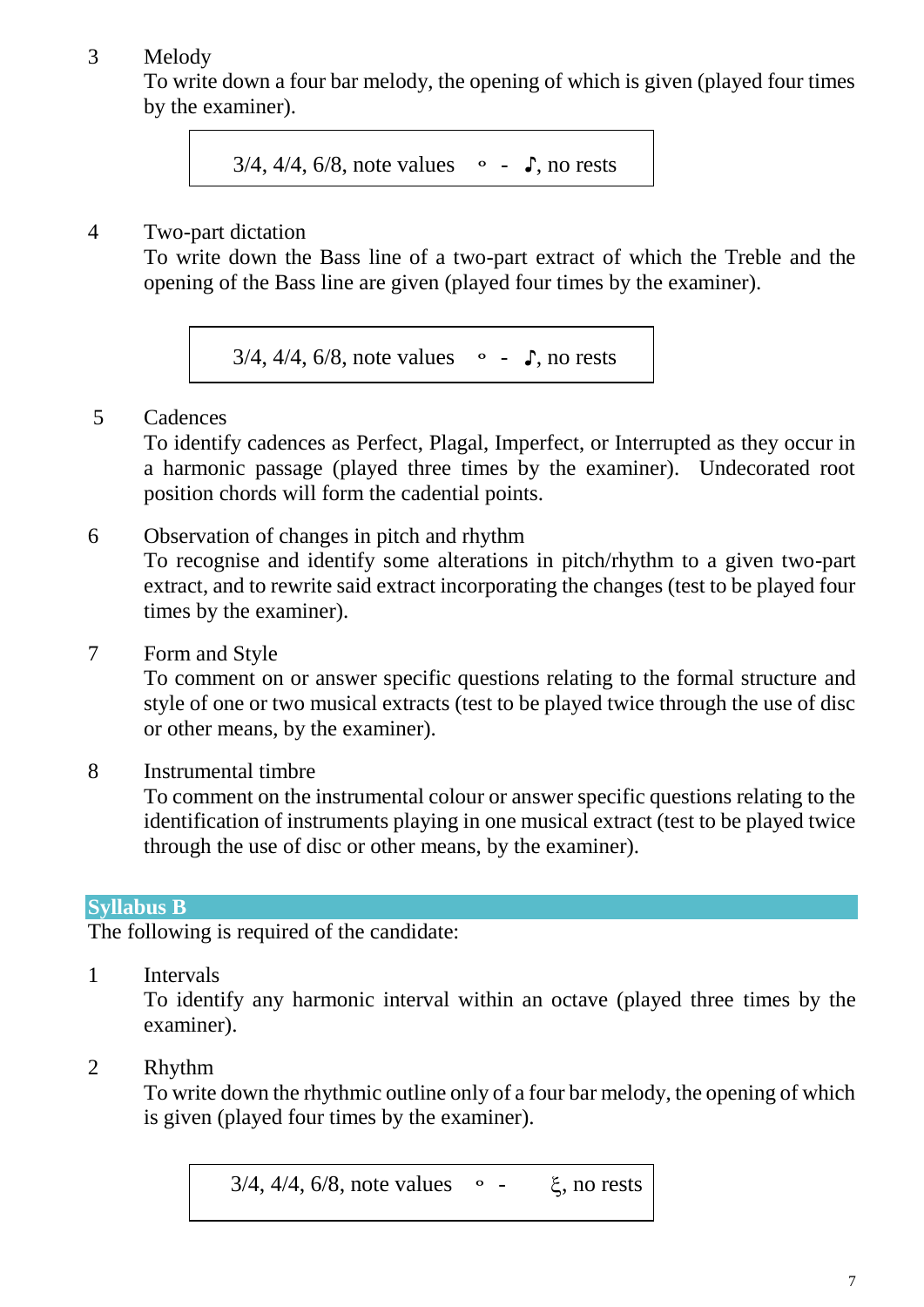### 3 Melody

To write down a four bar melody, the opening of which is given (played four times by the examiner).

3/4, 4/4, 6/8, note values - **♪**, no rests

### 4 Two-part dictation

To write down the Bass line of a two-part extract of which the Treble and the opening of the Bass line are given (played four times by the examiner).

3/4, 4/4, 6/8, note values - **♪**, no rests

### 5 Cadences

To identify cadences as Perfect, Plagal, Imperfect, or Interrupted as they occur in a harmonic passage (played three times by the examiner). Undecorated root position chords will form the cadential points.

- 6 Observation of changes in pitch and rhythm To recognise and identify some alterations in pitch/rhythm to a given two-part extract, and to rewrite said extract incorporating the changes (test to be played four times by the examiner).
- 7 Form and Style

To comment on or answer specific questions relating to the formal structure and style of one or two musical extracts (test to be played twice through the use of disc or other means, by the examiner).

8 Instrumental timbre

To comment on the instrumental colour or answer specific questions relating to the identification of instruments playing in one musical extract (test to be played twice through the use of disc or other means, by the examiner).

### **Syllabus B**

The following is required of the candidate:

1 Intervals

To identify any harmonic interval within an octave (played three times by the examiner).

### 2 Rhythm

To write down the rhythmic outline only of a four bar melody, the opening of which is given (played four times by the examiner).

 $3/4$ ,  $4/4$ ,  $6/8$ , note values  $\circ$  -  $\xi$ , no rests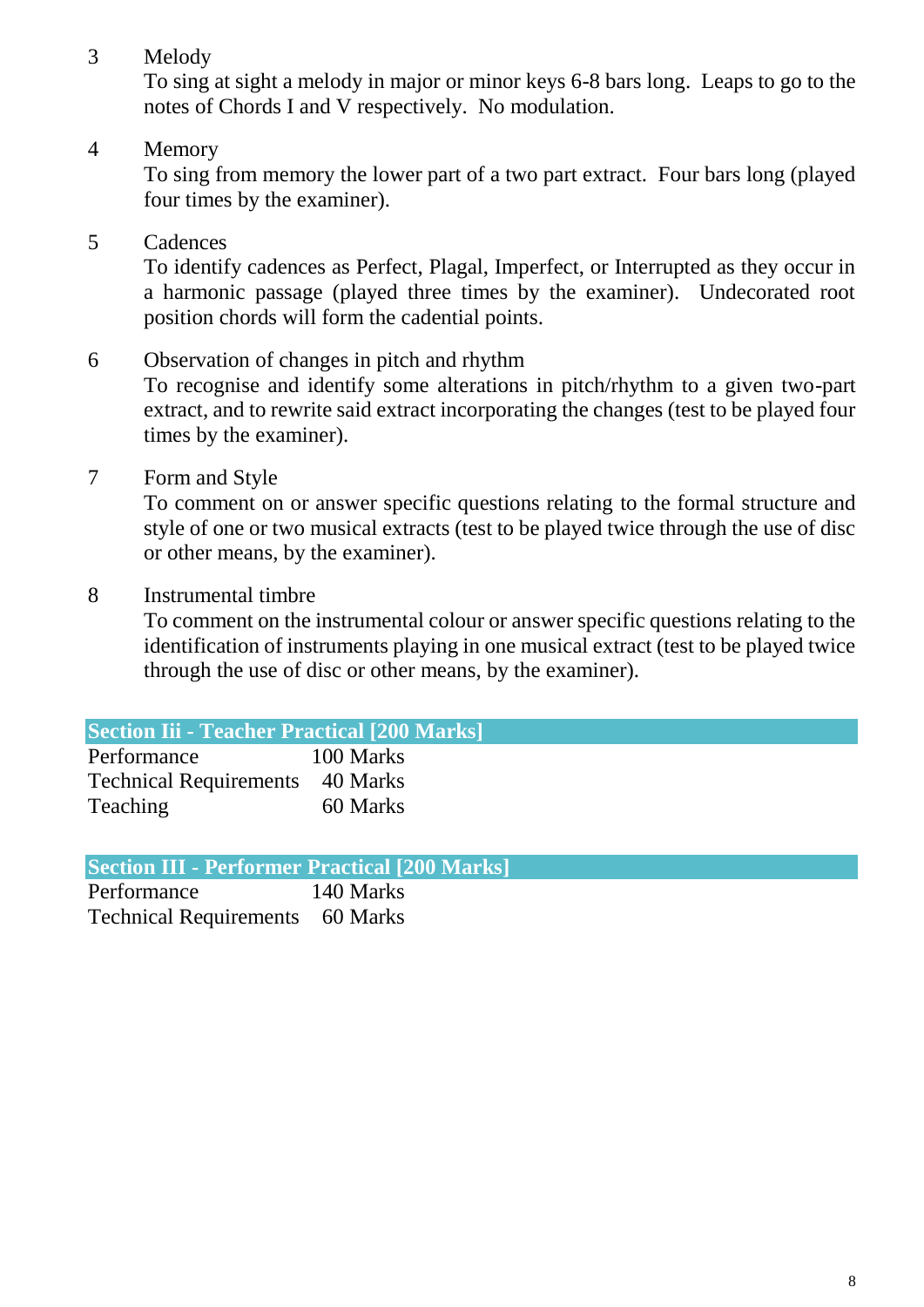3 Melody

To sing at sight a melody in major or minor keys 6-8 bars long. Leaps to go to the notes of Chords I and V respectively. No modulation.

4 Memory

To sing from memory the lower part of a two part extract. Four bars long (played four times by the examiner).

5 Cadences

To identify cadences as Perfect, Plagal, Imperfect, or Interrupted as they occur in a harmonic passage (played three times by the examiner). Undecorated root position chords will form the cadential points.

- 6 Observation of changes in pitch and rhythm To recognise and identify some alterations in pitch/rhythm to a given two-part extract, and to rewrite said extract incorporating the changes (test to be played four times by the examiner).
- 7 Form and Style

To comment on or answer specific questions relating to the formal structure and style of one or two musical extracts (test to be played twice through the use of disc or other means, by the examiner).

8 Instrumental timbre

To comment on the instrumental colour or answer specific questions relating to the identification of instruments playing in one musical extract (test to be played twice through the use of disc or other means, by the examiner).

| <b>Section Iii - Teacher Practical [200 Marks]</b> |           |  |
|----------------------------------------------------|-----------|--|
| Performance                                        | 100 Marks |  |
| <b>Technical Requirements</b> 40 Marks             |           |  |
| Teaching                                           | 60 Marks  |  |

| <b>Section III - Performer Practical [200 Marks]</b> |  |  |
|------------------------------------------------------|--|--|
|------------------------------------------------------|--|--|

Performance 140 Marks Technical Requirements 60 Marks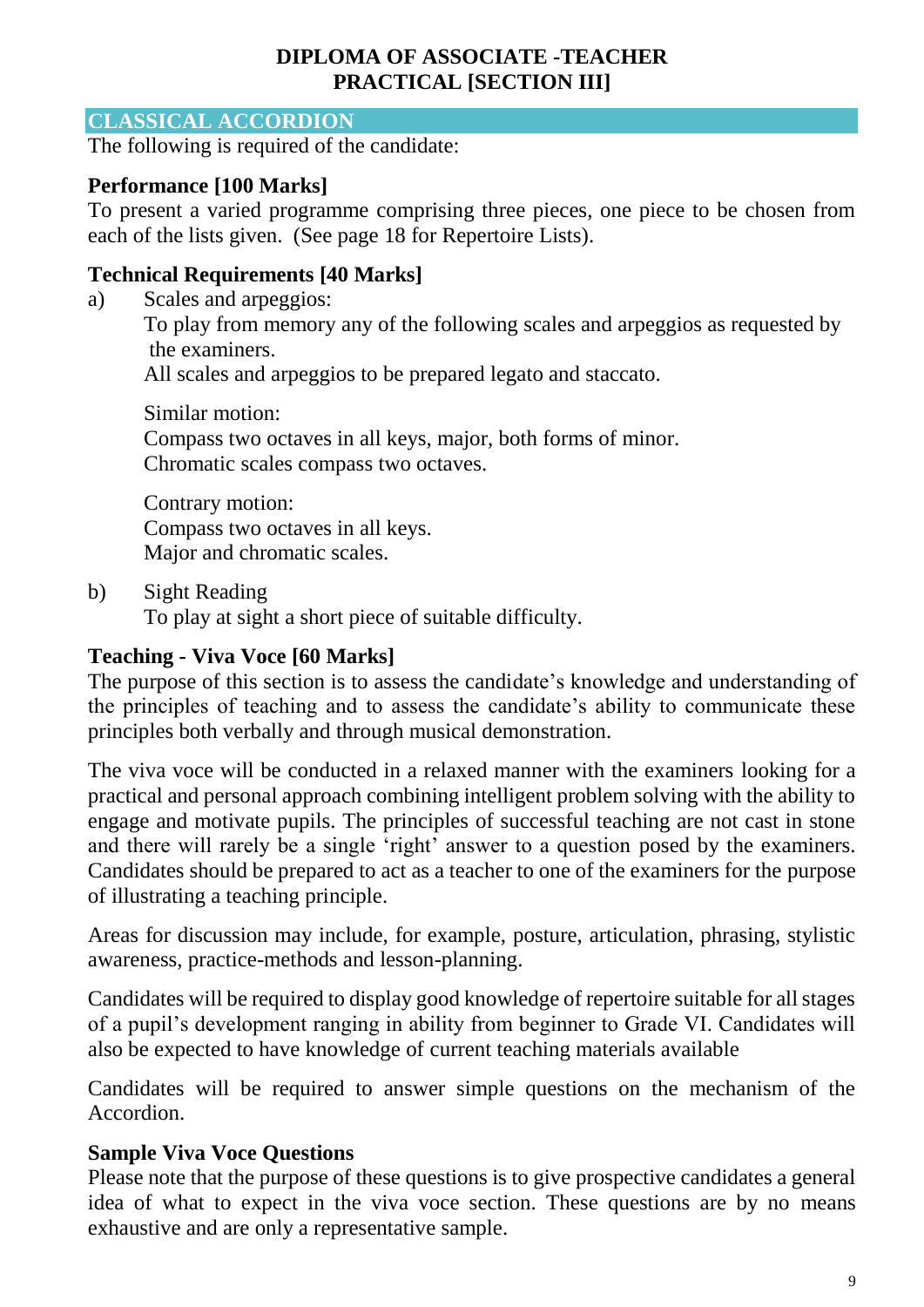### **DIPLOMA OF ASSOCIATE -TEACHER PRACTICAL [SECTION III]**

#### **CLASSICAL ACCORDION**

The following is required of the candidate:

### **Performance [100 Marks]**

To present a varied programme comprising three pieces, one piece to be chosen from each of the lists given. (See page 18 for Repertoire Lists).

### **Technical Requirements [40 Marks]**

a) Scales and arpeggios:

To play from memory any of the following scales and arpeggios as requested by the examiners.

All scales and arpeggios to be prepared legato and staccato.

Similar motion: Compass two octaves in all keys, major, both forms of minor. Chromatic scales compass two octaves.

Contrary motion: Compass two octaves in all keys. Major and chromatic scales.

b) Sight Reading

To play at sight a short piece of suitable difficulty.

### **Teaching - Viva Voce [60 Marks]**

The purpose of this section is to assess the candidate's knowledge and understanding of the principles of teaching and to assess the candidate's ability to communicate these principles both verbally and through musical demonstration.

The viva voce will be conducted in a relaxed manner with the examiners looking for a practical and personal approach combining intelligent problem solving with the ability to engage and motivate pupils. The principles of successful teaching are not cast in stone and there will rarely be a single 'right' answer to a question posed by the examiners. Candidates should be prepared to act as a teacher to one of the examiners for the purpose of illustrating a teaching principle.

Areas for discussion may include, for example, posture, articulation, phrasing, stylistic awareness, practice-methods and lesson-planning.

Candidates will be required to display good knowledge of repertoire suitable for all stages of a pupil's development ranging in ability from beginner to Grade VI. Candidates will also be expected to have knowledge of current teaching materials available

Candidates will be required to answer simple questions on the mechanism of the Accordion.

### **Sample Viva Voce Questions**

Please note that the purpose of these questions is to give prospective candidates a general idea of what to expect in the viva voce section. These questions are by no means exhaustive and are only a representative sample.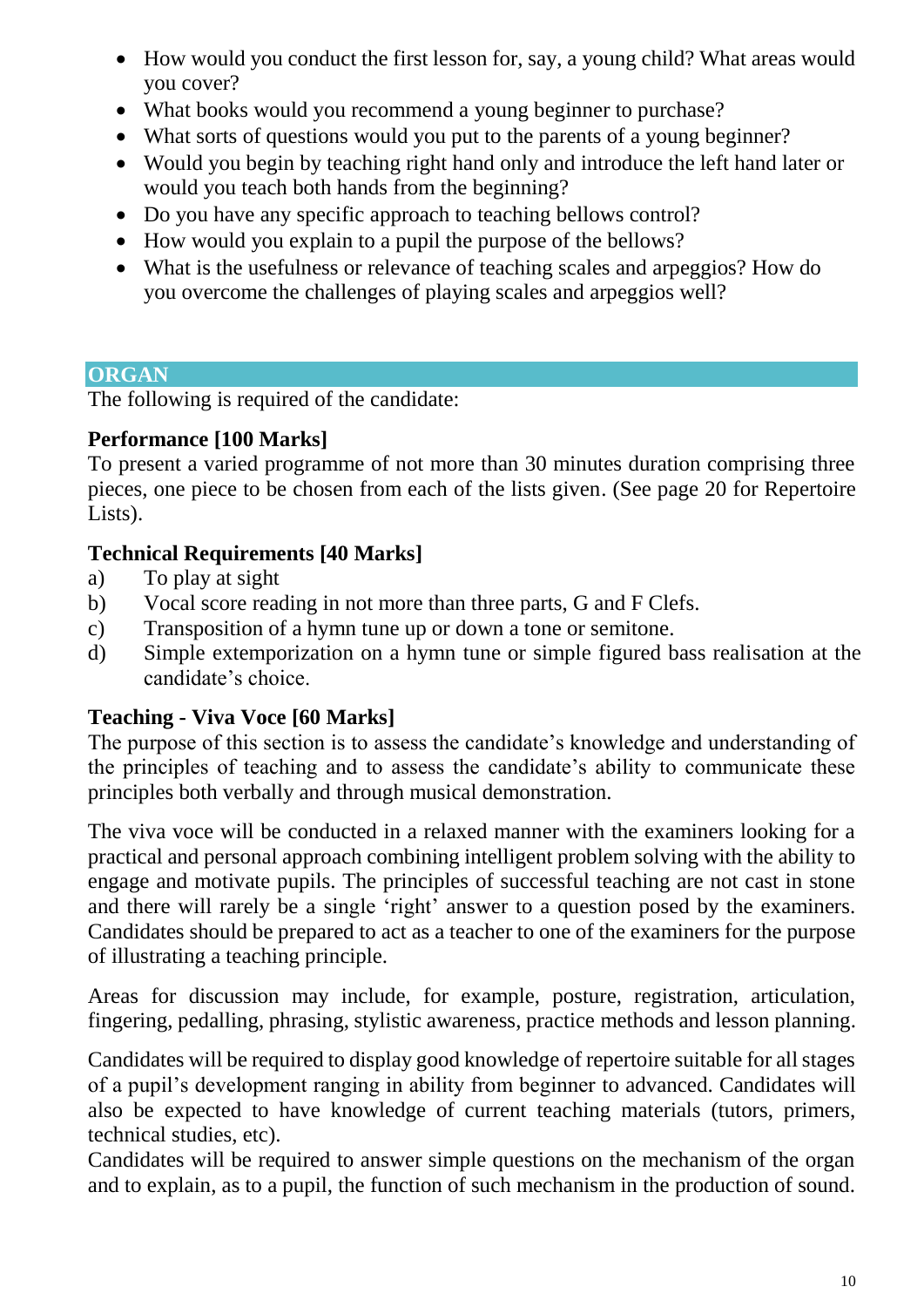- How would you conduct the first lesson for, say, a young child? What areas would you cover?
- What books would you recommend a young beginner to purchase?
- What sorts of questions would you put to the parents of a young beginner?
- Would you begin by teaching right hand only and introduce the left hand later or would you teach both hands from the beginning?
- Do you have any specific approach to teaching bellows control?
- How would you explain to a pupil the purpose of the bellows?
- What is the usefulness or relevance of teaching scales and arpeggios? How do you overcome the challenges of playing scales and arpeggios well?

### **ORGAN**

The following is required of the candidate:

### **Performance [100 Marks]**

To present a varied programme of not more than 30 minutes duration comprising three pieces, one piece to be chosen from each of the lists given. (See page 20 for Repertoire Lists).

### **Technical Requirements [40 Marks]**

- a) To play at sight
- b) Vocal score reading in not more than three parts, G and F Clefs.
- c) Transposition of a hymn tune up or down a tone or semitone.
- d) Simple extemporization on a hymn tune or simple figured bass realisation at the candidate's choice.

### **Teaching - Viva Voce [60 Marks]**

The purpose of this section is to assess the candidate's knowledge and understanding of the principles of teaching and to assess the candidate's ability to communicate these principles both verbally and through musical demonstration.

The viva voce will be conducted in a relaxed manner with the examiners looking for a practical and personal approach combining intelligent problem solving with the ability to engage and motivate pupils. The principles of successful teaching are not cast in stone and there will rarely be a single 'right' answer to a question posed by the examiners. Candidates should be prepared to act as a teacher to one of the examiners for the purpose of illustrating a teaching principle.

Areas for discussion may include, for example, posture, registration, articulation, fingering, pedalling, phrasing, stylistic awareness, practice methods and lesson planning.

Candidates will be required to display good knowledge of repertoire suitable for all stages of a pupil's development ranging in ability from beginner to advanced. Candidates will also be expected to have knowledge of current teaching materials (tutors, primers, technical studies, etc).

Candidates will be required to answer simple questions on the mechanism of the organ and to explain, as to a pupil, the function of such mechanism in the production of sound.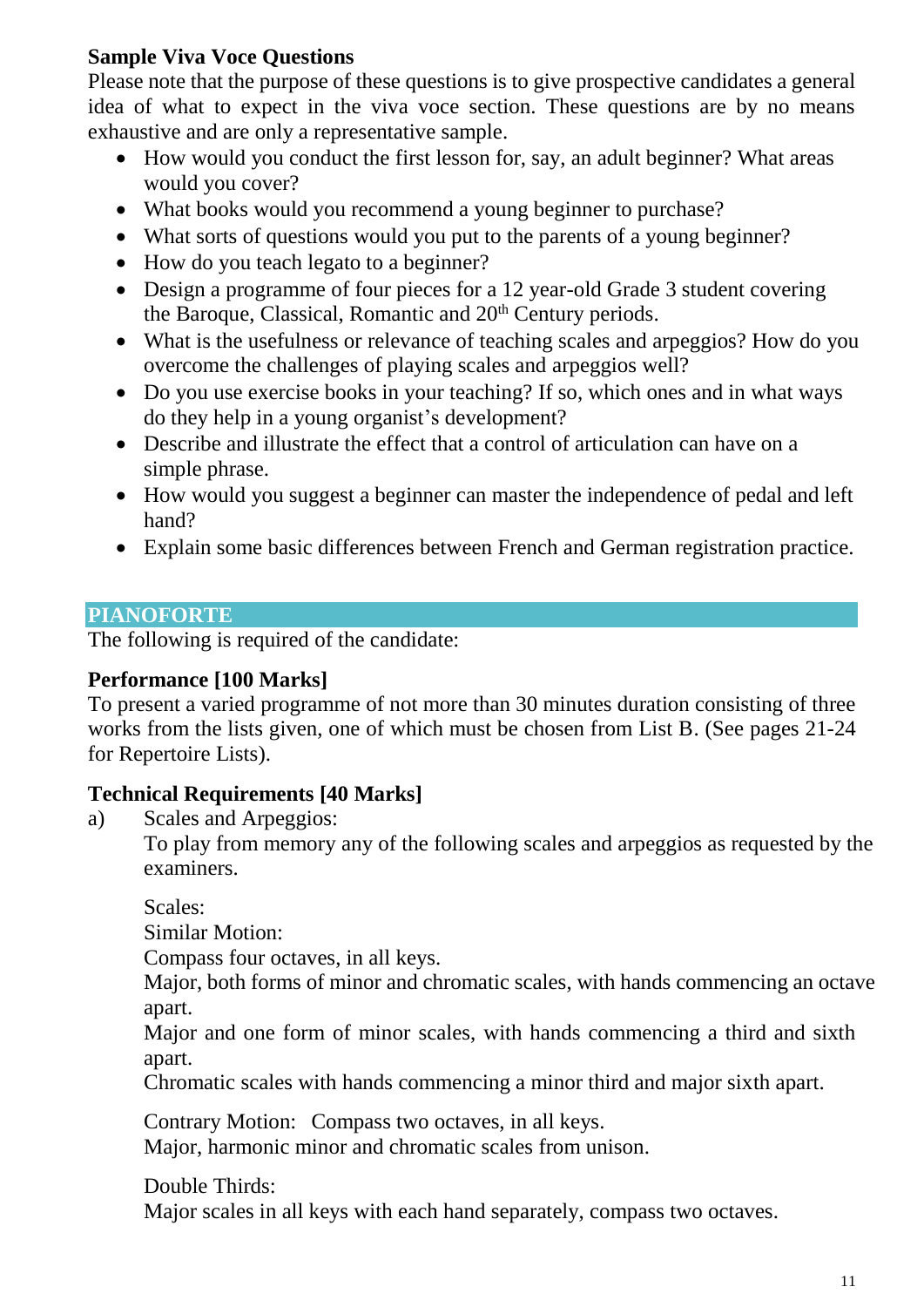# **Sample Viva Voce Questions**

Please note that the purpose of these questions is to give prospective candidates a general idea of what to expect in the viva voce section. These questions are by no means exhaustive and are only a representative sample.

- How would you conduct the first lesson for, say, an adult beginner? What areas would you cover?
- What books would you recommend a young beginner to purchase?
- What sorts of questions would you put to the parents of a young beginner?
- How do you teach legato to a beginner?
- Design a programme of four pieces for a 12 year-old Grade 3 student covering the Baroque, Classical, Romantic and  $20<sup>th</sup>$  Century periods.
- What is the usefulness or relevance of teaching scales and arpeggios? How do you overcome the challenges of playing scales and arpeggios well?
- Do you use exercise books in your teaching? If so, which ones and in what ways do they help in a young organist's development?
- Describe and illustrate the effect that a control of articulation can have on a simple phrase.
- How would you suggest a beginner can master the independence of pedal and left hand?
- Explain some basic differences between French and German registration practice.

### **PIANOFORTE**

The following is required of the candidate:

### **Performance [100 Marks]**

To present a varied programme of not more than 30 minutes duration consisting of three works from the lists given, one of which must be chosen from List B. (See pages 21-24 for Repertoire Lists).

### **Technical Requirements [40 Marks]**

a) Scales and Arpeggios:

To play from memory any of the following scales and arpeggios as requested by the examiners.

Scales:

Similar Motion:

Compass four octaves, in all keys.

Major, both forms of minor and chromatic scales, with hands commencing an octave apart.

Major and one form of minor scales, with hands commencing a third and sixth apart.

Chromatic scales with hands commencing a minor third and major sixth apart.

Contrary Motion: Compass two octaves, in all keys. Major, harmonic minor and chromatic scales from unison.

Double Thirds:

Major scales in all keys with each hand separately, compass two octaves.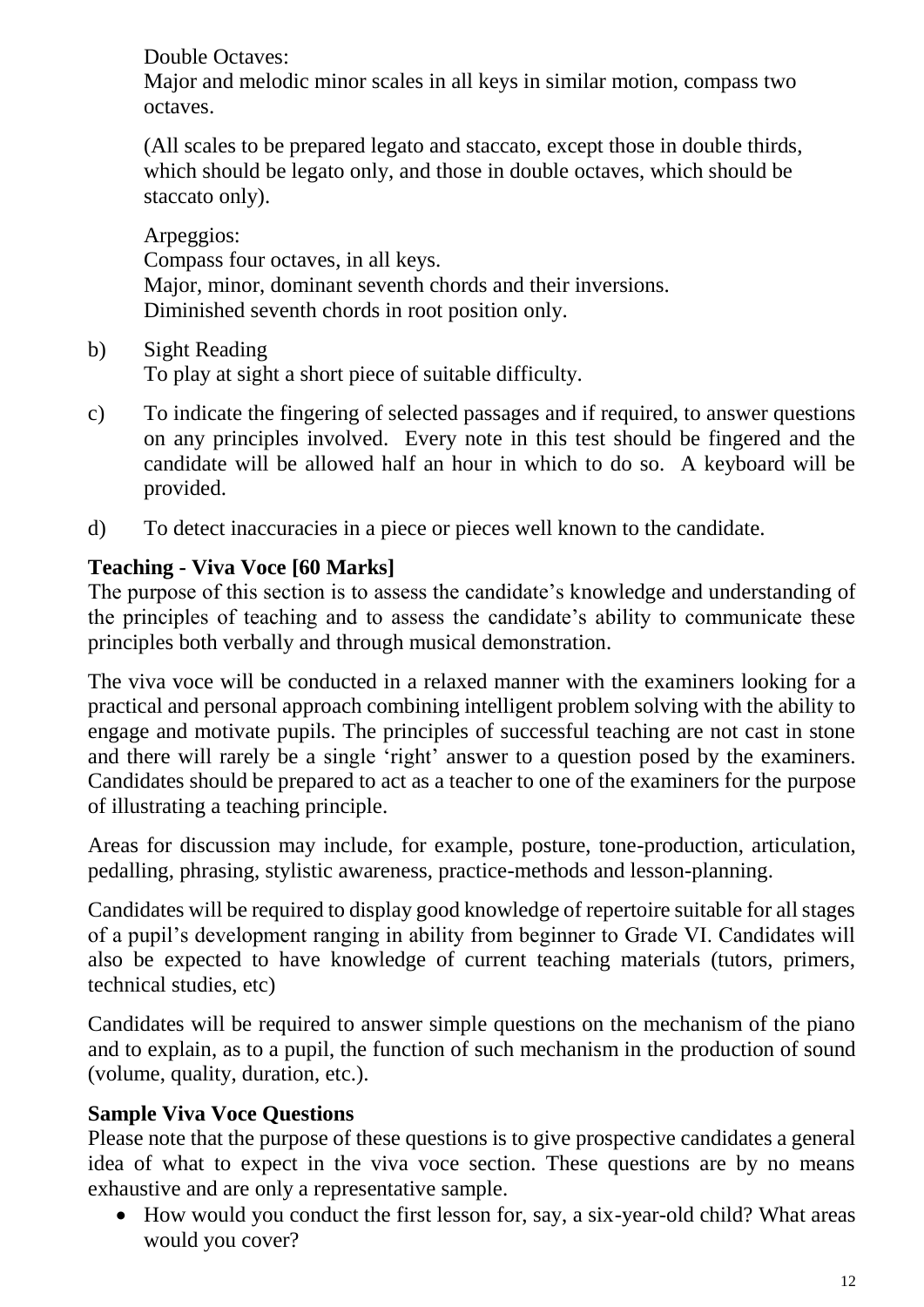Double Octaves:

Major and melodic minor scales in all keys in similar motion, compass two octaves.

(All scales to be prepared legato and staccato, except those in double thirds, which should be legato only, and those in double octaves, which should be staccato only).

Arpeggios: Compass four octaves, in all keys. Major, minor, dominant seventh chords and their inversions. Diminished seventh chords in root position only.

- b) Sight Reading To play at sight a short piece of suitable difficulty.
- c) To indicate the fingering of selected passages and if required, to answer questions on any principles involved. Every note in this test should be fingered and the candidate will be allowed half an hour in which to do so. A keyboard will be provided.
- d) To detect inaccuracies in a piece or pieces well known to the candidate.

# **Teaching - Viva Voce [60 Marks]**

The purpose of this section is to assess the candidate's knowledge and understanding of the principles of teaching and to assess the candidate's ability to communicate these principles both verbally and through musical demonstration.

The viva voce will be conducted in a relaxed manner with the examiners looking for a practical and personal approach combining intelligent problem solving with the ability to engage and motivate pupils. The principles of successful teaching are not cast in stone and there will rarely be a single 'right' answer to a question posed by the examiners. Candidates should be prepared to act as a teacher to one of the examiners for the purpose of illustrating a teaching principle.

Areas for discussion may include, for example, posture, tone-production, articulation, pedalling, phrasing, stylistic awareness, practice-methods and lesson-planning.

Candidates will be required to display good knowledge of repertoire suitable for all stages of a pupil's development ranging in ability from beginner to Grade VI. Candidates will also be expected to have knowledge of current teaching materials (tutors, primers, technical studies, etc)

Candidates will be required to answer simple questions on the mechanism of the piano and to explain, as to a pupil, the function of such mechanism in the production of sound (volume, quality, duration, etc.).

# **Sample Viva Voce Questions**

Please note that the purpose of these questions is to give prospective candidates a general idea of what to expect in the viva voce section. These questions are by no means exhaustive and are only a representative sample.

 How would you conduct the first lesson for, say, a six-year-old child? What areas would you cover?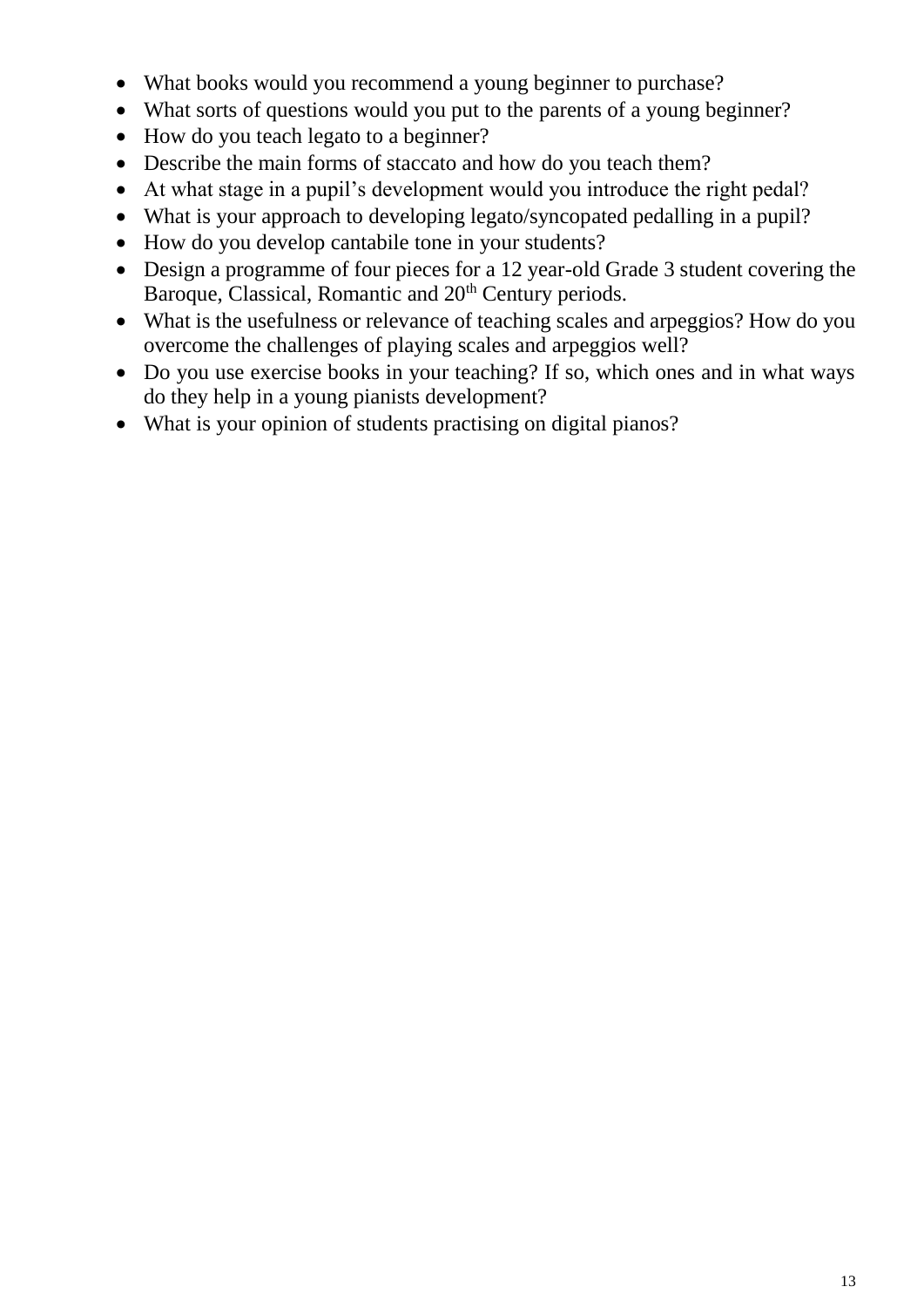- What books would you recommend a young beginner to purchase?
- What sorts of questions would you put to the parents of a young beginner?
- How do you teach legato to a beginner?
- Describe the main forms of staccato and how do you teach them?
- At what stage in a pupil's development would you introduce the right pedal?
- What is your approach to developing legato/syncopated pedalling in a pupil?
- How do you develop cantabile tone in your students?
- Design a programme of four pieces for a 12 year-old Grade 3 student covering the Baroque, Classical, Romantic and 20<sup>th</sup> Century periods.
- What is the usefulness or relevance of teaching scales and arpeggios? How do you overcome the challenges of playing scales and arpeggios well?
- Do you use exercise books in your teaching? If so, which ones and in what ways do they help in a young pianists development?
- What is your opinion of students practising on digital pianos?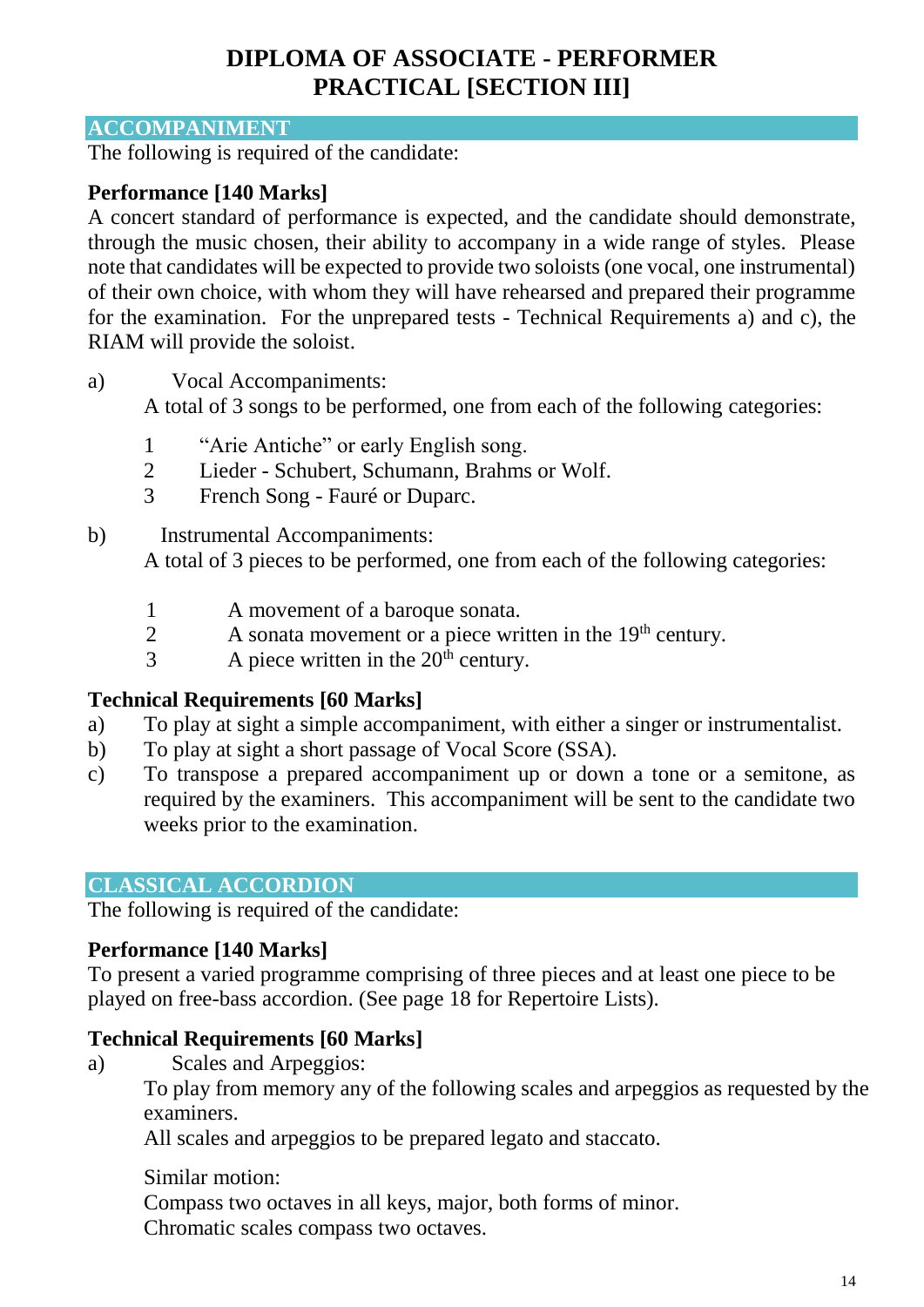# **DIPLOMA OF ASSOCIATE - PERFORMER PRACTICAL [SECTION III]**

#### **ACCOMPANIMENT**

The following is required of the candidate:

#### **Performance [140 Marks]**

A concert standard of performance is expected, and the candidate should demonstrate, through the music chosen, their ability to accompany in a wide range of styles. Please note that candidates will be expected to provide two soloists (one vocal, one instrumental) of their own choice, with whom they will have rehearsed and prepared their programme for the examination. For the unprepared tests - Technical Requirements a) and c), the RIAM will provide the soloist.

a) Vocal Accompaniments:

A total of 3 songs to be performed, one from each of the following categories:

- 1 "Arie Antiche" or early English song.
- 2 Lieder Schubert, Schumann, Brahms or Wolf.
- 3 French Song Fauré or Duparc.
- b) Instrumental Accompaniments: A total of 3 pieces to be performed, one from each of the following categories:
	- 1 A movement of a baroque sonata.
	- 2 A sonata movement or a piece written in the 19<sup>th</sup> century.
	- $3$  A piece written in the  $20<sup>th</sup>$  century.

#### **Technical Requirements [60 Marks]**

- a) To play at sight a simple accompaniment, with either a singer or instrumentalist.
- b) To play at sight a short passage of Vocal Score (SSA).
- c) To transpose a prepared accompaniment up or down a tone or a semitone, as required by the examiners. This accompaniment will be sent to the candidate two weeks prior to the examination.

#### **CLASSICAL ACCORDION**

The following is required of the candidate:

#### **Performance [140 Marks]**

To present a varied programme comprising of three pieces and at least one piece to be played on free-bass accordion. (See page 18 for Repertoire Lists).

#### **Technical Requirements [60 Marks]**

a) Scales and Arpeggios:

To play from memory any of the following scales and arpeggios as requested by the examiners.

All scales and arpeggios to be prepared legato and staccato.

#### Similar motion:

Compass two octaves in all keys, major, both forms of minor. Chromatic scales compass two octaves.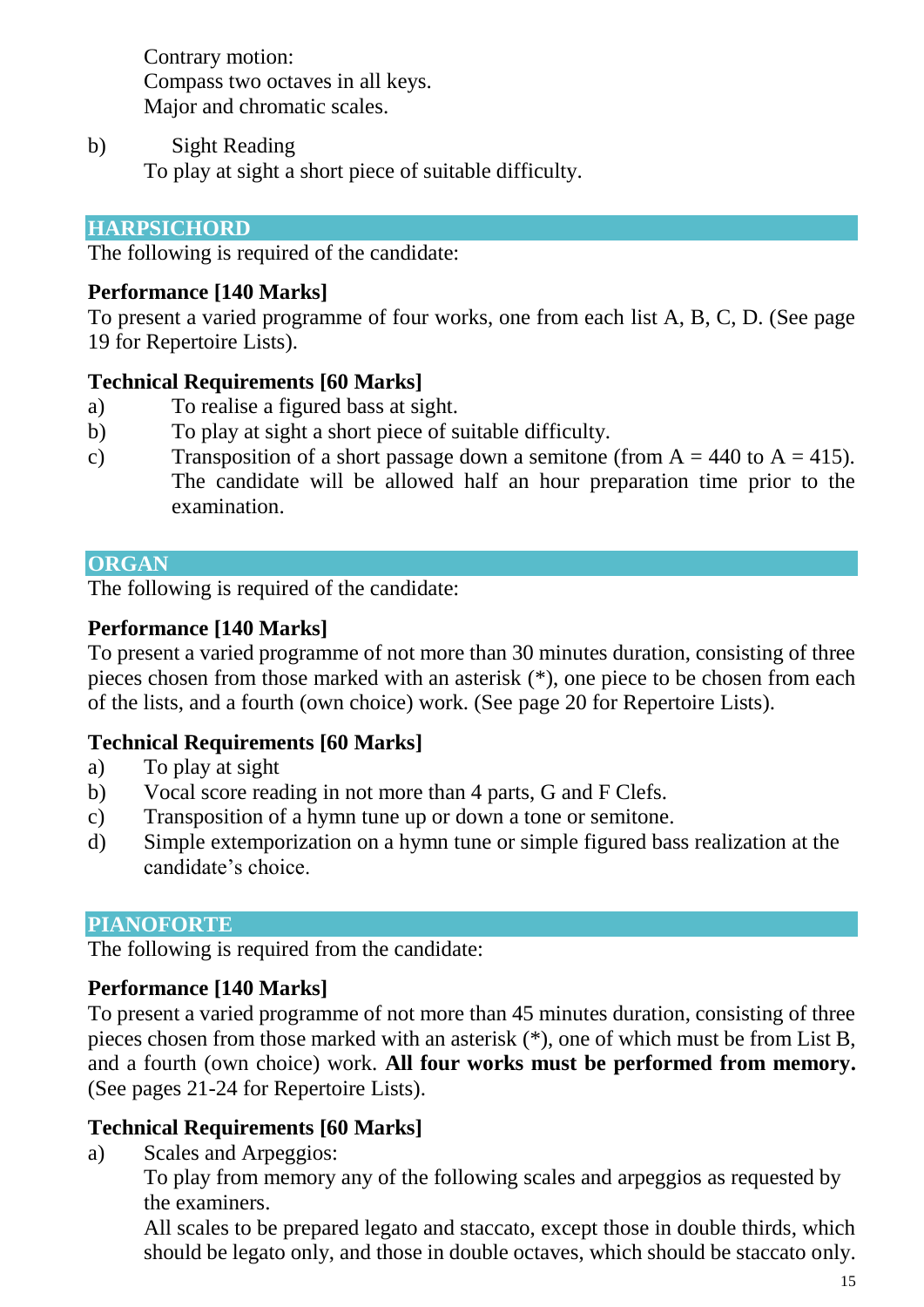Contrary motion: Compass two octaves in all keys. Major and chromatic scales.

b) Sight Reading To play at sight a short piece of suitable difficulty.

#### **HARPSICHORD**

The following is required of the candidate:

#### **Performance [140 Marks]**

To present a varied programme of four works, one from each list A, B, C, D. (See page 19 for Repertoire Lists).

#### **Technical Requirements [60 Marks]**

- a) To realise a figured bass at sight.
- b) To play at sight a short piece of suitable difficulty.
- c) Transposition of a short passage down a semitone (from  $A = 440$  to  $A = 415$ ). The candidate will be allowed half an hour preparation time prior to the examination.

#### **ORGAN**

The following is required of the candidate:

#### **Performance [140 Marks]**

To present a varied programme of not more than 30 minutes duration, consisting of three pieces chosen from those marked with an asterisk (\*), one piece to be chosen from each of the lists, and a fourth (own choice) work. (See page 20 for Repertoire Lists).

### **Technical Requirements [60 Marks]**

- a) To play at sight
- b) Vocal score reading in not more than 4 parts, G and F Clefs.
- c) Transposition of a hymn tune up or down a tone or semitone.
- d) Simple extemporization on a hymn tune or simple figured bass realization at the candidate's choice.

#### **PIANOFORTE**

The following is required from the candidate:

### **Performance [140 Marks]**

To present a varied programme of not more than 45 minutes duration, consisting of three pieces chosen from those marked with an asterisk (\*), one of which must be from List B, and a fourth (own choice) work. **All four works must be performed from memory.**  (See pages 21-24 for Repertoire Lists).

### **Technical Requirements [60 Marks]**

a) Scales and Arpeggios:

To play from memory any of the following scales and arpeggios as requested by the examiners.

All scales to be prepared legato and staccato, except those in double thirds, which should be legato only, and those in double octaves, which should be staccato only.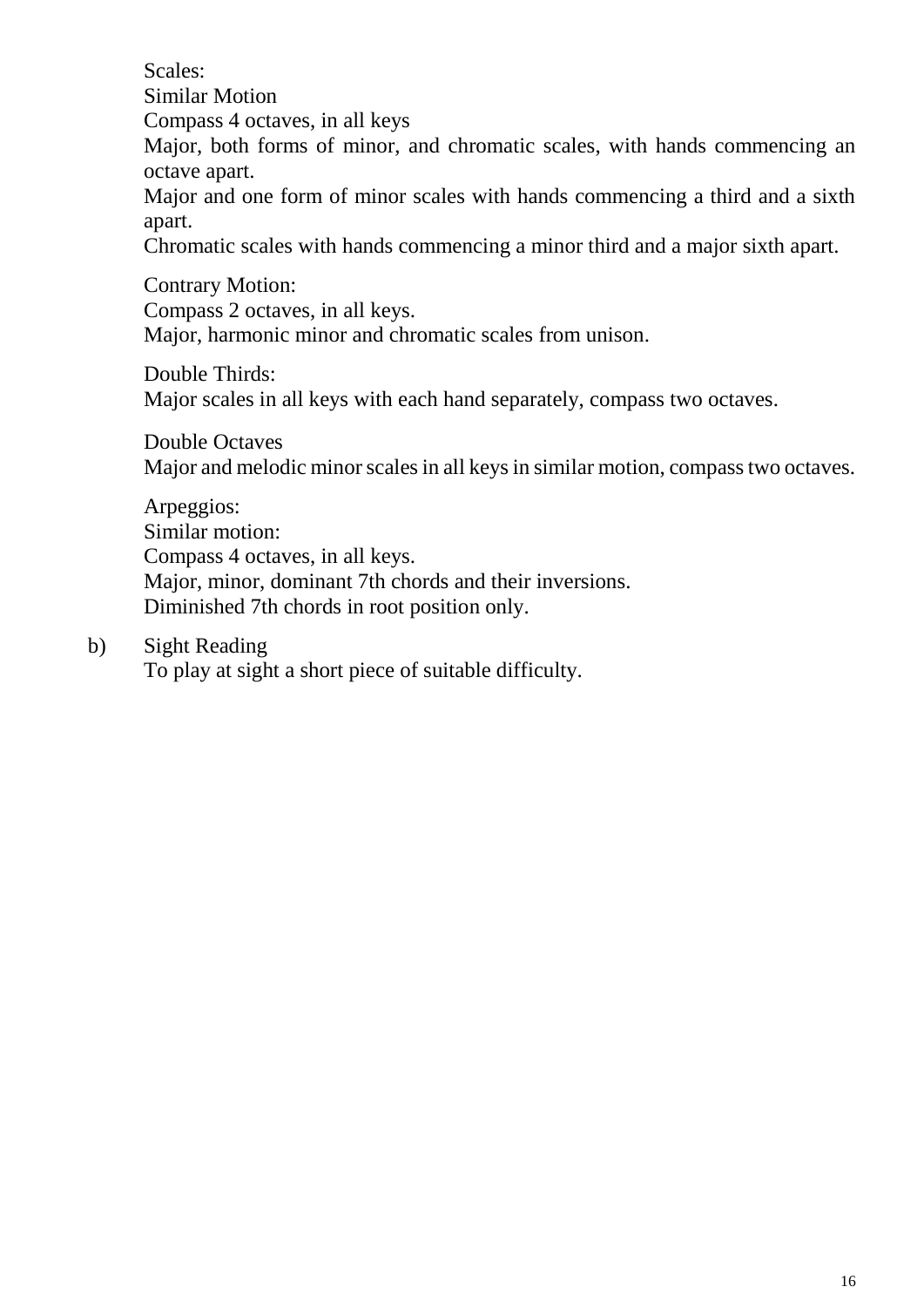Scales:

Similar Motion

Compass 4 octaves, in all keys

Major, both forms of minor, and chromatic scales, with hands commencing an octave apart.

Major and one form of minor scales with hands commencing a third and a sixth apart.

Chromatic scales with hands commencing a minor third and a major sixth apart.

Contrary Motion:

Compass 2 octaves, in all keys.

Major, harmonic minor and chromatic scales from unison.

Double Thirds:

Major scales in all keys with each hand separately, compass two octaves.

Double Octaves Major and melodic minor scales in all keys in similar motion, compass two octaves.

Arpeggios: Similar motion: Compass 4 octaves, in all keys. Major, minor, dominant 7th chords and their inversions. Diminished 7th chords in root position only.

b) Sight Reading

To play at sight a short piece of suitable difficulty.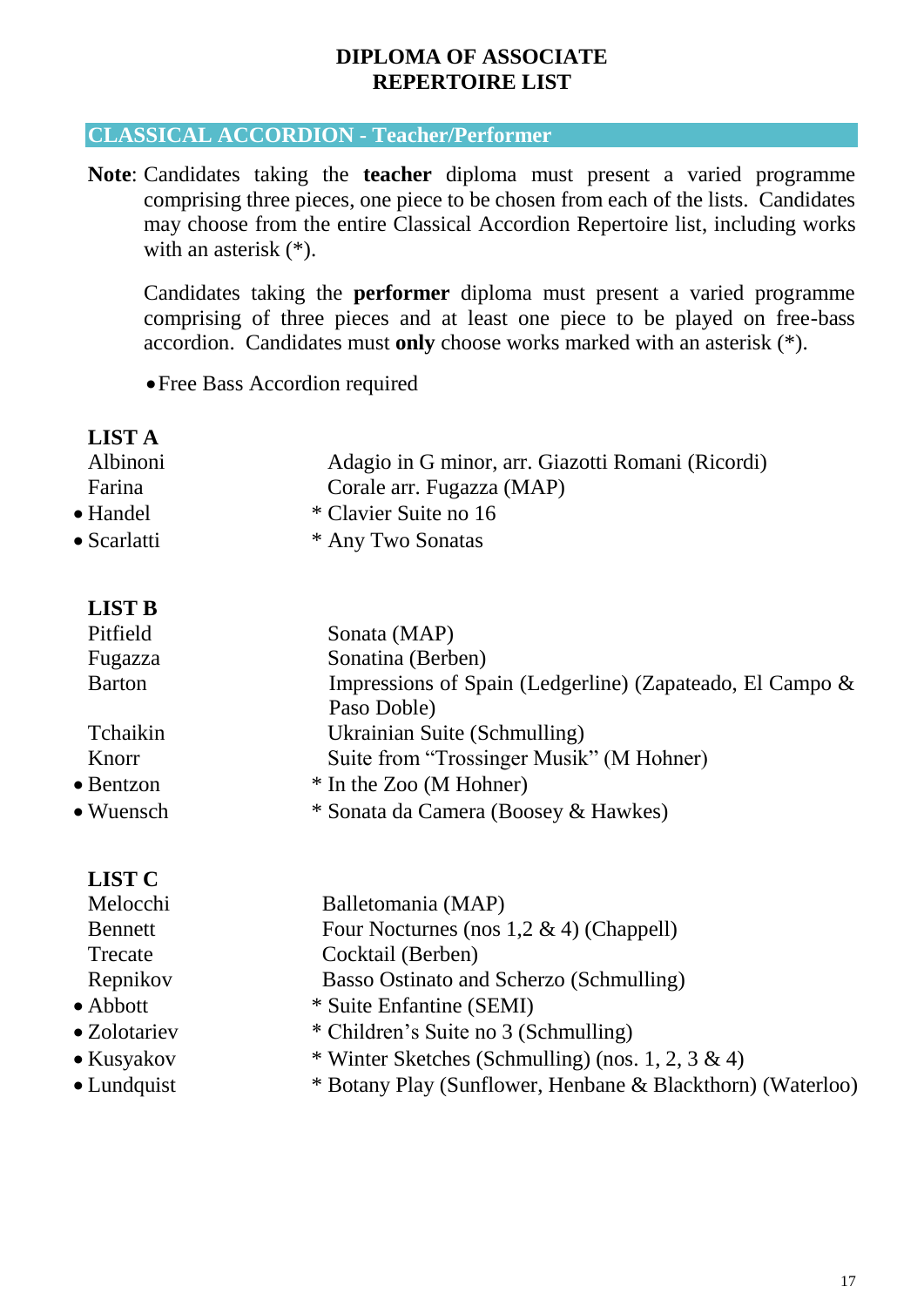#### **DIPLOMA OF ASSOCIATE REPERTOIRE LIST**

#### **CLASSICAL ACCORDION - Teacher/Performer**

**Note**: Candidates taking the **teacher** diploma must present a varied programme comprising three pieces, one piece to be chosen from each of the lists. Candidates may choose from the entire Classical Accordion Repertoire list, including works with an asterisk (\*).

Candidates taking the **performer** diploma must present a varied programme comprising of three pieces and at least one piece to be played on free-bass accordion. Candidates must **only** choose works marked with an asterisk (\*).

Free Bass Accordion required

| <b>LIST A</b>       |                                                             |
|---------------------|-------------------------------------------------------------|
| Albinoni            | Adagio in G minor, arr. Giazotti Romani (Ricordi)           |
| Farina              | Corale arr. Fugazza (MAP)                                   |
| • Handel            | * Clavier Suite no 16                                       |
| $\bullet$ Scarlatti | * Any Two Sonatas                                           |
| <b>LIST B</b>       |                                                             |
| Pitfield            | Sonata (MAP)                                                |
| Fugazza             | Sonatina (Berben)                                           |
| <b>Barton</b>       | Impressions of Spain (Ledgerline) (Zapateado, El Campo $\&$ |
|                     | Paso Doble)                                                 |
| Tchaikin            | Ukrainian Suite (Schmulling)                                |
| Knorr               | Suite from "Trossinger Musik" (M Hohner)                    |
| $\bullet$ Bentzon   | * In the Zoo (M Hohner)                                     |
| $\bullet$ Wuensch   | * Sonata da Camera (Boosey & Hawkes)                        |
|                     |                                                             |

#### **LIST C**

| Melocchi         | Balletomania (MAP)                                         |
|------------------|------------------------------------------------------------|
| <b>Bennett</b>   | Four Nocturnes (nos $1,2 \& 4$ ) (Chappell)                |
| Trecate          | Cocktail (Berben)                                          |
| Repnikov         | Basso Ostinato and Scherzo (Schmulling)                    |
| $\bullet$ Abbott | * Suite Enfantine (SEMI)                                   |
| • Zolotariev     | * Children's Suite no 3 (Schmulling)                       |
| • Kusyakov       | * Winter Sketches (Schmulling) (nos. 1, 2, 3 & 4)          |
| • Lundquist      | * Botany Play (Sunflower, Henbane & Blackthorn) (Waterloo) |
|                  |                                                            |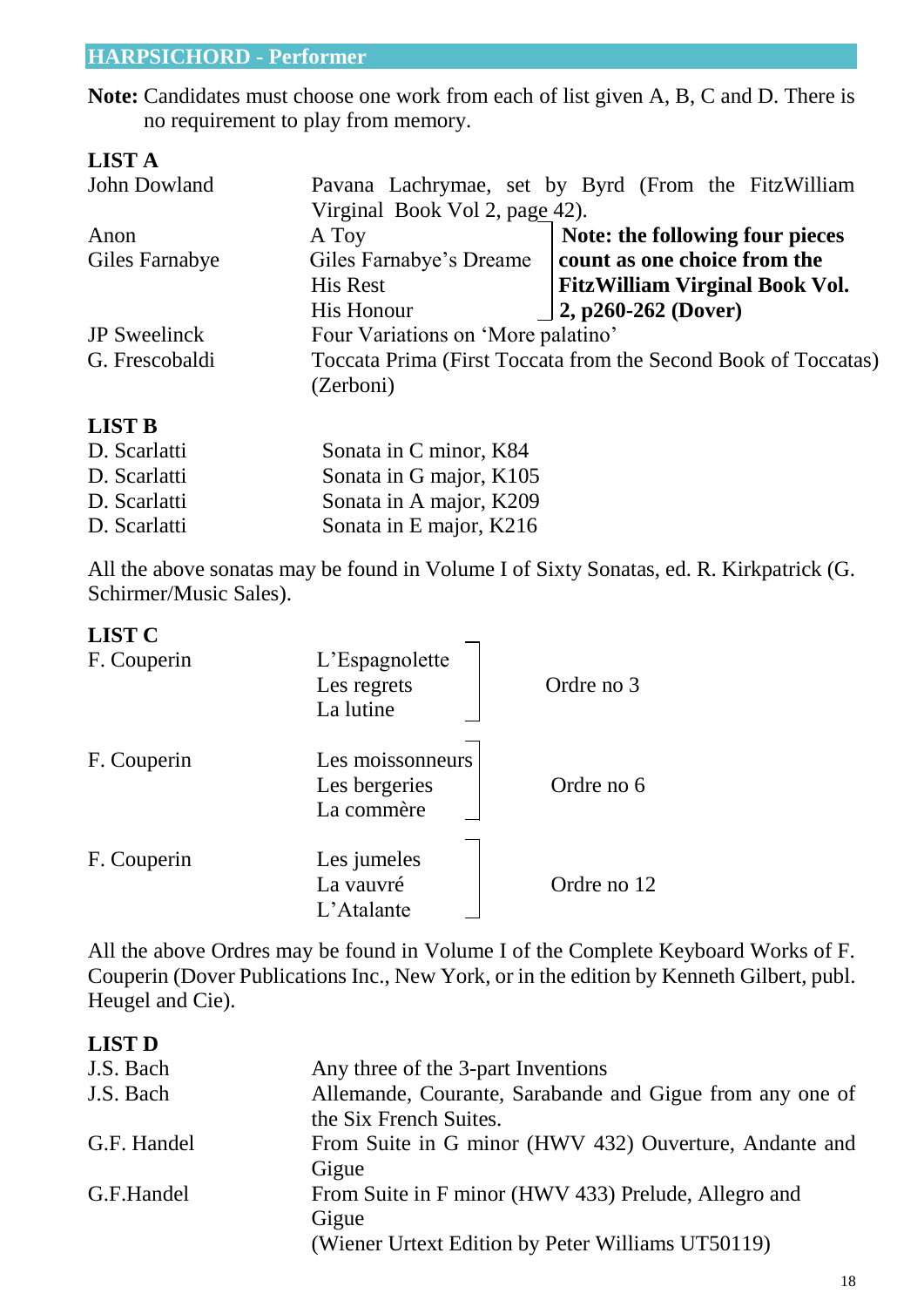#### **HARPSICHORD - Performer**

**Note:** Candidates must choose one work from each of list given A, B, C and D. There is no requirement to play from memory.

| <b>LIST A</b>       |                                    |                                                                |
|---------------------|------------------------------------|----------------------------------------------------------------|
| John Dowland        |                                    | Pavana Lachrymae, set by Byrd (From the FitzWilliam            |
|                     | Virginal Book Vol 2, page 42).     |                                                                |
| Anon                | A Toy                              | Note: the following four pieces                                |
| Giles Farnabye      | Giles Farnabye's Dreame            | count as one choice from the                                   |
|                     | His Rest                           | <b>FitzWilliam Virginal Book Vol.</b>                          |
|                     | <b>His Honour</b>                  | $ 2, p260-262 (Dover)$                                         |
| <b>JP</b> Sweelinck | Four Variations on 'More palatino' |                                                                |
| G. Frescobaldi      |                                    | Toccata Prima (First Toccata from the Second Book of Toccatas) |
|                     | (Zerboni)                          |                                                                |
| <b>LIST B</b>       |                                    |                                                                |

| D. Scarlatti | Sonata in C minor, K84  |
|--------------|-------------------------|
| D. Scarlatti | Sonata in G major, K105 |
| D. Scarlatti | Sonata in A major, K209 |
| D. Scarlatti | Sonata in E major, K216 |

All the above sonatas may be found in Volume I of Sixty Sonatas, ed. R. Kirkpatrick (G. Schirmer/Music Sales).

#### **LIST C**

| F. Couperin | L'Espagnolette<br>Les regrets<br>La lutine      | Ordre no 3  |
|-------------|-------------------------------------------------|-------------|
| F. Couperin | Les moissonneurs<br>Les bergeries<br>La commère | Ordre no 6  |
| F. Couperin | Les jumeles<br>La vauvré<br>L'Atalante          | Ordre no 12 |

All the above Ordres may be found in Volume I of the Complete Keyboard Works of F. Couperin (Dover Publications Inc., New York, or in the edition by Kenneth Gilbert, publ. Heugel and Cie).

#### **LIST D**

| J.S. Bach   | Any three of the 3-part Inventions                       |
|-------------|----------------------------------------------------------|
| J.S. Bach   | Allemande, Courante, Sarabande and Gigue from any one of |
|             | the Six French Suites.                                   |
| G.F. Handel | From Suite in G minor (HWV 432) Ouverture, Andante and   |
|             | Gigue                                                    |
| G.F.Handel  | From Suite in F minor (HWV 433) Prelude, Allegro and     |
|             | Gigue                                                    |
|             | (Wiener Urtext Edition by Peter Williams UT50119)        |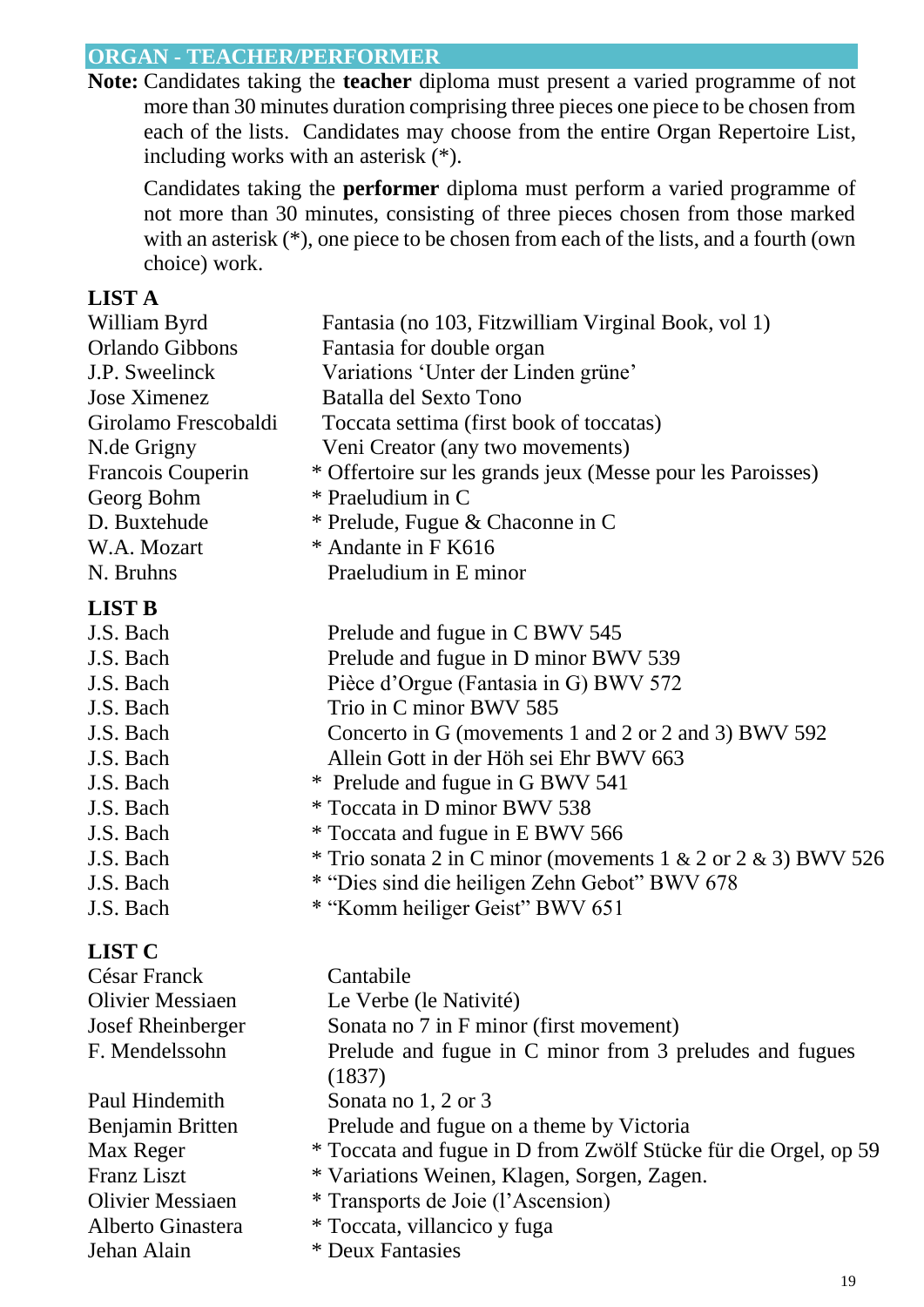### **ORGAN - TEACHER/PERFORMER**

**Note:** Candidates taking the **teacher** diploma must present a varied programme of not more than 30 minutes duration comprising three pieces one piece to be chosen from each of the lists. Candidates may choose from the entire Organ Repertoire List, including works with an asterisk (\*).

Candidates taking the **performer** diploma must perform a varied programme of not more than 30 minutes, consisting of three pieces chosen from those marked with an asterisk  $(*)$ , one piece to be chosen from each of the lists, and a fourth (own choice) work.

#### **LIST A**

| William Byrd            | Fantasia (no 103, Fitzwilliam Virginal Book, vol 1)             |
|-------------------------|-----------------------------------------------------------------|
| Orlando Gibbons         | Fantasia for double organ                                       |
| J.P. Sweelinck          | Variations 'Unter der Linden grüne'                             |
| <b>Jose Ximenez</b>     | Batalla del Sexto Tono                                          |
| Girolamo Frescobaldi    | Toccata settima (first book of toccatas)                        |
| N.de Grigny             | Veni Creator (any two movements)                                |
| Francois Couperin       | * Offertoire sur les grands jeux (Messe pour les Paroisses)     |
| Georg Bohm              | * Praeludium in C                                               |
| D. Buxtehude            | * Prelude, Fugue & Chaconne in C                                |
| W.A. Mozart             | * Andante in F K616                                             |
| N. Bruhns               | Praeludium in E minor                                           |
| <b>LIST B</b>           |                                                                 |
| J.S. Bach               | Prelude and fugue in C BWV 545                                  |
| J.S. Bach               | Prelude and fugue in D minor BWV 539                            |
| J.S. Bach               | Pièce d'Orgue (Fantasia in G) BWV 572                           |
| J.S. Bach               | Trio in C minor BWV 585                                         |
| J.S. Bach               | Concerto in G (movements 1 and 2 or 2 and 3) BWV 592            |
| J.S. Bach               | Allein Gott in der Höh sei Ehr BWV 663                          |
| J.S. Bach               | * Prelude and fugue in G BWV 541                                |
| J.S. Bach               | * Toccata in D minor BWV 538                                    |
| J.S. Bach               | * Toccata and fugue in E BWV 566                                |
| J.S. Bach               | * Trio sonata 2 in C minor (movements 1 & 2 or 2 & 3) BWV 526   |
| J.S. Bach               | * "Dies sind die heiligen Zehn Gebot" BWV 678                   |
| J.S. Bach               | * "Komm heiliger Geist" BWV 651                                 |
| <b>LIST C</b>           |                                                                 |
| César Franck            | Cantabile                                                       |
| <b>Olivier Messiaen</b> | Le Verbe (le Nativité)                                          |
| Josef Rheinberger       | Sonata no 7 in F minor (first movement)                         |
| F. Mendelssohn          | Prelude and fugue in C minor from 3 preludes and fugues         |
|                         | (1837)                                                          |
| Paul Hindemith          | Sonata no 1, 2 or 3                                             |
| Benjamin Britten        | Prelude and fugue on a theme by Victoria                        |
| Max Reger               | * Toccata and fugue in D from Zwölf Stücke für die Orgel, op 59 |
| <b>Franz Liszt</b>      | * Variations Weinen, Klagen, Sorgen, Zagen.                     |
| <b>Olivier Messiaen</b> | * Transports de Joie (l'Ascension)                              |
| Alberto Ginastera       | * Toccata, villancico y fuga                                    |
| Jehan Alain             | * Deux Fantasies                                                |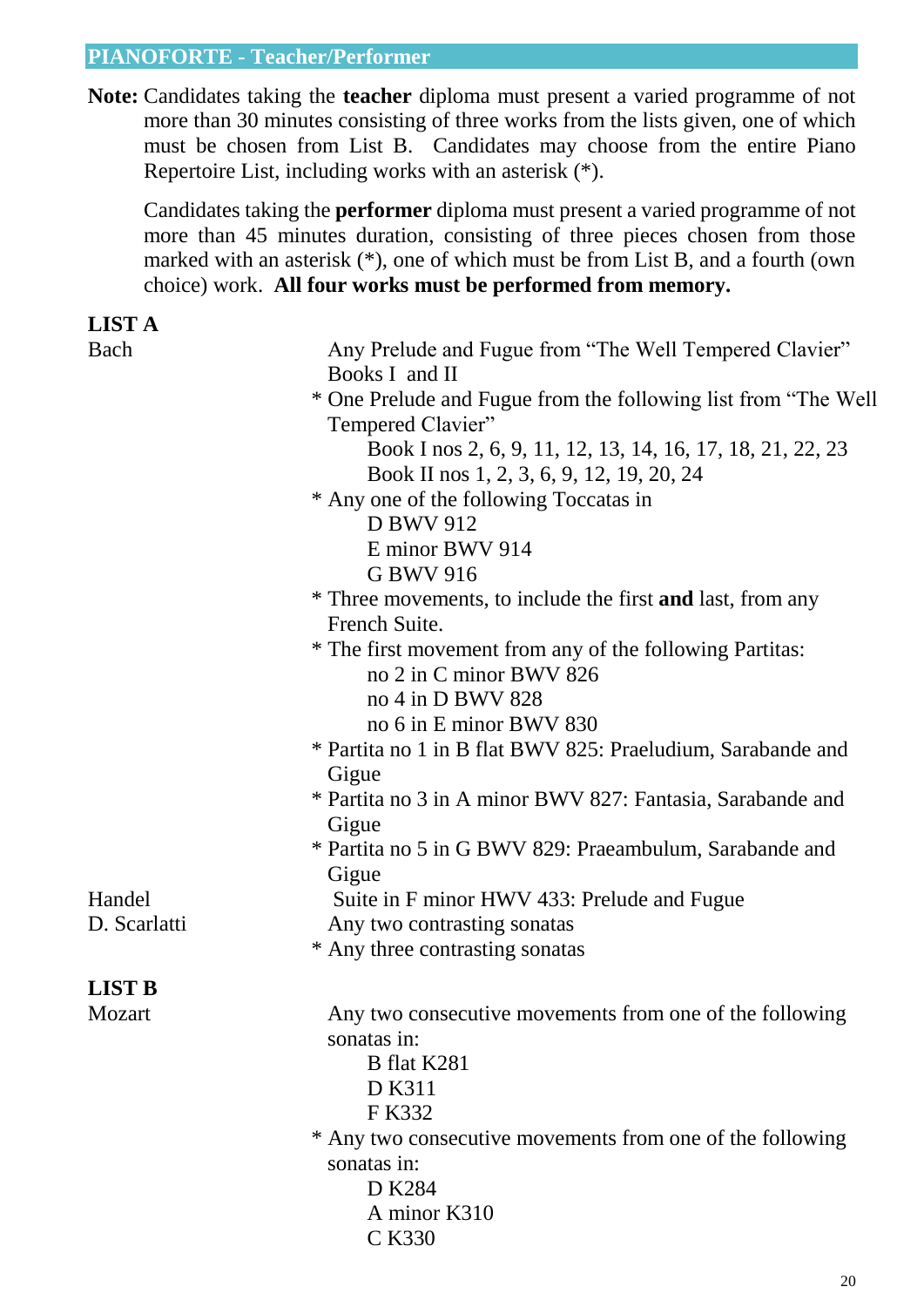#### **PIANOFORTE - Teacher/Performer**

**Note:** Candidates taking the **teacher** diploma must present a varied programme of not more than 30 minutes consisting of three works from the lists given, one of which must be chosen from List B. Candidates may choose from the entire Piano Repertoire List, including works with an asterisk (\*).

Candidates taking the **performer** diploma must present a varied programme of not more than 45 minutes duration, consisting of three pieces chosen from those marked with an asterisk (\*), one of which must be from List B, and a fourth (own choice) work. **All four works must be performed from memory.**

#### **LIST A**

| e. |
|----|
|----|

| Any Prelude and Fugue from "The Well Tempered Clavier"<br>Books I and II                                |  |  |  |
|---------------------------------------------------------------------------------------------------------|--|--|--|
| * One Prelude and Fugue from the following list from "The Well"<br>Tempered Clavier"                    |  |  |  |
| Book I nos 2, 6, 9, 11, 12, 13, 14, 16, 17, 18, 21, 22, 23<br>Book II nos 1, 2, 3, 6, 9, 12, 19, 20, 24 |  |  |  |
| * Any one of the following Toccatas in                                                                  |  |  |  |
| D BWV 912                                                                                               |  |  |  |
| E minor BWV 914                                                                                         |  |  |  |
| G BWV 916                                                                                               |  |  |  |
| * Three movements, to include the first <b>and</b> last, from any<br>French Suite.                      |  |  |  |
| * The first movement from any of the following Partitas:<br>no 2 in C minor BWV 826                     |  |  |  |
| no 4 in D BWV 828                                                                                       |  |  |  |
| no 6 in E minor BWV 830                                                                                 |  |  |  |
| * Partita no 1 in B flat BWV 825: Praeludium, Sarabande and                                             |  |  |  |
| Gigue                                                                                                   |  |  |  |
| * Partita no 3 in A minor BWV 827: Fantasia, Sarabande and                                              |  |  |  |
| Gigue                                                                                                   |  |  |  |
| * Partita no 5 in G BWV 829: Praeambulum, Sarabande and                                                 |  |  |  |
| Gigue                                                                                                   |  |  |  |
| Suite in F minor HWV 433: Prelude and Fugue                                                             |  |  |  |
| Any two contrasting sonatas                                                                             |  |  |  |
| * Any three contrasting sonatas                                                                         |  |  |  |
|                                                                                                         |  |  |  |
| Any two consecutive movements from one of the following                                                 |  |  |  |
| sonatas in:                                                                                             |  |  |  |
| B flat K281                                                                                             |  |  |  |
| D K311                                                                                                  |  |  |  |
| F K332                                                                                                  |  |  |  |
| * Any two consecutive movements from one of the following                                               |  |  |  |
| sonatas in:                                                                                             |  |  |  |
| D K284                                                                                                  |  |  |  |
| A minor K310                                                                                            |  |  |  |
| C K330                                                                                                  |  |  |  |
|                                                                                                         |  |  |  |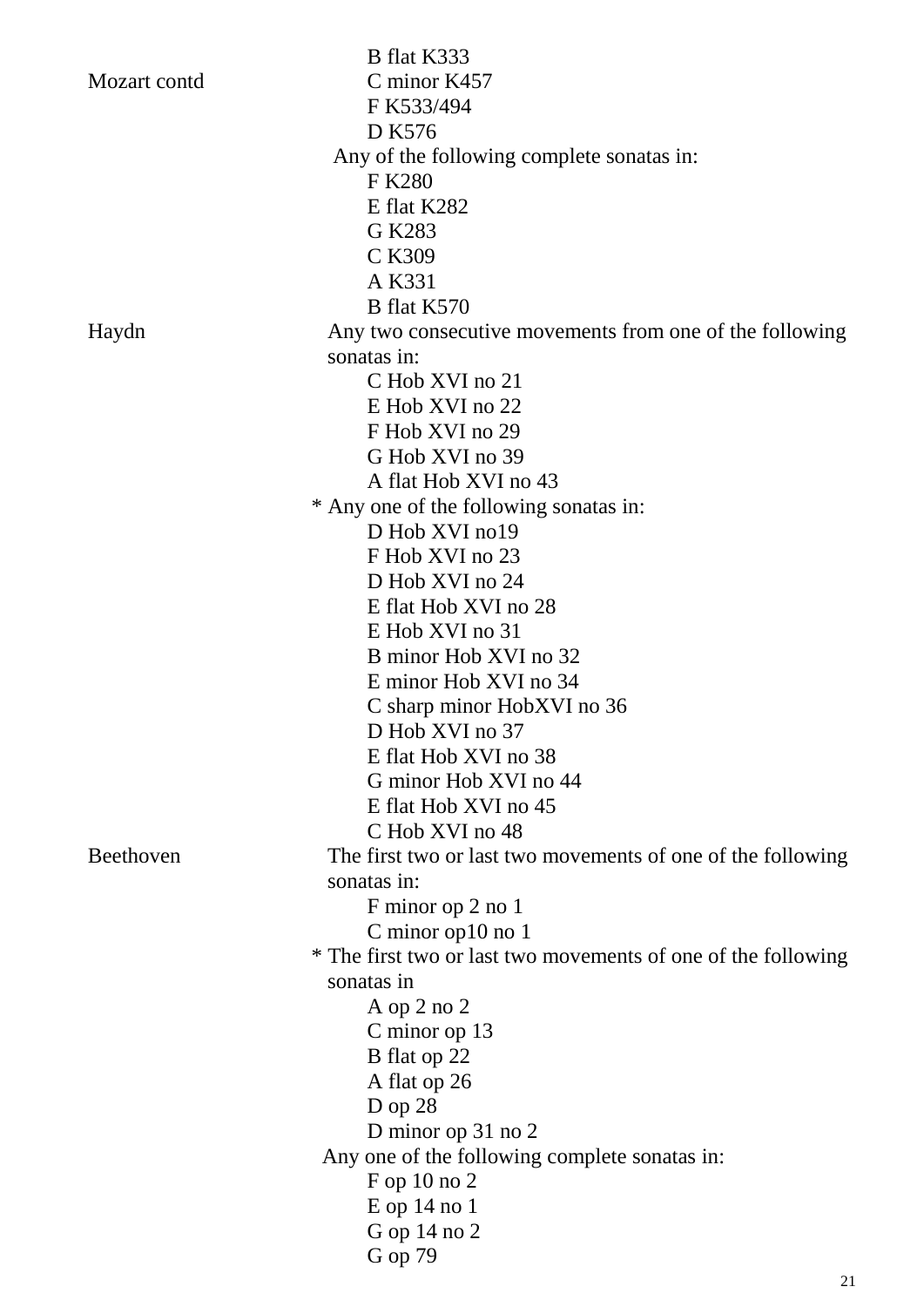|              | B flat K333                                                   |
|--------------|---------------------------------------------------------------|
| Mozart contd | C minor K457                                                  |
|              | F K533/494                                                    |
|              | D K576                                                        |
|              | Any of the following complete sonatas in:                     |
|              | F K280                                                        |
|              | E flat K282                                                   |
|              | G K283                                                        |
|              | C K309                                                        |
|              | A K331                                                        |
|              | B flat K570                                                   |
| Haydn        | Any two consecutive movements from one of the following       |
|              | sonatas in:                                                   |
|              | C Hob XVI no 21                                               |
|              | E Hob XVI no 22                                               |
|              | F Hob XVI no 29                                               |
|              | G Hob XVI no 39                                               |
|              | A flat Hob XVI no 43                                          |
|              | * Any one of the following sonatas in:                        |
|              | D Hob XVI no19                                                |
|              | F Hob XVI no 23                                               |
|              | D Hob XVI no 24                                               |
|              | E flat Hob XVI no 28                                          |
|              | E Hob XVI no 31                                               |
|              | B minor Hob XVI no 32                                         |
|              | E minor Hob XVI no 34                                         |
|              | C sharp minor HobXVI no 36                                    |
|              | D Hob XVI no 37                                               |
|              | E flat Hob XVI no 38                                          |
|              | G minor Hob XVI no 44                                         |
|              | E flat Hob XVI no 45                                          |
|              | C Hob XVI no 48                                               |
| Beethoven    | The first two or last two movements of one of the following   |
|              | sonatas in:                                                   |
|              | F minor op 2 no 1                                             |
|              | C minor op $10$ no $1$                                        |
|              | * The first two or last two movements of one of the following |
|              | sonatas in                                                    |
|              | A op 2 no 2                                                   |
|              | C minor op 13                                                 |
|              | B flat op 22                                                  |
|              | A flat op 26                                                  |
|              | $D$ op 28                                                     |
|              | D minor op 31 no 2                                            |
|              | Any one of the following complete sonatas in:                 |
|              | $F$ op 10 no 2                                                |
|              | $E$ op 14 no 1                                                |
|              | G op 14 no 2                                                  |
|              | G op 79                                                       |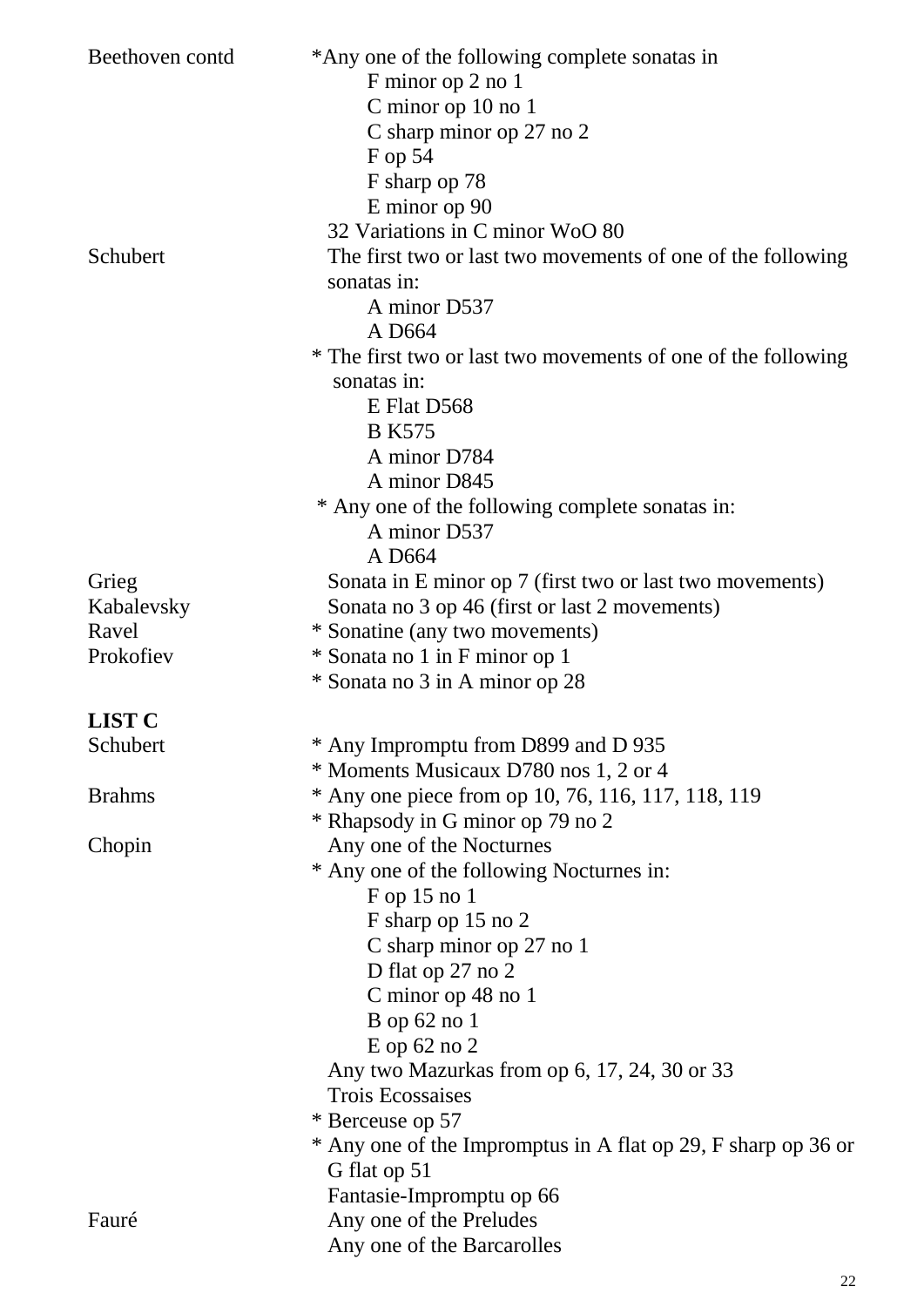| Beethoven contd | *Any one of the following complete sonatas in<br>F minor op 2 no 1 |
|-----------------|--------------------------------------------------------------------|
|                 | C minor op 10 no 1                                                 |
|                 | C sharp minor op 27 no 2                                           |
|                 | $F$ op 54                                                          |
|                 | F sharp op 78                                                      |
|                 | E minor op 90                                                      |
|                 | 32 Variations in C minor WoO 80                                    |
| Schubert        | The first two or last two movements of one of the following        |
|                 | sonatas in:                                                        |
|                 | A minor D537                                                       |
|                 | A D664                                                             |
|                 | * The first two or last two movements of one of the following      |
|                 | sonatas in:                                                        |
|                 | E Flat D568                                                        |
|                 | <b>B</b> K575                                                      |
|                 | A minor D784                                                       |
|                 | A minor D845                                                       |
|                 | * Any one of the following complete sonatas in:                    |
|                 | A minor D537                                                       |
|                 | A D664                                                             |
| Grieg           | Sonata in E minor op 7 (first two or last two movements)           |
| Kabalevsky      | Sonata no 3 op 46 (first or last 2 movements)                      |
| Ravel           | * Sonatine (any two movements)                                     |
| Prokofiev       | * Sonata no 1 in F minor op 1                                      |
|                 | * Sonata no 3 in A minor op 28                                     |
| <b>LIST C</b>   |                                                                    |
| Schubert        | * Any Impromptu from D899 and D 935                                |
|                 | * Moments Musicaux D780 nos 1, 2 or 4                              |
| <b>Brahms</b>   | * Any one piece from op 10, 76, 116, 117, 118, 119                 |
|                 | * Rhapsody in G minor op 79 no 2                                   |
| Chopin          | Any one of the Nocturnes                                           |
|                 | * Any one of the following Nocturnes in:                           |
|                 | $F$ op 15 no 1                                                     |
|                 | F sharp op 15 no 2                                                 |
|                 | C sharp minor op 27 no 1                                           |
|                 | D flat op 27 no 2                                                  |
|                 | C minor op 48 no 1                                                 |
|                 | $B$ op 62 no 1                                                     |
|                 | $E$ op 62 no 2                                                     |
|                 | Any two Mazurkas from op 6, 17, 24, 30 or 33                       |
|                 | <b>Trois Ecossaises</b>                                            |
|                 | * Berceuse op 57                                                   |
|                 | * Any one of the Impromptus in A flat op 29, F sharp op 36 or      |
|                 | G flat op 51                                                       |
|                 | Fantasie-Impromptu op 66                                           |
| Fauré           | Any one of the Preludes                                            |
|                 | Any one of the Barcarolles                                         |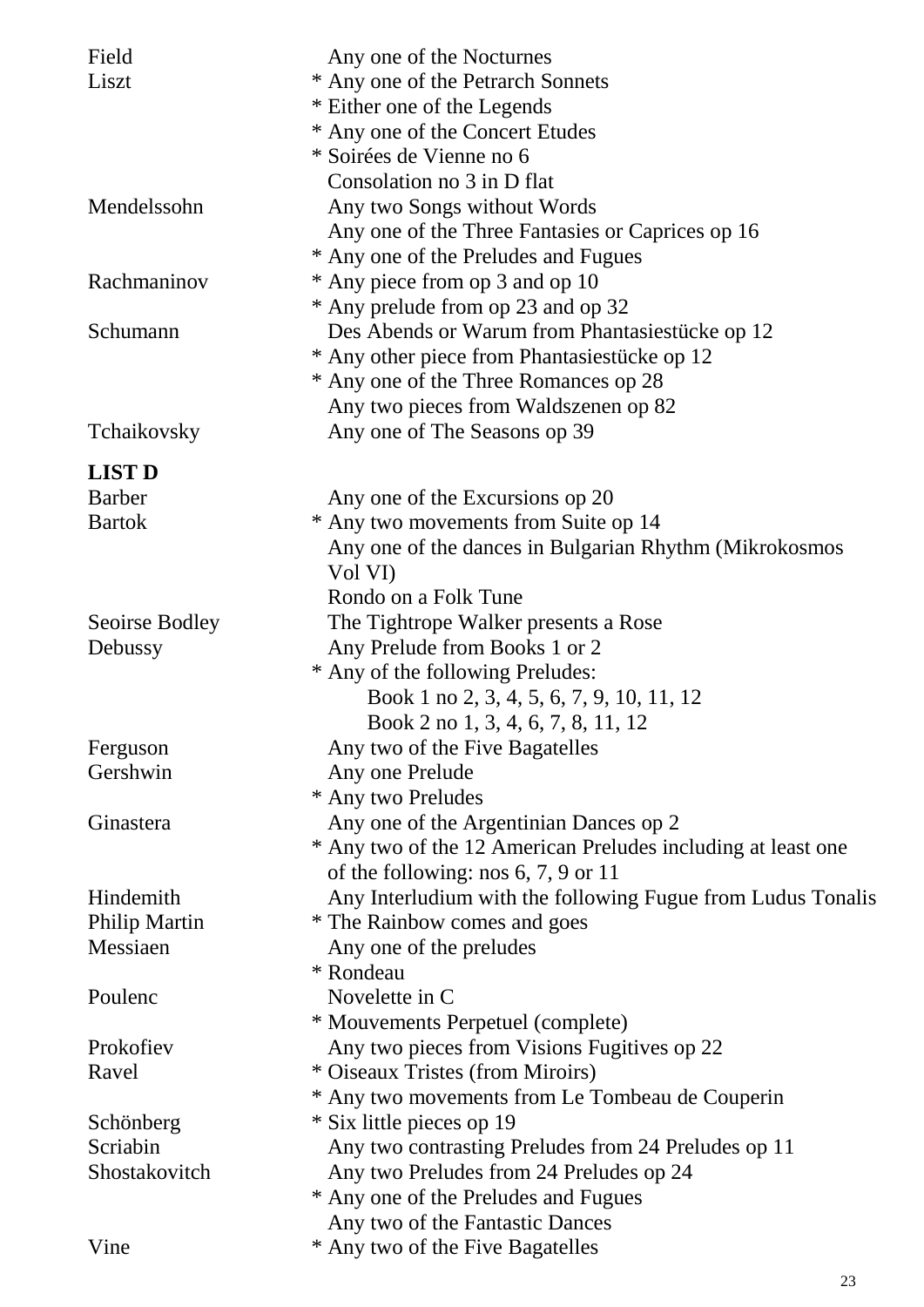| Field          | Any one of the Nocturnes                                     |
|----------------|--------------------------------------------------------------|
| Liszt          | * Any one of the Petrarch Sonnets                            |
|                | * Either one of the Legends                                  |
|                | * Any one of the Concert Etudes                              |
|                | * Soirées de Vienne no 6                                     |
|                | Consolation no 3 in D flat                                   |
| Mendelssohn    | Any two Songs without Words                                  |
|                | Any one of the Three Fantasies or Caprices op 16             |
|                | * Any one of the Preludes and Fugues                         |
| Rachmaninov    | * Any piece from op 3 and op 10                              |
|                | * Any prelude from op 23 and op 32                           |
| Schumann       | Des Abends or Warum from Phantasiestücke op 12               |
|                | * Any other piece from Phantasiestücke op 12                 |
|                | * Any one of the Three Romances op 28                        |
|                | Any two pieces from Waldszenen op 82                         |
| Tchaikovsky    | Any one of The Seasons op 39                                 |
| <b>LIST D</b>  |                                                              |
| <b>Barber</b>  | Any one of the Excursions op 20                              |
| <b>Bartok</b>  | * Any two movements from Suite op 14                         |
|                | Any one of the dances in Bulgarian Rhythm (Mikrokosmos       |
|                | Vol VI)                                                      |
|                | Rondo on a Folk Tune                                         |
| Seoirse Bodley | The Tightrope Walker presents a Rose                         |
| Debussy        | Any Prelude from Books 1 or 2                                |
|                | * Any of the following Preludes:                             |
|                | Book 1 no 2, 3, 4, 5, 6, 7, 9, 10, 11, 12                    |
|                | Book 2 no 1, 3, 4, 6, 7, 8, 11, 12                           |
| Ferguson       | Any two of the Five Bagatelles                               |
| Gershwin       | Any one Prelude                                              |
|                | * Any two Preludes                                           |
| Ginastera      | Any one of the Argentinian Dances op 2                       |
|                | * Any two of the 12 American Preludes including at least one |
|                | of the following: nos $6, 7, 9$ or $11$                      |
| Hindemith      | Any Interludium with the following Fugue from Ludus Tonalis  |
| Philip Martin  | * The Rainbow comes and goes                                 |
| Messiaen       | Any one of the preludes                                      |
|                | * Rondeau                                                    |
| Poulenc        | Novelette in C                                               |
|                | * Mouvements Perpetuel (complete)                            |
| Prokofiev      | Any two pieces from Visions Fugitives op 22                  |
| Ravel          | * Oiseaux Tristes (from Miroirs)                             |
|                | * Any two movements from Le Tombeau de Couperin              |
| Schönberg      | * Six little pieces op 19                                    |
| Scriabin       | Any two contrasting Preludes from 24 Preludes op 11          |
| Shostakovitch  | Any two Preludes from 24 Preludes op 24                      |
|                | * Any one of the Preludes and Fugues                         |
|                | Any two of the Fantastic Dances                              |
| Vine           | * Any two of the Five Bagatelles                             |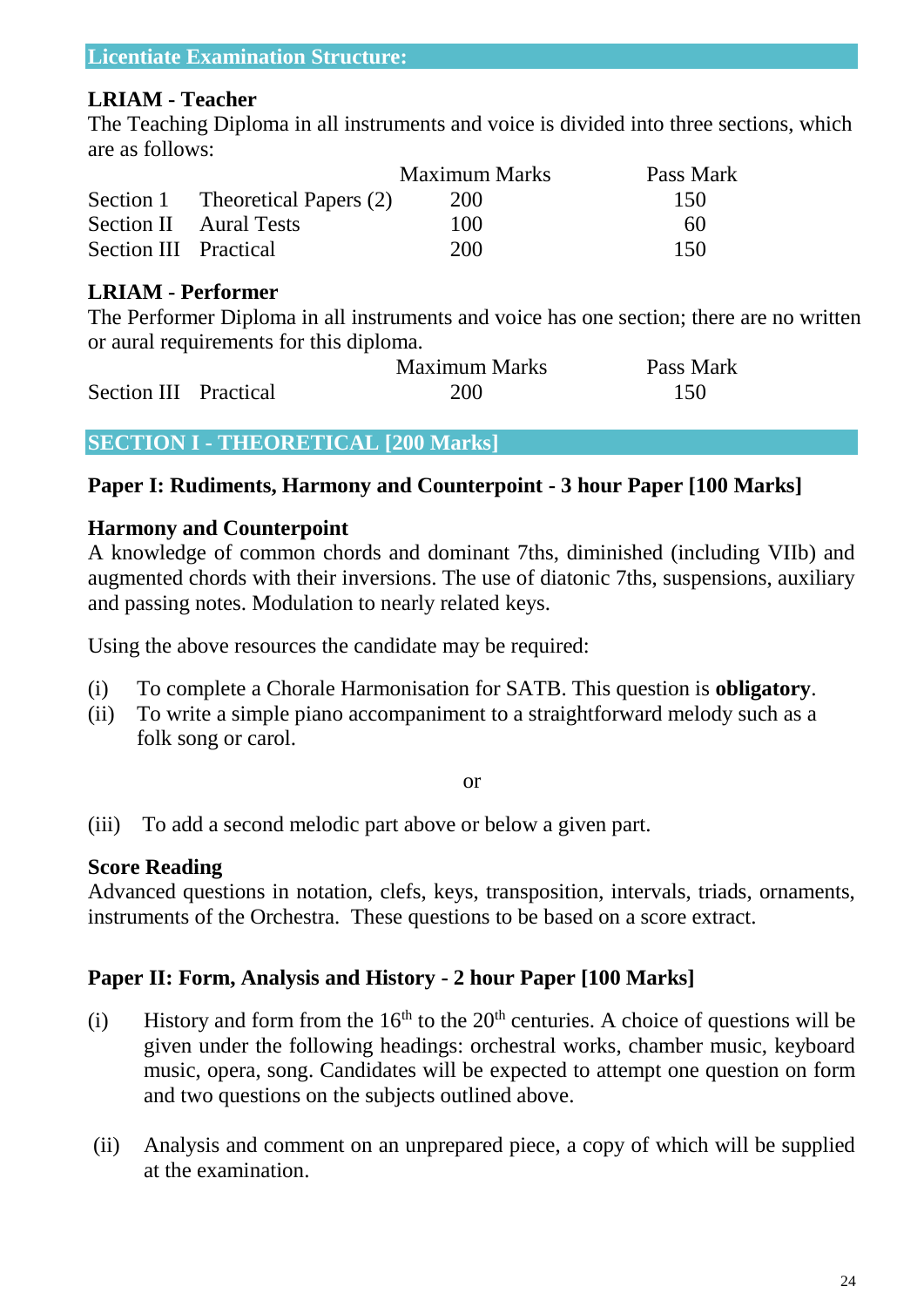#### **LRIAM - Teacher**

The Teaching Diploma in all instruments and voice is divided into three sections, which are as follows:

|                       |                                  | <b>Maximum Marks</b> | Pass Mark |
|-----------------------|----------------------------------|----------------------|-----------|
|                       | Section 1 Theoretical Papers (2) | 200                  | 150       |
|                       | <b>Section II</b> Aural Tests    | 100                  | 60        |
| Section III Practical |                                  | 200                  | 150       |

#### **LRIAM - Performer**

The Performer Diploma in all instruments and voice has one section; there are no written or aural requirements for this diploma.

|                       | <b>Maximum Marks</b> | Pass Mark |
|-----------------------|----------------------|-----------|
| Section III Practical | 200                  | 150       |

#### **SECTION I - THEORETICAL [200 Marks]**

#### **Paper I: Rudiments, Harmony and Counterpoint - 3 hour Paper [100 Marks]**

#### **Harmony and Counterpoint**

A knowledge of common chords and dominant 7ths, diminished (including VIIb) and augmented chords with their inversions. The use of diatonic 7ths, suspensions, auxiliary and passing notes. Modulation to nearly related keys.

Using the above resources the candidate may be required:

- (i) To complete a Chorale Harmonisation for SATB. This question is **obligatory**.
- (ii) To write a simple piano accompaniment to a straightforward melody such as a folk song or carol.

#### or

(iii) To add a second melodic part above or below a given part.

#### **Score Reading**

Advanced questions in notation, clefs, keys, transposition, intervals, triads, ornaments, instruments of the Orchestra. These questions to be based on a score extract.

### **Paper II: Form, Analysis and History - 2 hour Paper [100 Marks]**

- (i) History and form from the  $16<sup>th</sup>$  to the  $20<sup>th</sup>$  centuries. A choice of questions will be given under the following headings: orchestral works, chamber music, keyboard music, opera, song. Candidates will be expected to attempt one question on form and two questions on the subjects outlined above.
- (ii) Analysis and comment on an unprepared piece, a copy of which will be supplied at the examination.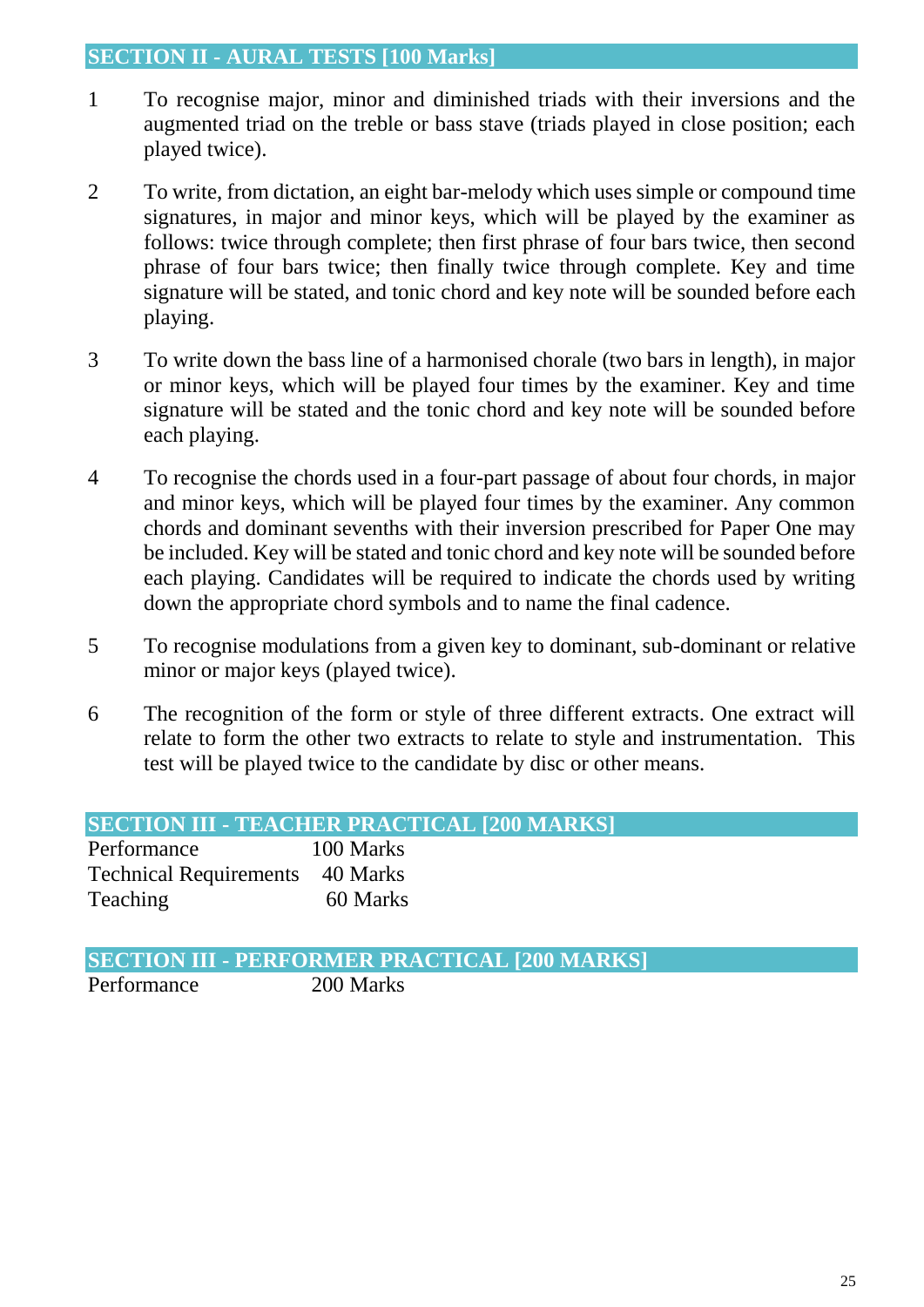#### **SECTION II - AURAL TESTS [100 Marks]**

- 1 To recognise major, minor and diminished triads with their inversions and the augmented triad on the treble or bass stave (triads played in close position; each played twice).
- 2 To write, from dictation, an eight bar-melody which uses simple or compound time signatures, in major and minor keys, which will be played by the examiner as follows: twice through complete; then first phrase of four bars twice, then second phrase of four bars twice; then finally twice through complete. Key and time signature will be stated, and tonic chord and key note will be sounded before each playing.
- 3 To write down the bass line of a harmonised chorale (two bars in length), in major or minor keys, which will be played four times by the examiner. Key and time signature will be stated and the tonic chord and key note will be sounded before each playing.
- 4 To recognise the chords used in a four-part passage of about four chords, in major and minor keys, which will be played four times by the examiner. Any common chords and dominant sevenths with their inversion prescribed for Paper One may be included. Key will be stated and tonic chord and key note will be sounded before each playing. Candidates will be required to indicate the chords used by writing down the appropriate chord symbols and to name the final cadence.
- 5 To recognise modulations from a given key to dominant, sub-dominant or relative minor or major keys (played twice).
- 6 The recognition of the form or style of three different extracts. One extract will relate to form the other two extracts to relate to style and instrumentation. This test will be played twice to the candidate by disc or other means.

| <b>SECTION III - TEACHER PRACTICAL [200 MARKS]</b> |  |  |  |  |
|----------------------------------------------------|--|--|--|--|
|----------------------------------------------------|--|--|--|--|

| Performance                            | 100 Marks |
|----------------------------------------|-----------|
| <b>Technical Requirements</b> 40 Marks |           |
| <b>Teaching</b>                        | 60 Marks  |

**SECTION III - PERFORMER PRACTICAL [200 MARKS]** Performance 200 Marks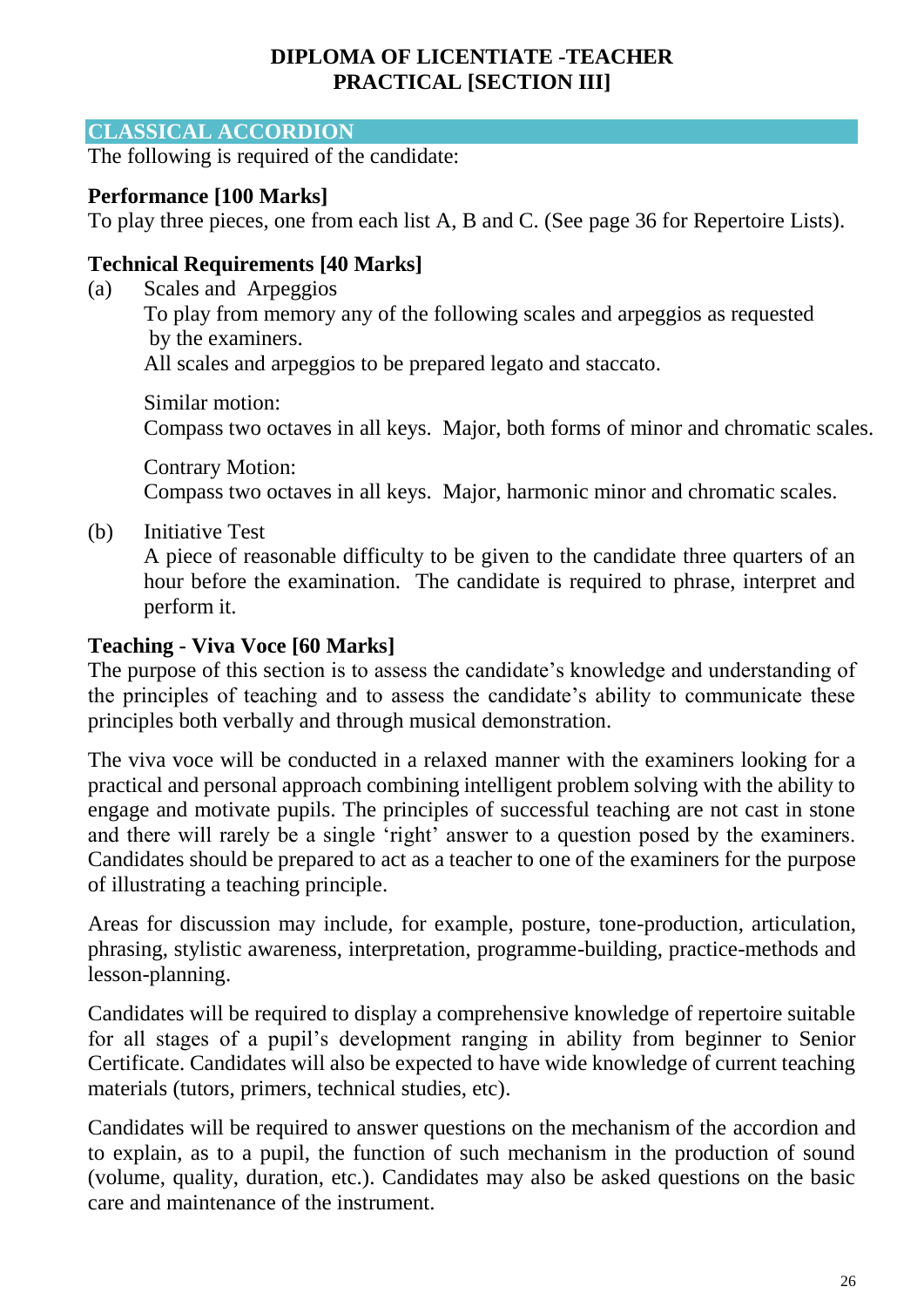### **DIPLOMA OF LICENTIATE -TEACHER PRACTICAL [SECTION III]**

#### **CLASSICAL ACCORDION**

The following is required of the candidate:

#### **Performance [100 Marks]**

To play three pieces, one from each list A, B and C. (See page 36 for Repertoire Lists).

### **Technical Requirements [40 Marks]**

(a) Scales and Arpeggios To play from memory any of the following scales and arpeggios as requested by the examiners. All scales and arpeggios to be prepared legato and staccato.

Similar motion: Compass two octaves in all keys. Major, both forms of minor and chromatic scales.

Contrary Motion: Compass two octaves in all keys. Major, harmonic minor and chromatic scales.

(b) Initiative Test

A piece of reasonable difficulty to be given to the candidate three quarters of an hour before the examination. The candidate is required to phrase, interpret and perform it.

#### **Teaching - Viva Voce [60 Marks]**

The purpose of this section is to assess the candidate's knowledge and understanding of the principles of teaching and to assess the candidate's ability to communicate these principles both verbally and through musical demonstration.

The viva voce will be conducted in a relaxed manner with the examiners looking for a practical and personal approach combining intelligent problem solving with the ability to engage and motivate pupils. The principles of successful teaching are not cast in stone and there will rarely be a single 'right' answer to a question posed by the examiners. Candidates should be prepared to act as a teacher to one of the examiners for the purpose of illustrating a teaching principle.

Areas for discussion may include, for example, posture, tone-production, articulation, phrasing, stylistic awareness, interpretation, programme-building, practice-methods and lesson-planning.

Candidates will be required to display a comprehensive knowledge of repertoire suitable for all stages of a pupil's development ranging in ability from beginner to Senior Certificate. Candidates will also be expected to have wide knowledge of current teaching materials (tutors, primers, technical studies, etc).

Candidates will be required to answer questions on the mechanism of the accordion and to explain, as to a pupil, the function of such mechanism in the production of sound (volume, quality, duration, etc.). Candidates may also be asked questions on the basic care and maintenance of the instrument.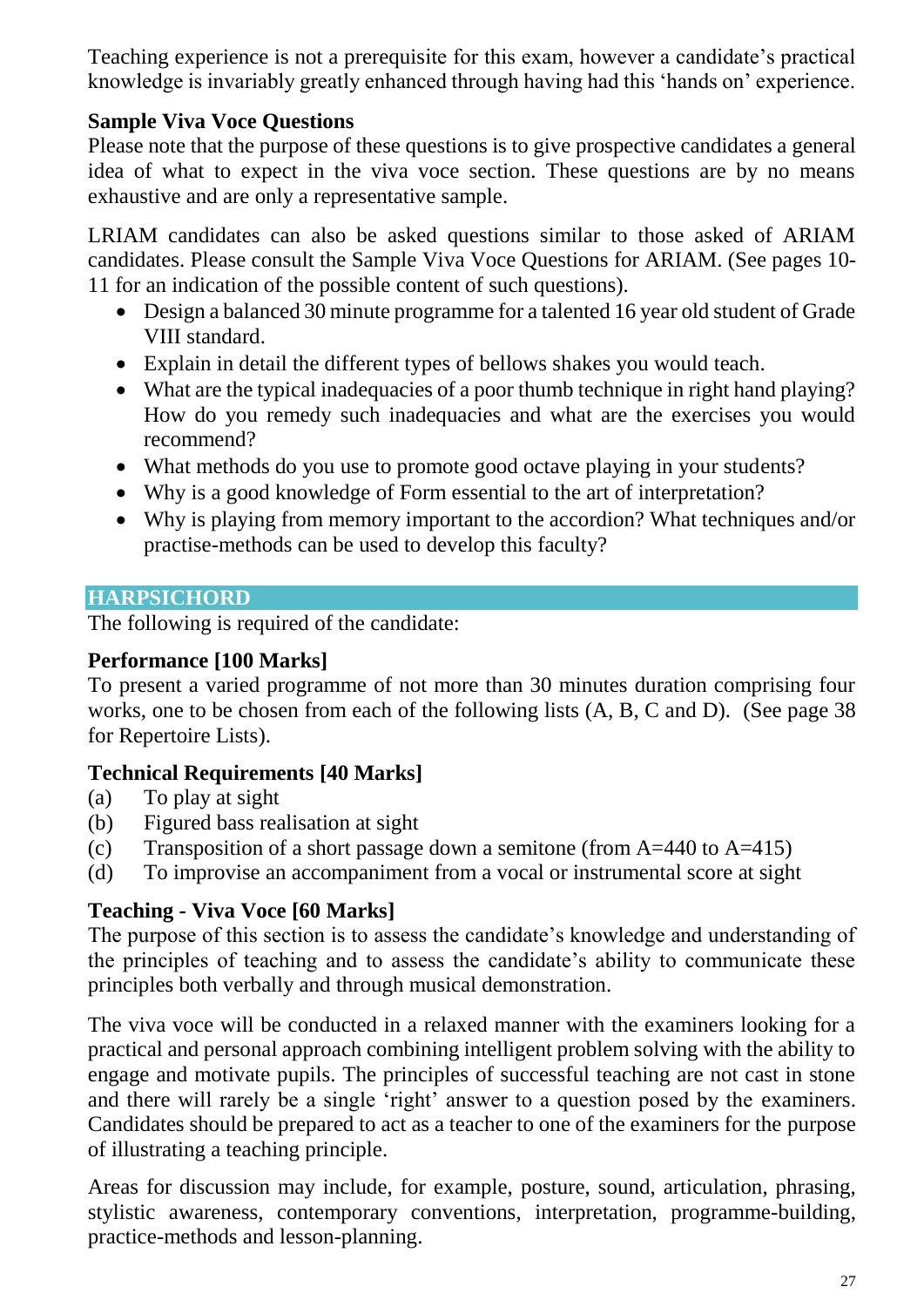Teaching experience is not a prerequisite for this exam, however a candidate's practical knowledge is invariably greatly enhanced through having had this 'hands on' experience.

### **Sample Viva Voce Questions**

Please note that the purpose of these questions is to give prospective candidates a general idea of what to expect in the viva voce section. These questions are by no means exhaustive and are only a representative sample.

LRIAM candidates can also be asked questions similar to those asked of ARIAM candidates. Please consult the Sample Viva Voce Questions for ARIAM. (See pages 10- 11 for an indication of the possible content of such questions).

- Design a balanced 30 minute programme for a talented 16 year old student of Grade VIII standard.
- Explain in detail the different types of bellows shakes you would teach.
- What are the typical inadequacies of a poor thumb technique in right hand playing? How do you remedy such inadequacies and what are the exercises you would recommend?
- What methods do you use to promote good octave playing in your students?
- Why is a good knowledge of Form essential to the art of interpretation?
- Why is playing from memory important to the accordion? What techniques and/or practise-methods can be used to develop this faculty?

### **HARPSICHORD**

The following is required of the candidate:

### **Performance [100 Marks]**

To present a varied programme of not more than 30 minutes duration comprising four works, one to be chosen from each of the following lists (A, B, C and D). (See page 38 for Repertoire Lists).

### **Technical Requirements [40 Marks]**

- (a) To play at sight
- (b) Figured bass realisation at sight
- (c) Transposition of a short passage down a semitone (from  $A=440$  to  $A=415$ )
- (d) To improvise an accompaniment from a vocal or instrumental score at sight

### **Teaching - Viva Voce [60 Marks]**

The purpose of this section is to assess the candidate's knowledge and understanding of the principles of teaching and to assess the candidate's ability to communicate these principles both verbally and through musical demonstration.

The viva voce will be conducted in a relaxed manner with the examiners looking for a practical and personal approach combining intelligent problem solving with the ability to engage and motivate pupils. The principles of successful teaching are not cast in stone and there will rarely be a single 'right' answer to a question posed by the examiners. Candidates should be prepared to act as a teacher to one of the examiners for the purpose of illustrating a teaching principle.

Areas for discussion may include, for example, posture, sound, articulation, phrasing, stylistic awareness, contemporary conventions, interpretation, programme-building, practice-methods and lesson-planning.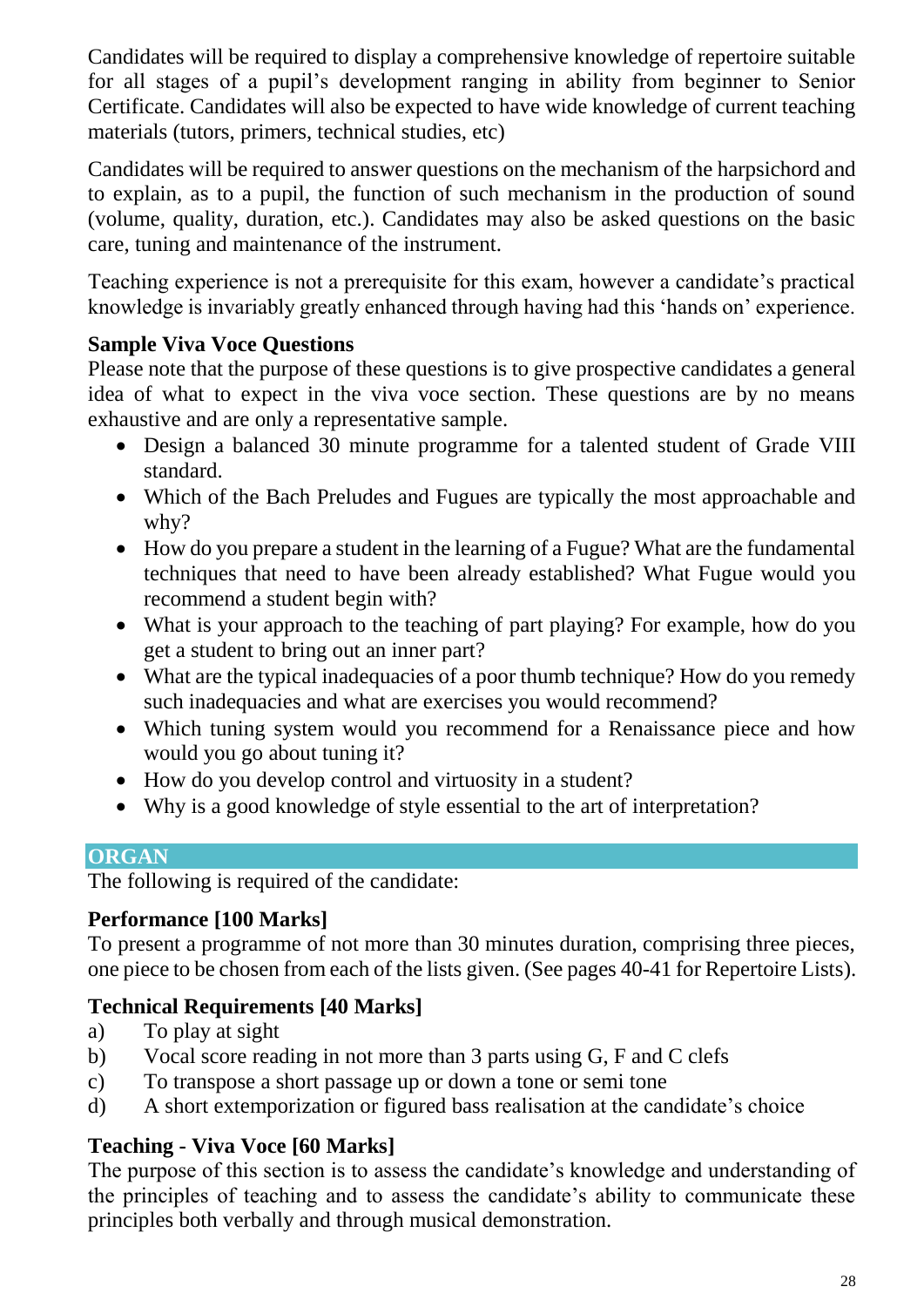Candidates will be required to display a comprehensive knowledge of repertoire suitable for all stages of a pupil's development ranging in ability from beginner to Senior Certificate. Candidates will also be expected to have wide knowledge of current teaching materials (tutors, primers, technical studies, etc)

Candidates will be required to answer questions on the mechanism of the harpsichord and to explain, as to a pupil, the function of such mechanism in the production of sound (volume, quality, duration, etc.). Candidates may also be asked questions on the basic care, tuning and maintenance of the instrument.

Teaching experience is not a prerequisite for this exam, however a candidate's practical knowledge is invariably greatly enhanced through having had this 'hands on' experience.

### **Sample Viva Voce Questions**

Please note that the purpose of these questions is to give prospective candidates a general idea of what to expect in the viva voce section. These questions are by no means exhaustive and are only a representative sample.

- Design a balanced 30 minute programme for a talented student of Grade VIII standard.
- Which of the Bach Preludes and Fugues are typically the most approachable and why?
- How do you prepare a student in the learning of a Fugue? What are the fundamental techniques that need to have been already established? What Fugue would you recommend a student begin with?
- What is your approach to the teaching of part playing? For example, how do you get a student to bring out an inner part?
- What are the typical inadequacies of a poor thumb technique? How do you remedy such inadequacies and what are exercises you would recommend?
- Which tuning system would you recommend for a Renaissance piece and how would you go about tuning it?
- How do you develop control and virtuosity in a student?
- Why is a good knowledge of style essential to the art of interpretation?

### **ORGAN**

The following is required of the candidate:

### **Performance [100 Marks]**

To present a programme of not more than 30 minutes duration, comprising three pieces, one piece to be chosen from each of the lists given. (See pages 40-41 for Repertoire Lists).

### **Technical Requirements [40 Marks]**

- a) To play at sight
- b) Vocal score reading in not more than 3 parts using G, F and C clefs
- c) To transpose a short passage up or down a tone or semi tone
- d) A short extemporization or figured bass realisation at the candidate's choice

# **Teaching - Viva Voce [60 Marks]**

The purpose of this section is to assess the candidate's knowledge and understanding of the principles of teaching and to assess the candidate's ability to communicate these principles both verbally and through musical demonstration.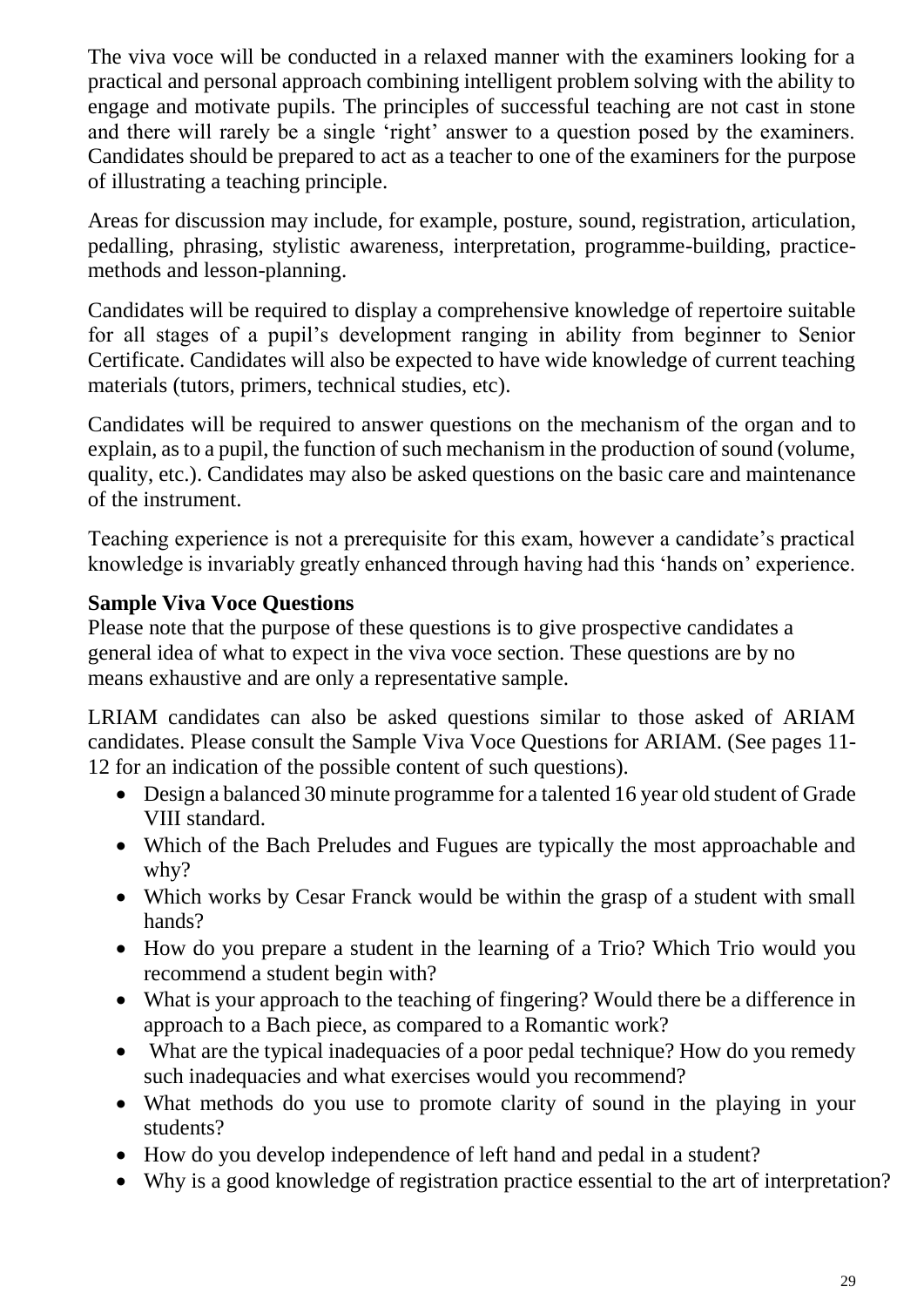The viva voce will be conducted in a relaxed manner with the examiners looking for a practical and personal approach combining intelligent problem solving with the ability to engage and motivate pupils. The principles of successful teaching are not cast in stone and there will rarely be a single 'right' answer to a question posed by the examiners. Candidates should be prepared to act as a teacher to one of the examiners for the purpose of illustrating a teaching principle.

Areas for discussion may include, for example, posture, sound, registration, articulation, pedalling, phrasing, stylistic awareness, interpretation, programme-building, practicemethods and lesson-planning.

Candidates will be required to display a comprehensive knowledge of repertoire suitable for all stages of a pupil's development ranging in ability from beginner to Senior Certificate. Candidates will also be expected to have wide knowledge of current teaching materials (tutors, primers, technical studies, etc).

Candidates will be required to answer questions on the mechanism of the organ and to explain, as to a pupil, the function of such mechanism in the production of sound (volume, quality, etc.). Candidates may also be asked questions on the basic care and maintenance of the instrument.

Teaching experience is not a prerequisite for this exam, however a candidate's practical knowledge is invariably greatly enhanced through having had this 'hands on' experience.

### **Sample Viva Voce Questions**

Please note that the purpose of these questions is to give prospective candidates a general idea of what to expect in the viva voce section. These questions are by no means exhaustive and are only a representative sample.

LRIAM candidates can also be asked questions similar to those asked of ARIAM candidates. Please consult the Sample Viva Voce Questions for ARIAM. (See pages 11- 12 for an indication of the possible content of such questions).

- Design a balanced 30 minute programme for a talented 16 year old student of Grade VIII standard.
- Which of the Bach Preludes and Fugues are typically the most approachable and why?
- Which works by Cesar Franck would be within the grasp of a student with small hands?
- How do you prepare a student in the learning of a Trio? Which Trio would you recommend a student begin with?
- What is your approach to the teaching of fingering? Would there be a difference in approach to a Bach piece, as compared to a Romantic work?
- What are the typical inadequacies of a poor pedal technique? How do you remedy such inadequacies and what exercises would you recommend?
- What methods do you use to promote clarity of sound in the playing in your students?
- How do you develop independence of left hand and pedal in a student?
- Why is a good knowledge of registration practice essential to the art of interpretation?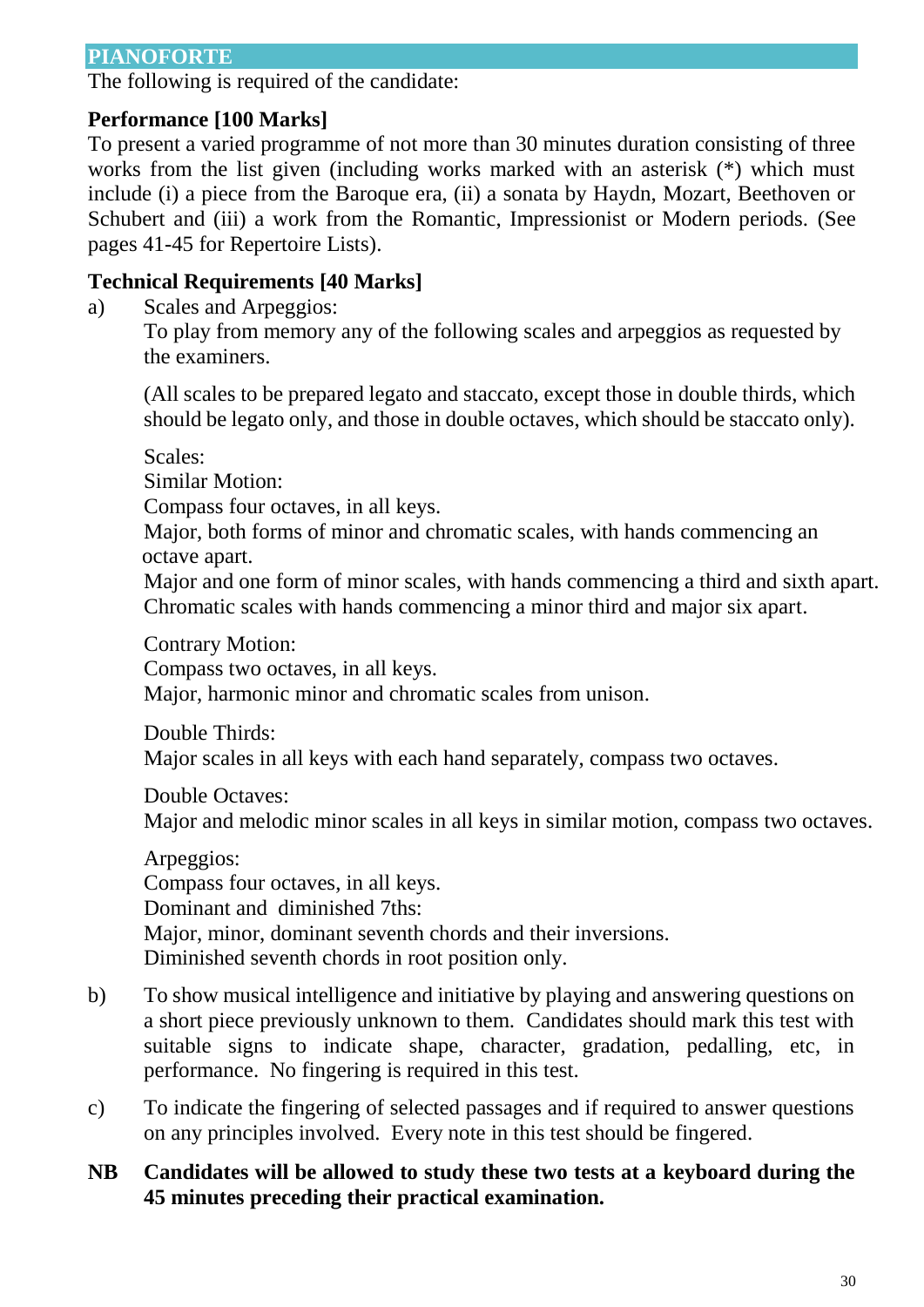#### **PIANOFORTE**

The following is required of the candidate:

#### **Performance [100 Marks]**

To present a varied programme of not more than 30 minutes duration consisting of three works from the list given (including works marked with an asterisk (\*) which must include (i) a piece from the Baroque era, (ii) a sonata by Haydn, Mozart, Beethoven or Schubert and (iii) a work from the Romantic, Impressionist or Modern periods. (See pages 41-45 for Repertoire Lists).

### **Technical Requirements [40 Marks]**

a) Scales and Arpeggios:

To play from memory any of the following scales and arpeggios as requested by the examiners.

(All scales to be prepared legato and staccato, except those in double thirds, which should be legato only, and those in double octaves, which should be staccato only).

Scales:

Similar Motion:

Compass four octaves, in all keys.

Major, both forms of minor and chromatic scales, with hands commencing an octave apart.

Major and one form of minor scales, with hands commencing a third and sixth apart. Chromatic scales with hands commencing a minor third and major six apart.

Contrary Motion:

Compass two octaves, in all keys.

Major, harmonic minor and chromatic scales from unison.

Double Thirds:

Major scales in all keys with each hand separately, compass two octaves.

Double Octaves:

Major and melodic minor scales in all keys in similar motion, compass two octaves.

Arpeggios: Compass four octaves, in all keys. Dominant and diminished 7ths: Major, minor, dominant seventh chords and their inversions. Diminished seventh chords in root position only.

- b) To show musical intelligence and initiative by playing and answering questions on a short piece previously unknown to them. Candidates should mark this test with suitable signs to indicate shape, character, gradation, pedalling, etc, in performance. No fingering is required in this test.
- c) To indicate the fingering of selected passages and if required to answer questions on any principles involved. Every note in this test should be fingered.
- **NB Candidates will be allowed to study these two tests at a keyboard during the 45 minutes preceding their practical examination.**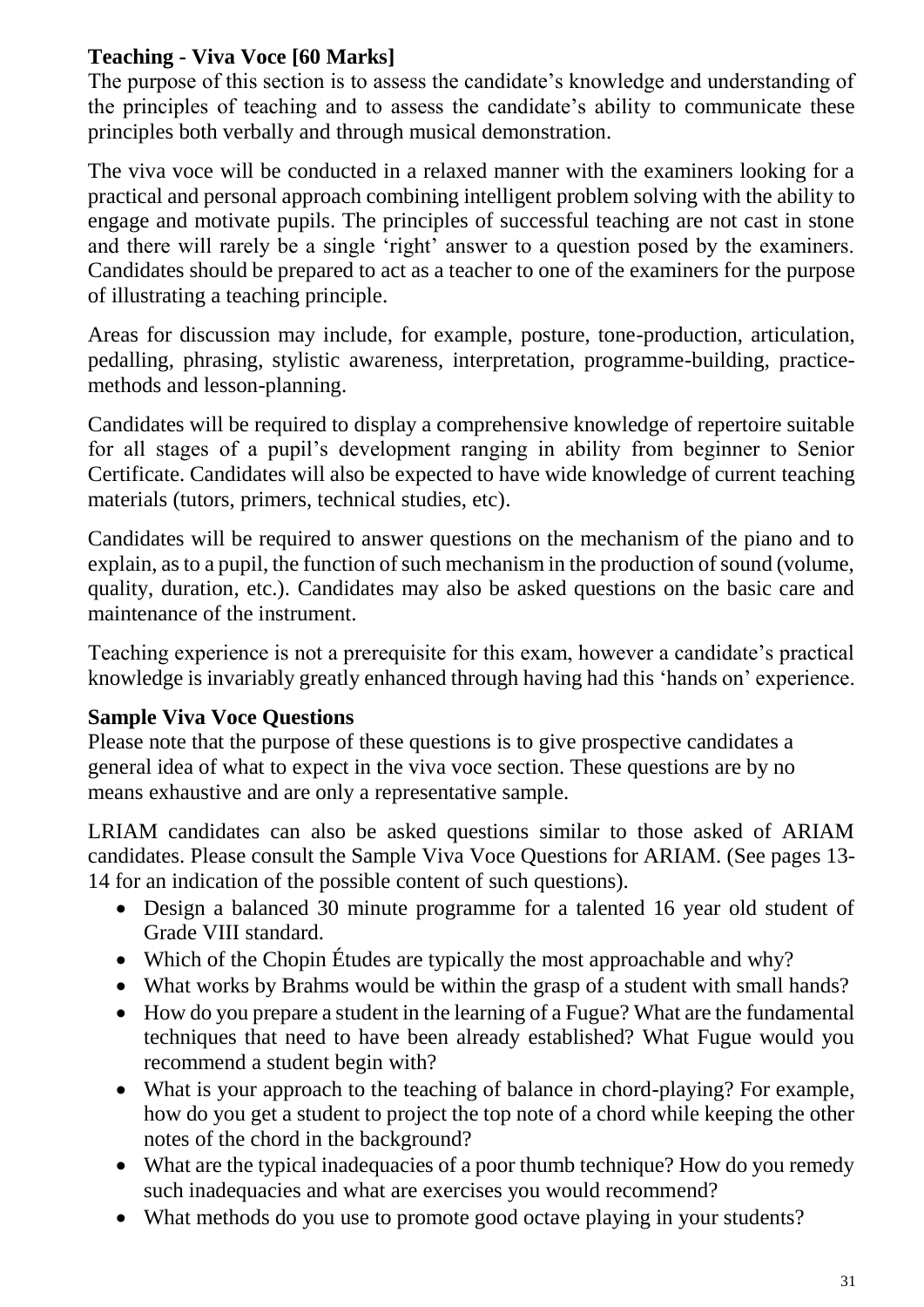# **Teaching - Viva Voce [60 Marks]**

The purpose of this section is to assess the candidate's knowledge and understanding of the principles of teaching and to assess the candidate's ability to communicate these principles both verbally and through musical demonstration.

The viva voce will be conducted in a relaxed manner with the examiners looking for a practical and personal approach combining intelligent problem solving with the ability to engage and motivate pupils. The principles of successful teaching are not cast in stone and there will rarely be a single 'right' answer to a question posed by the examiners. Candidates should be prepared to act as a teacher to one of the examiners for the purpose of illustrating a teaching principle.

Areas for discussion may include, for example, posture, tone-production, articulation, pedalling, phrasing, stylistic awareness, interpretation, programme-building, practicemethods and lesson-planning.

Candidates will be required to display a comprehensive knowledge of repertoire suitable for all stages of a pupil's development ranging in ability from beginner to Senior Certificate. Candidates will also be expected to have wide knowledge of current teaching materials (tutors, primers, technical studies, etc).

Candidates will be required to answer questions on the mechanism of the piano and to explain, as to a pupil, the function of such mechanism in the production of sound (volume, quality, duration, etc.). Candidates may also be asked questions on the basic care and maintenance of the instrument.

Teaching experience is not a prerequisite for this exam, however a candidate's practical knowledge is invariably greatly enhanced through having had this 'hands on' experience.

### **Sample Viva Voce Questions**

Please note that the purpose of these questions is to give prospective candidates a general idea of what to expect in the viva voce section. These questions are by no means exhaustive and are only a representative sample.

LRIAM candidates can also be asked questions similar to those asked of ARIAM candidates. Please consult the Sample Viva Voce Questions for ARIAM. (See pages 13- 14 for an indication of the possible content of such questions).

- Design a balanced 30 minute programme for a talented 16 year old student of Grade VIII standard.
- Which of the Chopin Études are typically the most approachable and why?
- What works by Brahms would be within the grasp of a student with small hands?
- How do you prepare a student in the learning of a Fugue? What are the fundamental techniques that need to have been already established? What Fugue would you recommend a student begin with?
- What is your approach to the teaching of balance in chord-playing? For example, how do you get a student to project the top note of a chord while keeping the other notes of the chord in the background?
- What are the typical inadequacies of a poor thumb technique? How do you remedy such inadequacies and what are exercises you would recommend?
- What methods do you use to promote good octave playing in your students?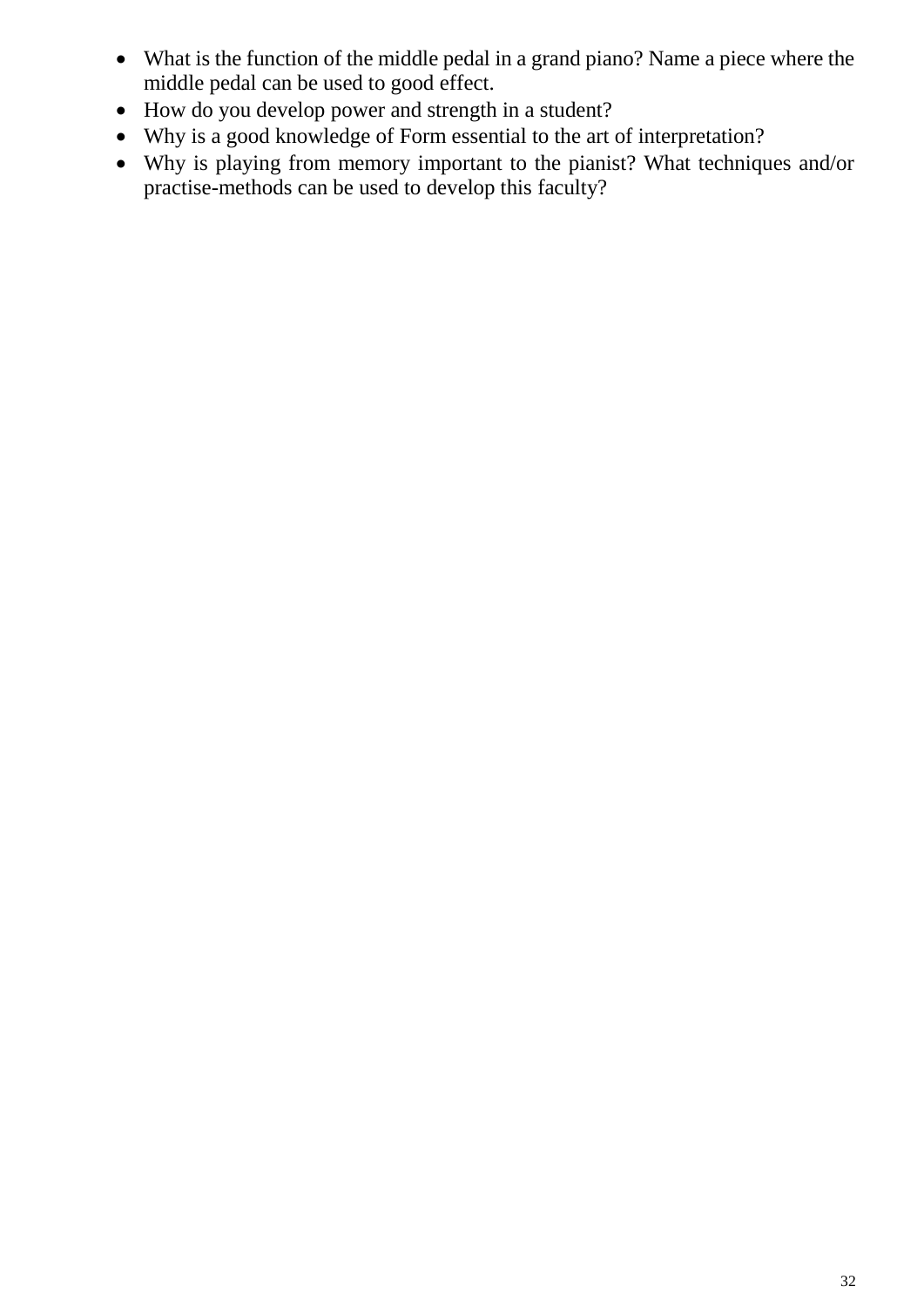- What is the function of the middle pedal in a grand piano? Name a piece where the middle pedal can be used to good effect.
- How do you develop power and strength in a student?
- Why is a good knowledge of Form essential to the art of interpretation?
- Why is playing from memory important to the pianist? What techniques and/or practise-methods can be used to develop this faculty?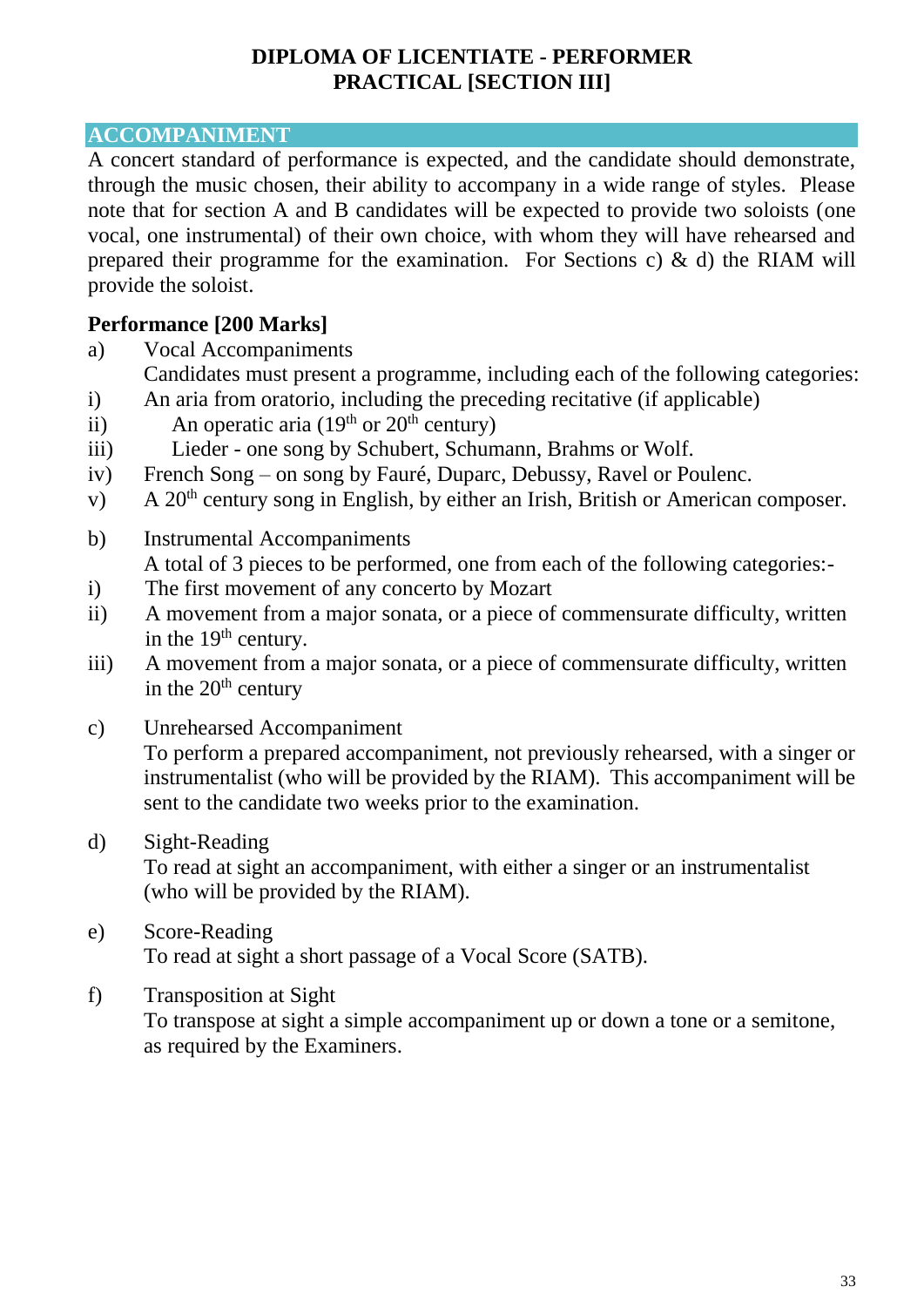#### **DIPLOMA OF LICENTIATE - PERFORMER PRACTICAL [SECTION III]**

### **ACCOMPANIMENT**

A concert standard of performance is expected, and the candidate should demonstrate, through the music chosen, their ability to accompany in a wide range of styles. Please note that for section A and B candidates will be expected to provide two soloists (one vocal, one instrumental) of their own choice, with whom they will have rehearsed and prepared their programme for the examination. For Sections c) & d) the RIAM will provide the soloist.

### **Performance [200 Marks]**

- a) Vocal Accompaniments
- Candidates must present a programme, including each of the following categories: i) An aria from oratorio, including the preceding recitative (if applicable)
- ii) An operatic aria (19<sup>th</sup> or 20<sup>th</sup> century)
- iii) Lieder one song by Schubert, Schumann, Brahms or Wolf.
- iv) French Song on song by Fauré, Duparc, Debussy, Ravel or Poulenc.
- v) A  $20<sup>th</sup>$  century song in English, by either an Irish, British or American composer.
- b) Instrumental Accompaniments A total of 3 pieces to be performed, one from each of the following categories:-
- i) The first movement of any concerto by Mozart
- ii) A movement from a major sonata, or a piece of commensurate difficulty, written in the  $19<sup>th</sup>$  century.
- iii) A movement from a major sonata, or a piece of commensurate difficulty, written in the  $20<sup>th</sup>$  century
- c) Unrehearsed Accompaniment To perform a prepared accompaniment, not previously rehearsed, with a singer or instrumentalist (who will be provided by the RIAM). This accompaniment will be sent to the candidate two weeks prior to the examination.
- d) Sight-Reading

To read at sight an accompaniment, with either a singer or an instrumentalist (who will be provided by the RIAM).

- e) Score-Reading To read at sight a short passage of a Vocal Score (SATB).
- f) Transposition at Sight To transpose at sight a simple accompaniment up or down a tone or a semitone, as required by the Examiners.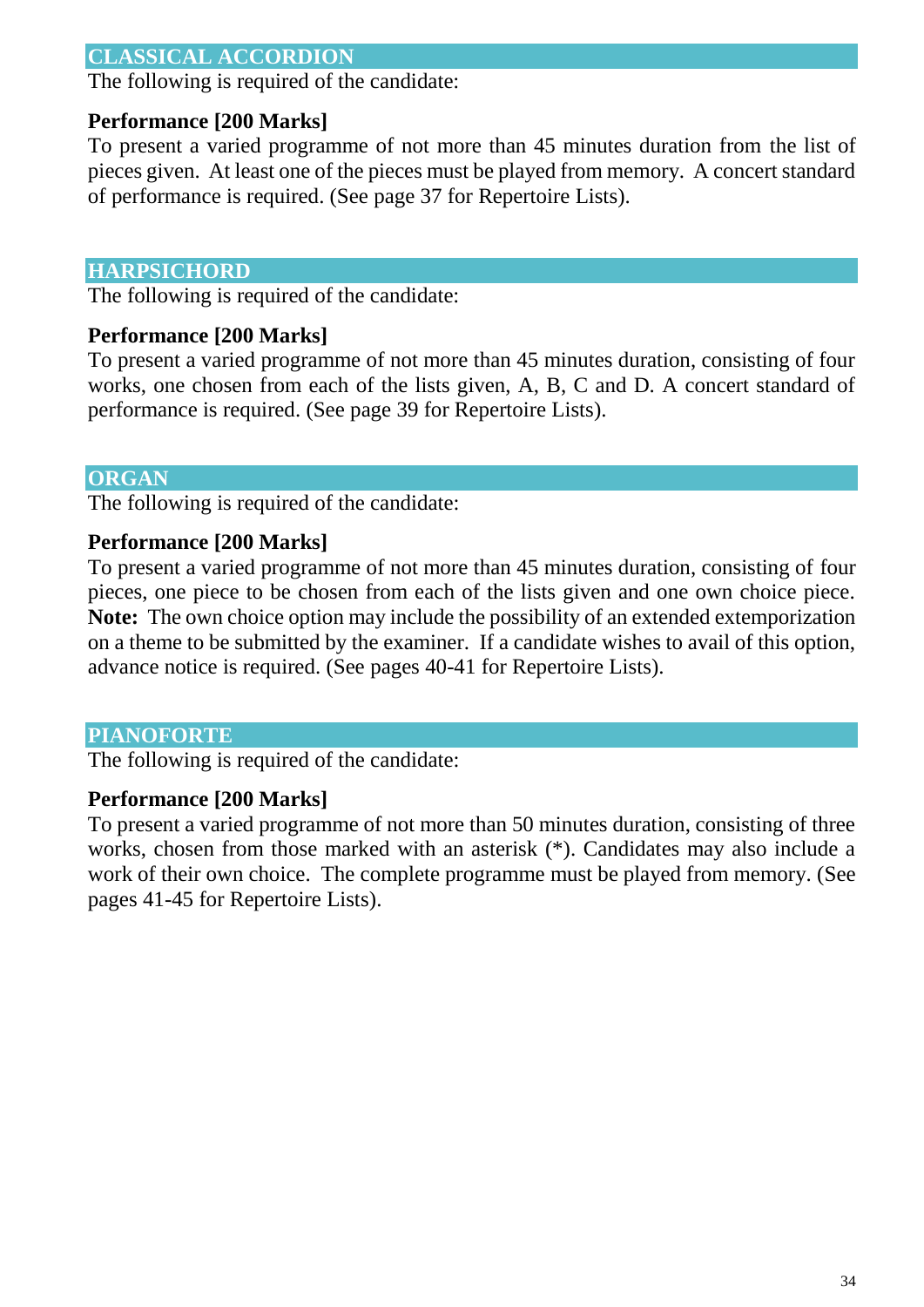### **CLASSICAL ACCORDION**

The following is required of the candidate:

#### **Performance [200 Marks]**

To present a varied programme of not more than 45 minutes duration from the list of pieces given. At least one of the pieces must be played from memory. A concert standard of performance is required. (See page 37 for Repertoire Lists).

#### **HARPSICHORD**

The following is required of the candidate:

#### **Performance [200 Marks]**

To present a varied programme of not more than 45 minutes duration, consisting of four works, one chosen from each of the lists given, A, B, C and D. A concert standard of performance is required. (See page 39 for Repertoire Lists).

#### **ORGAN**

The following is required of the candidate:

#### **Performance [200 Marks]**

To present a varied programme of not more than 45 minutes duration, consisting of four pieces, one piece to be chosen from each of the lists given and one own choice piece. **Note:** The own choice option may include the possibility of an extended extemporization on a theme to be submitted by the examiner. If a candidate wishes to avail of this option, advance notice is required. (See pages 40-41 for Repertoire Lists).

#### **PIANOFORTE**

The following is required of the candidate:

#### **Performance [200 Marks]**

To present a varied programme of not more than 50 minutes duration, consisting of three works, chosen from those marked with an asterisk (\*). Candidates may also include a work of their own choice. The complete programme must be played from memory. (See pages 41-45 for Repertoire Lists).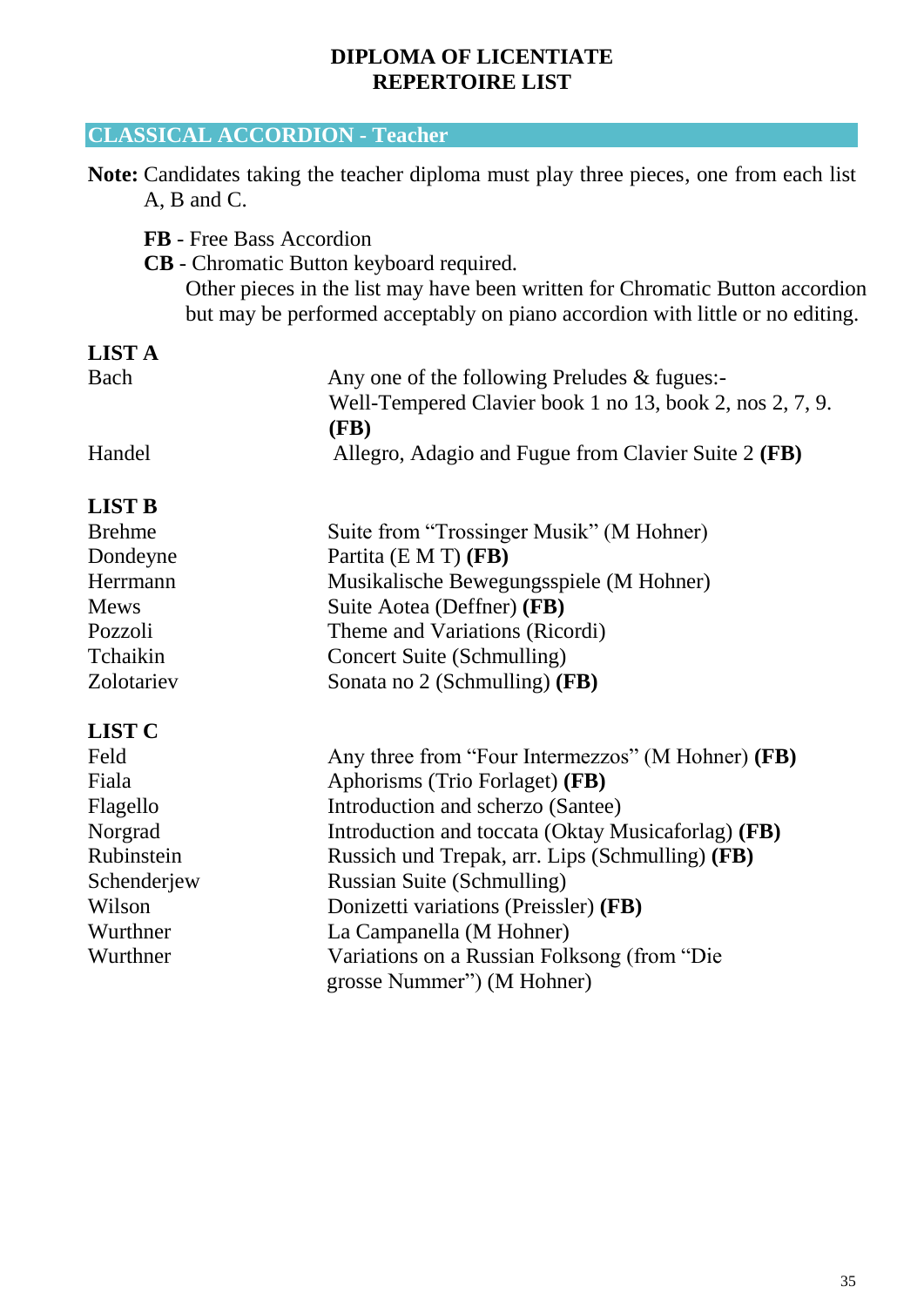#### **DIPLOMA OF LICENTIATE REPERTOIRE LIST**

### **CLASSICAL ACCORDION - Teacher**

**Note:** Candidates taking the teacher diploma must play three pieces, one from each list A, B and C.

- **FB** Free Bass Accordion
- **CB** Chromatic Button keyboard required. Other pieces in the list may have been written for Chromatic Button accordion but may be performed acceptably on piano accordion with little or no editing.

| Bach   | Any one of the following Preludes $\&$ fugues:-          |
|--------|----------------------------------------------------------|
|        | Well-Tempered Clavier book 1 no 13, book 2, nos 2, 7, 9. |
|        | (FB)                                                     |
| Handel | Allegro, Adagio and Fugue from Clavier Suite 2 (FB)      |

#### **LIST B**

| <b>Brehme</b> | Suite from "Trossinger Musik" (M Hohner)                                  |  |
|---------------|---------------------------------------------------------------------------|--|
| Dondeyne      | Partita (E M T) (FB)                                                      |  |
| Herrmann      | Musikalische Bewegungsspiele (M Hohner)                                   |  |
| <b>Mews</b>   | Suite Aotea (Deffner) (FB)                                                |  |
| Pozzoli       | Theme and Variations (Ricordi)                                            |  |
| Tchaikin      | Concert Suite (Schmulling)                                                |  |
| Zolotariev    | Sonata no 2 (Schmulling) (FB)                                             |  |
| <b>LIST C</b> |                                                                           |  |
| Feld          | Any three from "Four Intermezzos" (M Hohner) (FB)                         |  |
| Fiala         | Aphorisms (Trio Forlaget) (FB)                                            |  |
| Flagello      | Introduction and scherzo (Santee)                                         |  |
| Norgrad       | Introduction and toccata (Oktay Musicaforlag) (FB)                        |  |
| Rubinstein    | Russich und Trepak, arr. Lips (Schmulling) (FB)                           |  |
| Schenderjew   | Russian Suite (Schmulling)                                                |  |
| Wilson        | Donizetti variations (Preissler) (FB)                                     |  |
| Wurthner      | La Campanella (M Hohner)                                                  |  |
| Wurthner      | Variations on a Russian Folksong (from "Die<br>grosse Nummer") (M Hohner) |  |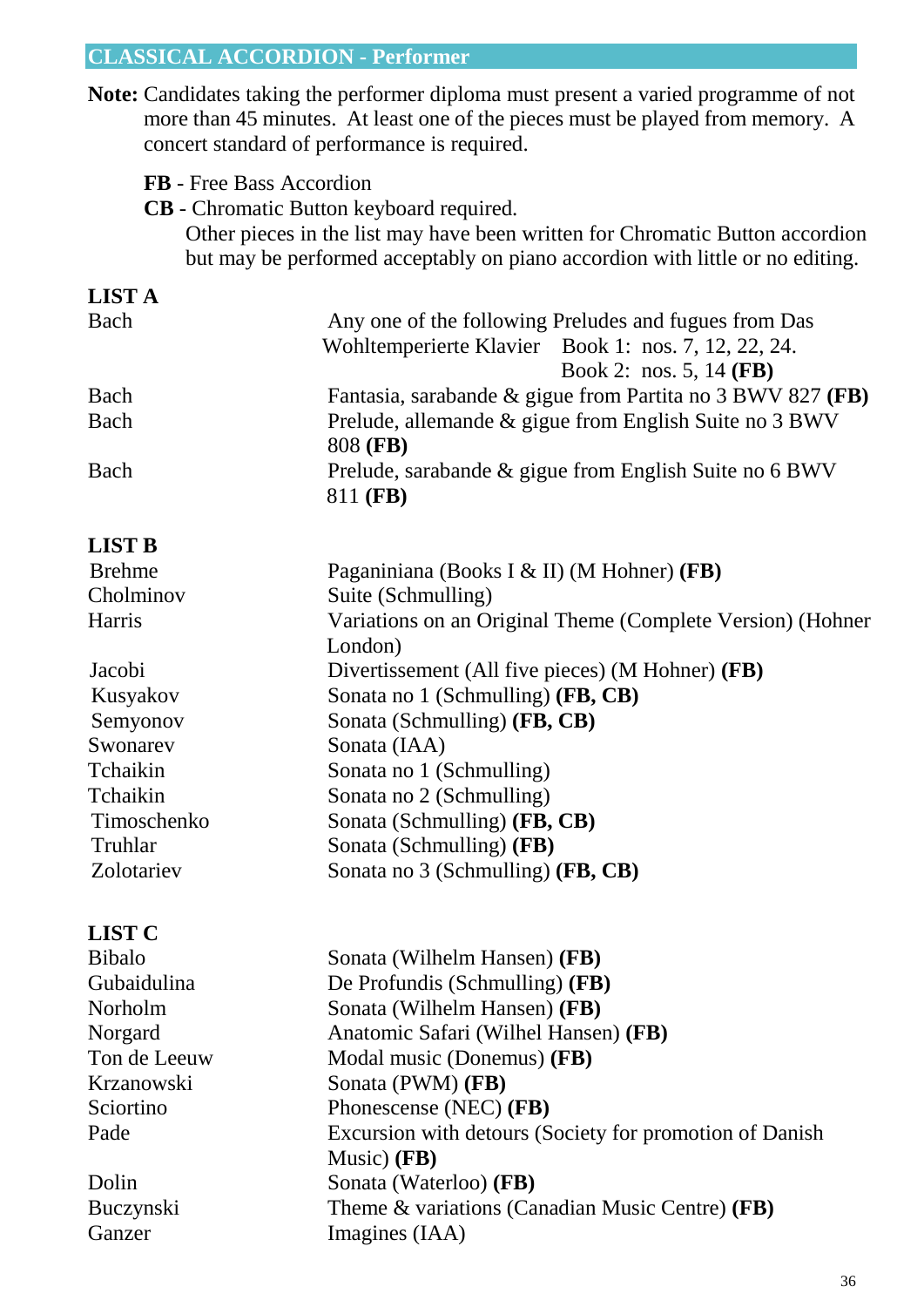### **CLASSICAL ACCORDION - Performer**

**Note:** Candidates taking the performer diploma must present a varied programme of not more than 45 minutes. At least one of the pieces must be played from memory. A concert standard of performance is required.

- **FB** Free Bass Accordion
- **CB** Chromatic Button keyboard required.

Ton de Leeuw **Modal music (Donemus) <b>(FB)** 

Music) **(FB)**

Krzanowski Sonata (PWM) **(FB)**

Sciortino Phonescense (NEC) **(FB)**

Dolin Sonata (Waterloo) **(FB)**

Ganzer Imagines (IAA)

Other pieces in the list may have been written for Chromatic Button accordion but may be performed acceptably on piano accordion with little or no editing.

| <b>LIST A</b> |                                                                    |
|---------------|--------------------------------------------------------------------|
| Bach          | Any one of the following Preludes and fugues from Das              |
|               | Wohltemperierte Klavier Book 1: nos. 7, 12, 22, 24.                |
|               | Book 2: nos. 5, 14 (FB)                                            |
| Bach          | Fantasia, sarabande & gigue from Partita no 3 BWV 827 (FB)         |
| Bach          | Prelude, allemande & gigue from English Suite no 3 BWV<br>808 (FB) |
| Bach          | Prelude, sarabande & gigue from English Suite no 6 BWV<br>811 (FB) |
| <b>LIST B</b> |                                                                    |
| <b>Brehme</b> | Paganiniana (Books I & II) (M Hohner) (FB)                         |
| Cholminov     | Suite (Schmulling)                                                 |
| Harris        | Variations on an Original Theme (Complete Version) (Hohner         |
|               | London)                                                            |
| Jacobi        | Divertissement (All five pieces) (M Hohner) (FB)                   |
| Kusyakov      | Sonata no 1 (Schmulling) (FB, CB)                                  |
| Semyonov      | Sonata (Schmulling) (FB, CB)                                       |
| Swonarev      | Sonata (IAA)                                                       |
| Tchaikin      | Sonata no 1 (Schmulling)                                           |
| Tchaikin      | Sonata no 2 (Schmulling)                                           |
| Timoschenko   | Sonata (Schmulling) (FB, CB)                                       |
| Truhlar       | Sonata (Schmulling) (FB)                                           |
| Zolotariev    | Sonata no 3 (Schmulling) (FB, CB)                                  |
| <b>LIST C</b> |                                                                    |
| <b>Bibalo</b> | Sonata (Wilhelm Hansen) (FB)                                       |
| Gubaidulina   | De Profundis (Schmulling) (FB)                                     |
| Norholm       | Sonata (Wilhelm Hansen) (FB)                                       |
| Norgard       | Anatomic Safari (Wilhel Hansen) (FB)                               |

Pade Excursion with detours (Society for promotion of Danish

Buczynski Theme & variations (Canadian Music Centre) **(FB)**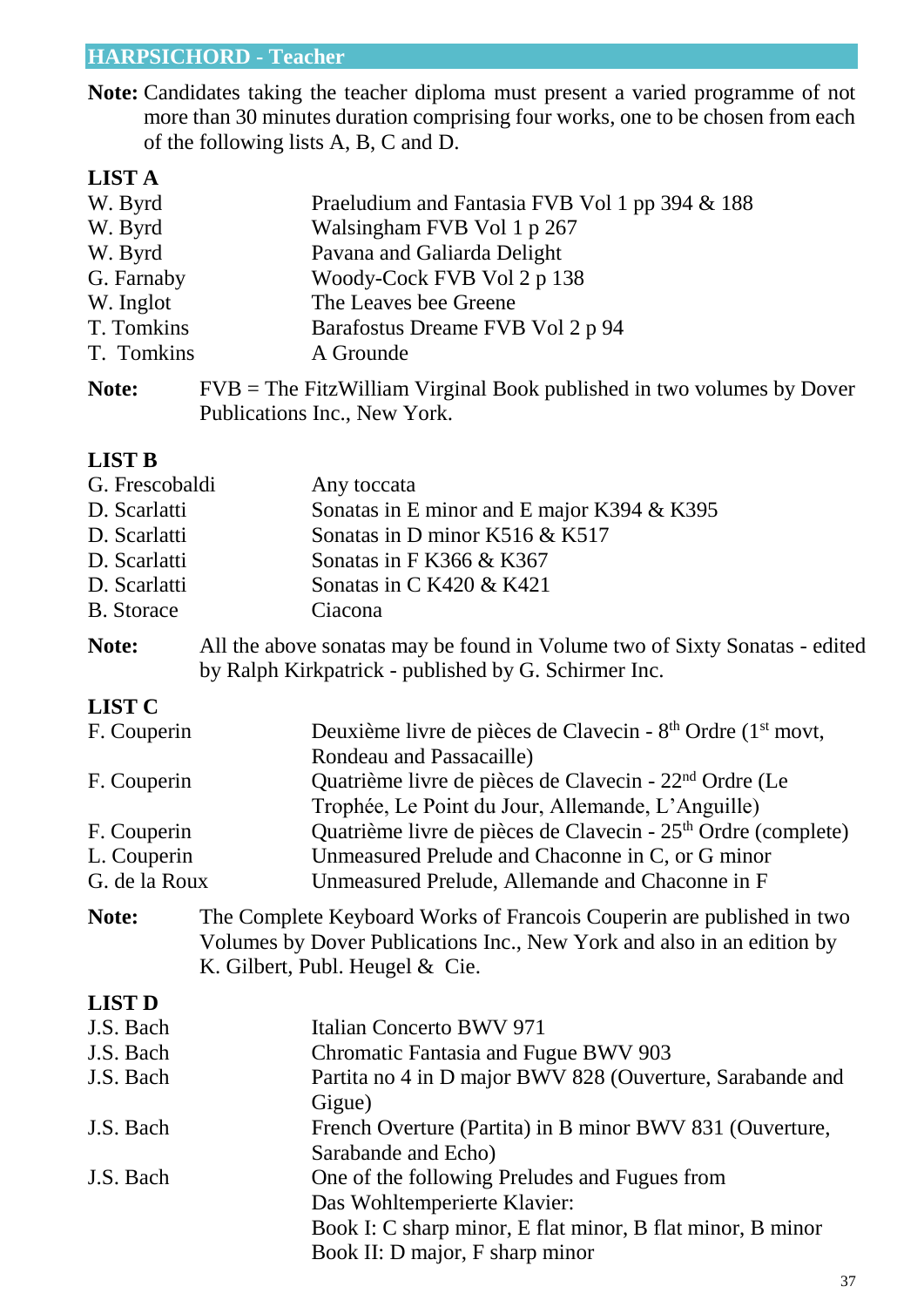### **HARPSICHORD - Teacher**

**Note:** Candidates taking the teacher diploma must present a varied programme of not more than 30 minutes duration comprising four works, one to be chosen from each of the following lists A, B, C and D.

#### **LIST A**

| W. Byrd    | Praeludium and Fantasia FVB Vol 1 pp 394 & 188                          |
|------------|-------------------------------------------------------------------------|
| W. Byrd    | Walsingham FVB Vol 1 p 267                                              |
| W. Byrd    | Pavana and Galiarda Delight                                             |
| G. Farnaby | Woody-Cock FVB Vol 2 p 138                                              |
| W. Inglot  | The Leaves bee Greene                                                   |
| T. Tomkins | Barafostus Dreame FVB Vol 2 p 94                                        |
| T. Tomkins | A Grounde                                                               |
| Note:      | $FVB$ = The FitzWilliam Virginal Book published in two volumes by Dover |

| Publications Inc., New York. |  |  |  |
|------------------------------|--|--|--|
|------------------------------|--|--|--|

#### **LIST B**

| G. Frescobaldi    | Any toccata                                |
|-------------------|--------------------------------------------|
| D. Scarlatti      | Sonatas in E minor and E major K394 & K395 |
| D. Scarlatti      | Sonatas in D minor K516 & K517             |
| D. Scarlatti      | Sonatas in F K366 & K367                   |
| D. Scarlatti      | Sonatas in C K420 & K421                   |
| <b>B.</b> Storace | Ciacona                                    |
|                   |                                            |

**Note:** All the above sonatas may be found in Volume two of Sixty Sonatas - edited by Ralph Kirkpatrick - published by G. Schirmer Inc.

### **LIST C**

| F. Couperin   | Deuxième livre de pièces de Clavecin - 8 <sup>th</sup> Ordre (1 <sup>st</sup> movt, |
|---------------|-------------------------------------------------------------------------------------|
|               | Rondeau and Passacaille)                                                            |
| F. Couperin   | Quatrième livre de pièces de Clavecin - 22 <sup>nd</sup> Ordre (Le                  |
|               | Trophée, Le Point du Jour, Allemande, L'Anguille)                                   |
| F. Couperin   | Quatrième livre de pièces de Clavecin - 25 <sup>th</sup> Ordre (complete)           |
| L. Couperin   | Unmeasured Prelude and Chaconne in C, or G minor                                    |
| G. de la Roux | Unmeasured Prelude, Allemande and Chaconne in F                                     |
|               |                                                                                     |

**Note:** The Complete Keyboard Works of Francois Couperin are published in two Volumes by Dover Publications Inc., New York and also in an edition by K. Gilbert, Publ. Heugel & Cie.

#### **LIST D**

| J.S. Bach | Italian Concerto BWV 971                                   |
|-----------|------------------------------------------------------------|
| J.S. Bach | Chromatic Fantasia and Fugue BWV 903                       |
| J.S. Bach | Partita no 4 in D major BWV 828 (Ouverture, Sarabande and  |
|           | Gigue)                                                     |
| J.S. Bach | French Overture (Partita) in B minor BWV 831 (Ouverture,   |
|           | Sarabande and Echo)                                        |
| J.S. Bach | One of the following Preludes and Fugues from              |
|           | Das Wohltemperierte Klavier:                               |
|           | Book I: C sharp minor, E flat minor, B flat minor, B minor |
|           | Book II: D major, F sharp minor                            |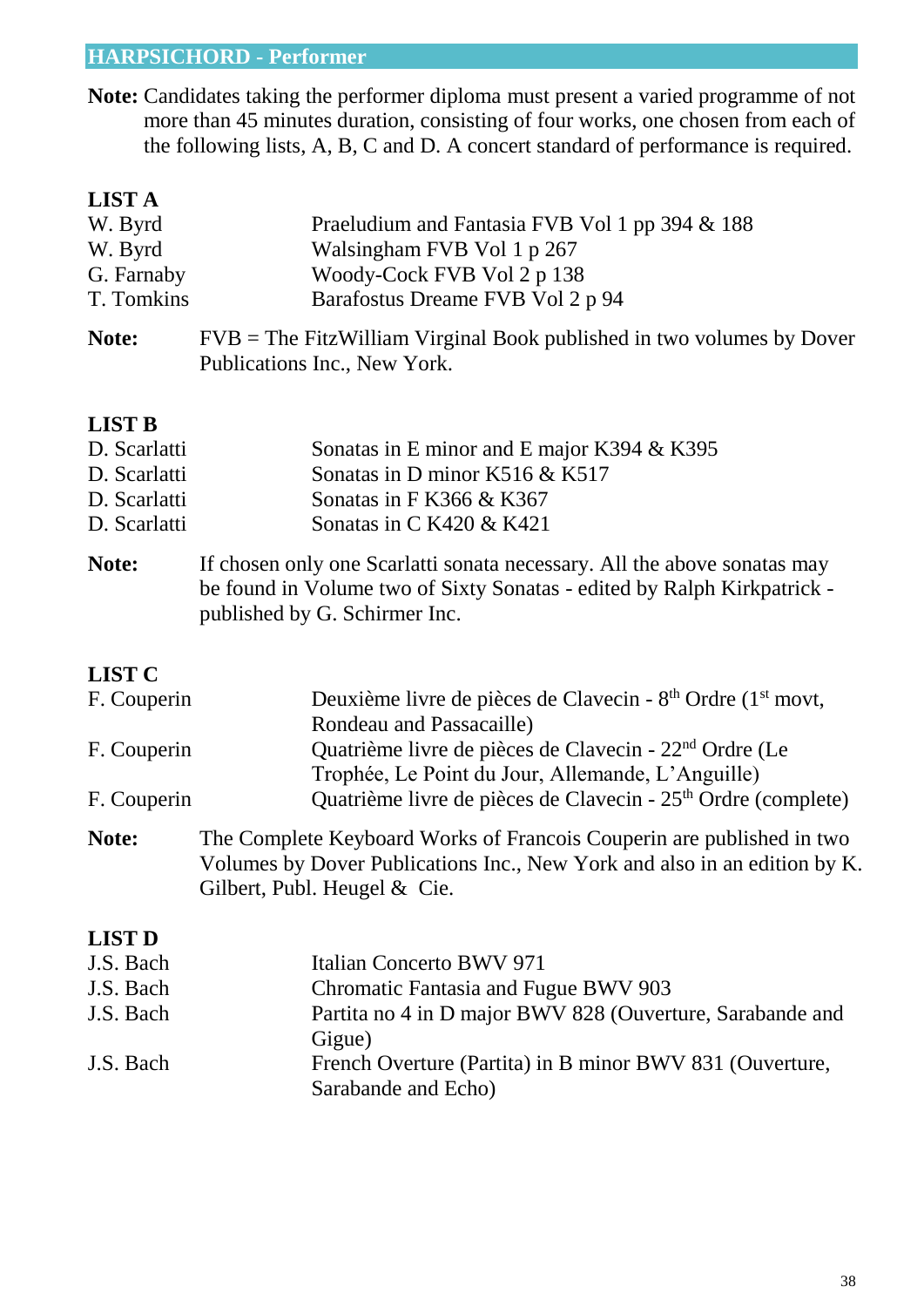### **HARPSICHORD - Performer**

**Note:** Candidates taking the performer diploma must present a varied programme of not more than 45 minutes duration, consisting of four works, one chosen from each of the following lists, A, B, C and D. A concert standard of performance is required.

| <b>LIST A</b> |                                                                                                                                                                                      |  |
|---------------|--------------------------------------------------------------------------------------------------------------------------------------------------------------------------------------|--|
| W. Byrd       | Praeludium and Fantasia FVB Vol 1 pp 394 & 188                                                                                                                                       |  |
| W. Byrd       | Walsingham FVB Vol 1 p 267                                                                                                                                                           |  |
| G. Farnaby    | Woody-Cock FVB Vol 2 p 138                                                                                                                                                           |  |
| T. Tomkins    | Barafostus Dreame FVB Vol 2 p 94                                                                                                                                                     |  |
| Note:         | $FVB$ = The FitzWilliam Virginal Book published in two volumes by Dover<br>Publications Inc., New York.                                                                              |  |
| <b>LIST B</b> |                                                                                                                                                                                      |  |
| D. Scarlatti  | Sonatas in E minor and E major K394 & K395                                                                                                                                           |  |
| D. Scarlatti  | Sonatas in D minor $K516 \& K517$                                                                                                                                                    |  |
| D. Scarlatti  | Sonatas in F K366 & K367                                                                                                                                                             |  |
| D. Scarlatti  | Sonatas in C K420 & K421                                                                                                                                                             |  |
| Note:         | If chosen only one Scarlatti sonata necessary. All the above sonatas may<br>be found in Volume two of Sixty Sonatas - edited by Ralph Kirkpatrick -<br>published by G. Schirmer Inc. |  |

### **LIST C**

| F. Couperin   | Deuxième livre de pièces de Clavecin - 8 <sup>th</sup> Ordre (1 <sup>st</sup> movt,                                                                                                  |  |
|---------------|--------------------------------------------------------------------------------------------------------------------------------------------------------------------------------------|--|
|               | Rondeau and Passacaille)                                                                                                                                                             |  |
| F. Couperin   | Quatrième livre de pièces de Clavecin - 22 <sup>nd</sup> Ordre (Le                                                                                                                   |  |
|               | Trophée, Le Point du Jour, Allemande, L'Anguille)                                                                                                                                    |  |
| F. Couperin   | Quatrième livre de pièces de Clavecin - 25 <sup>th</sup> Ordre (complete)                                                                                                            |  |
| Note:         | The Complete Keyboard Works of Francois Couperin are published in two<br>Volumes by Dover Publications Inc., New York and also in an edition by K.<br>Gilbert, Publ. Heugel $&$ Cie. |  |
| <b>LIST D</b> |                                                                                                                                                                                      |  |
| J.S. Bach     | Italian Concerto BWV 971                                                                                                                                                             |  |
| J.S. Bach     | Chromatic Fantasia and Fugue BWV 903                                                                                                                                                 |  |
| J.S. Bach     | Partita no 4 in D major BWV 828 (Ouverture, Sarabande and                                                                                                                            |  |

| J.S. Bach | French Overture (Partita) in B minor BWV 831 (Ouverture, |
|-----------|----------------------------------------------------------|
|           | Sarabande and Echo)                                      |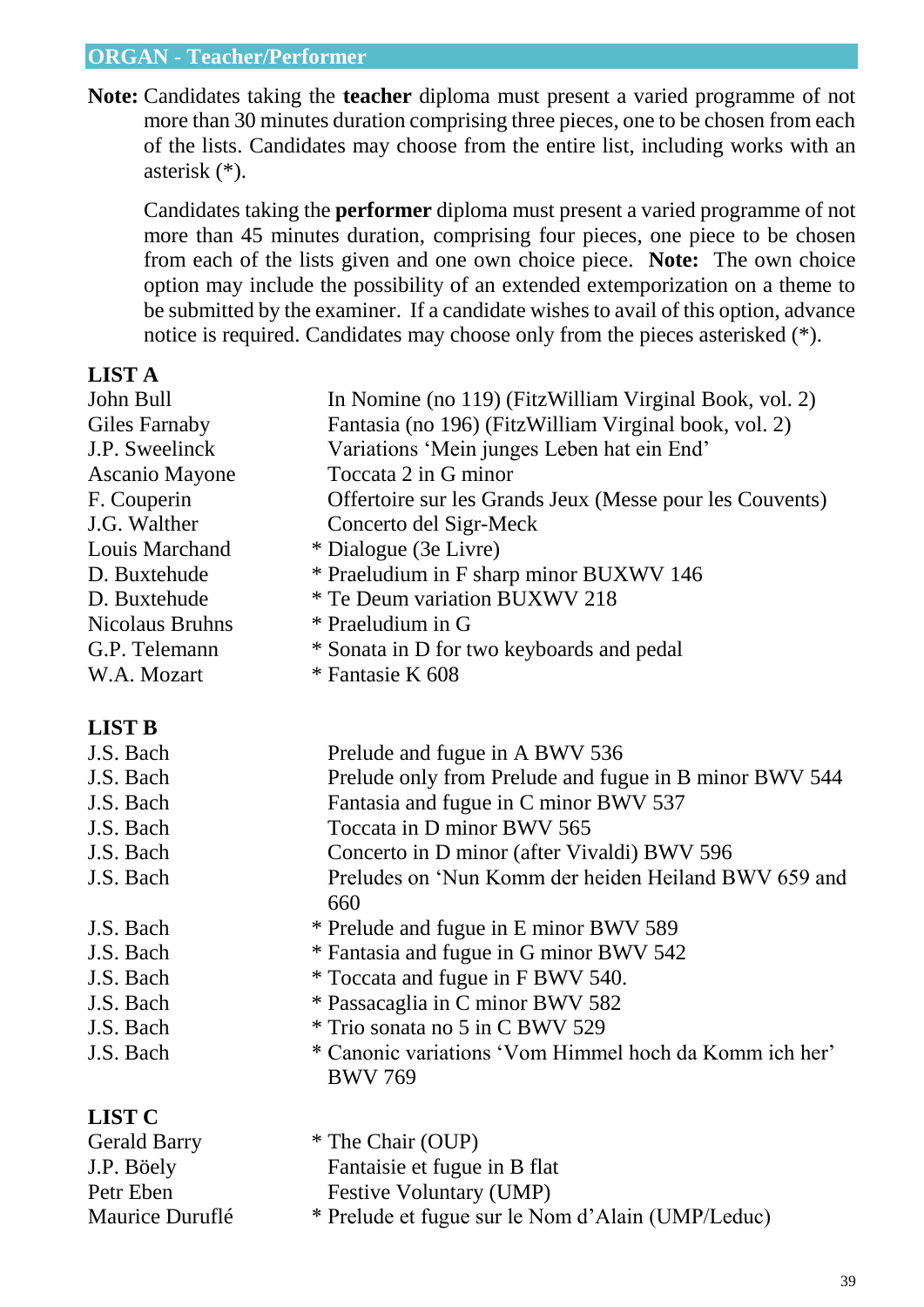#### **ORGAN - Teacher/Performer**

**Note:** Candidates taking the **teacher** diploma must present a varied programme of not more than 30 minutes duration comprising three pieces, one to be chosen from each of the lists. Candidates may choose from the entire list, including works with an asterisk (\*).

Candidates taking the **performer** diploma must present a varied programme of not more than 45 minutes duration, comprising four pieces, one piece to be chosen from each of the lists given and one own choice piece. **Note:** The own choice option may include the possibility of an extended extemporization on a theme to be submitted by the examiner. If a candidate wishes to avail of this option, advance notice is required. Candidates may choose only from the pieces asterisked (\*).

| <b>LIST A</b>          |                                                                          |
|------------------------|--------------------------------------------------------------------------|
| John Bull              | In Nomine (no 119) (FitzWilliam Virginal Book, vol. 2)                   |
| <b>Giles Farnaby</b>   | Fantasia (no 196) (FitzWilliam Virginal book, vol. 2)                    |
| J.P. Sweelinck         | Variations 'Mein junges Leben hat ein End'                               |
| <b>Ascanio Mayone</b>  | Toccata 2 in G minor                                                     |
| F. Couperin            | Offertoire sur les Grands Jeux (Messe pour les Couvents)                 |
| J.G. Walther           | Concerto del Sigr-Meck                                                   |
| Louis Marchand         | * Dialogue (3e Livre)                                                    |
| D. Buxtehude           | * Praeludium in F sharp minor BUXWV 146                                  |
| D. Buxtehude           | * Te Deum variation BUXWV 218                                            |
| <b>Nicolaus Bruhns</b> | * Praeludium in G                                                        |
| G.P. Telemann          | * Sonata in D for two keyboards and pedal                                |
| W.A. Mozart            | * Fantasie K 608                                                         |
| <b>LIST B</b>          |                                                                          |
| J.S. Bach              | Prelude and fugue in A BWV 536                                           |
| J.S. Bach              | Prelude only from Prelude and fugue in B minor BWV 544                   |
| J.S. Bach              | Fantasia and fugue in C minor BWV 537                                    |
| J.S. Bach              | Toccata in D minor BWV 565                                               |
| J.S. Bach              | Concerto in D minor (after Vivaldi) BWV 596                              |
| J.S. Bach              | Preludes on 'Nun Komm der heiden Heiland BWV 659 and<br>660              |
| J.S. Bach              | * Prelude and fugue in E minor BWV 589                                   |
| J.S. Bach              | * Fantasia and fugue in G minor BWV 542                                  |
| J.S. Bach              | * Toccata and fugue in F BWV 540.                                        |
| J.S. Bach              | * Passacaglia in C minor BWV 582                                         |
| J.S. Bach              | * Trio sonata no 5 in C BWV 529                                          |
| J.S. Bach              | * Canonic variations 'Vom Himmel hoch da Komm ich her'<br><b>BWV 769</b> |
| <b>LIST C</b>          |                                                                          |
| <b>Gerald Barry</b>    | * The Chair (OUP)                                                        |
| J.P. Böely             | Fantaisie et fugue in B flat                                             |
| Petr Eben              | Festive Voluntary (UMP)                                                  |
| Maurice Duruflé        | * Prelude et fugue sur le Nom d'Alain (UMP/Leduc)                        |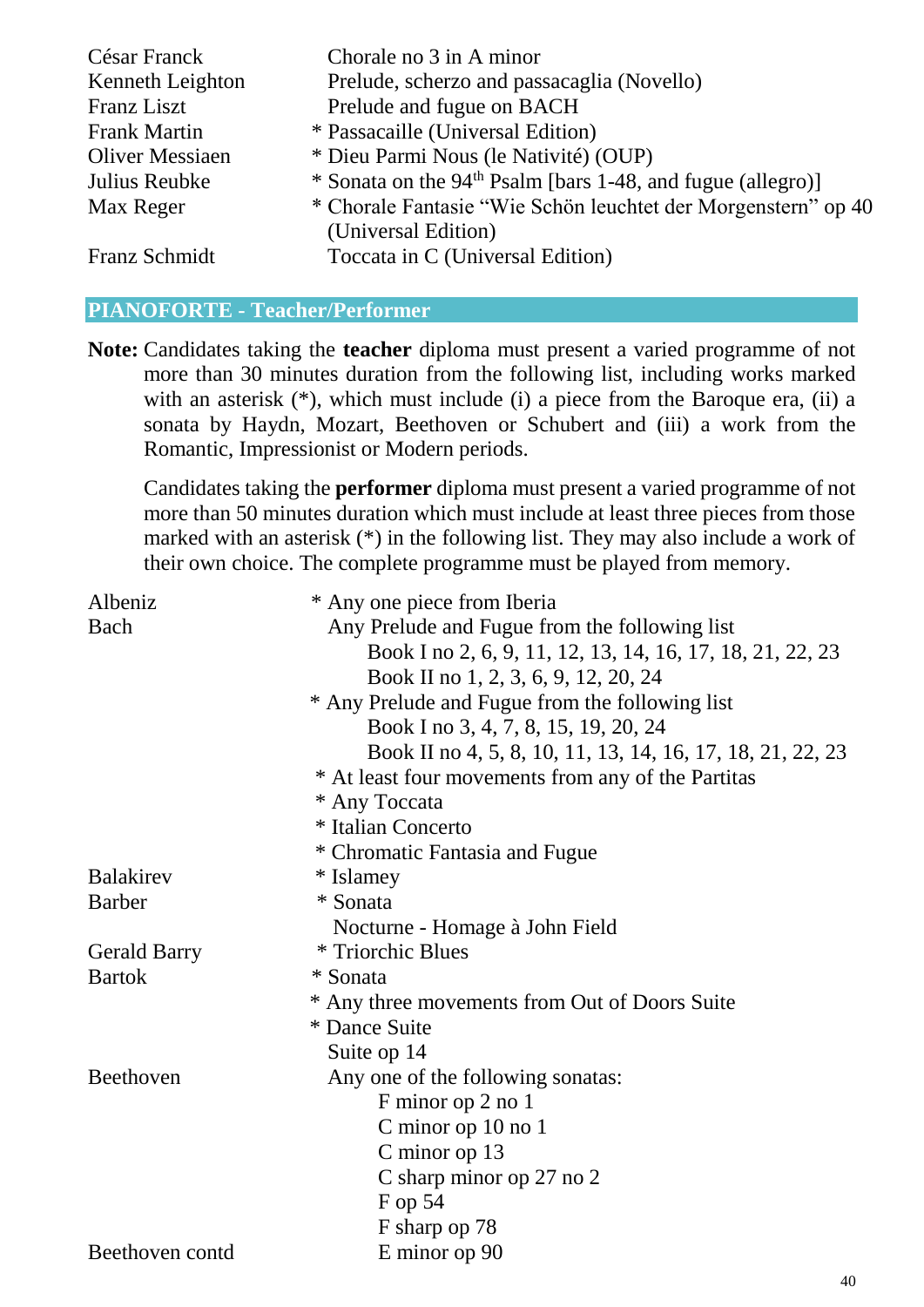| César Franck           | Chorale no 3 in A minor                                                 |
|------------------------|-------------------------------------------------------------------------|
| Kenneth Leighton       | Prelude, scherzo and passacaglia (Novello)                              |
| Franz Liszt            | Prelude and fugue on BACH                                               |
| <b>Frank Martin</b>    | * Passacaille (Universal Edition)                                       |
| <b>Oliver Messiaen</b> | * Dieu Parmi Nous (le Nativité) (OUP)                                   |
| Julius Reubke          | * Sonata on the 94 <sup>th</sup> Psalm [bars 1-48, and fugue (allegro)] |
| Max Reger              | * Chorale Fantasie "Wie Schön leuchtet der Morgenstern" op 40           |
|                        | (Universal Edition)                                                     |
| Franz Schmidt          | Toccata in C (Universal Edition)                                        |

#### **PIANOFORTE - Teacher/Performer**

**Note:** Candidates taking the **teacher** diploma must present a varied programme of not more than 30 minutes duration from the following list, including works marked with an asterisk  $(*)$ , which must include (i) a piece from the Baroque era, (ii) a sonata by Haydn, Mozart, Beethoven or Schubert and (iii) a work from the Romantic, Impressionist or Modern periods.

Candidates taking the **performer** diploma must present a varied programme of not more than 50 minutes duration which must include at least three pieces from those marked with an asterisk (\*) in the following list. They may also include a work of their own choice. The complete programme must be played from memory.

| Albeniz             | * Any one piece from Iberia                                |
|---------------------|------------------------------------------------------------|
| Bach                | Any Prelude and Fugue from the following list              |
|                     | Book I no 2, 6, 9, 11, 12, 13, 14, 16, 17, 18, 21, 22, 23  |
|                     | Book II no 1, 2, 3, 6, 9, 12, 20, 24                       |
|                     | * Any Prelude and Fugue from the following list            |
|                     | Book I no 3, 4, 7, 8, 15, 19, 20, 24                       |
|                     | Book II no 4, 5, 8, 10, 11, 13, 14, 16, 17, 18, 21, 22, 23 |
|                     | * At least four movements from any of the Partitas         |
|                     | * Any Toccata                                              |
|                     | * Italian Concerto                                         |
|                     | * Chromatic Fantasia and Fugue                             |
| <b>Balakirev</b>    | * Islamey                                                  |
| <b>Barber</b>       | * Sonata                                                   |
|                     | Nocturne - Homage à John Field                             |
| <b>Gerald Barry</b> | * Triorchic Blues                                          |
| <b>Bartok</b>       | * Sonata                                                   |
|                     | * Any three movements from Out of Doors Suite              |
|                     | * Dance Suite                                              |
|                     | Suite op 14                                                |
| Beethoven           | Any one of the following sonatas:                          |
|                     | F minor op 2 no 1                                          |
|                     | C minor op 10 no 1                                         |
|                     | C minor op $13$                                            |
|                     | C sharp minor op 27 no 2                                   |
|                     | F op 54                                                    |
|                     | F sharp op 78                                              |
| Beethoven contd     | E minor op 90                                              |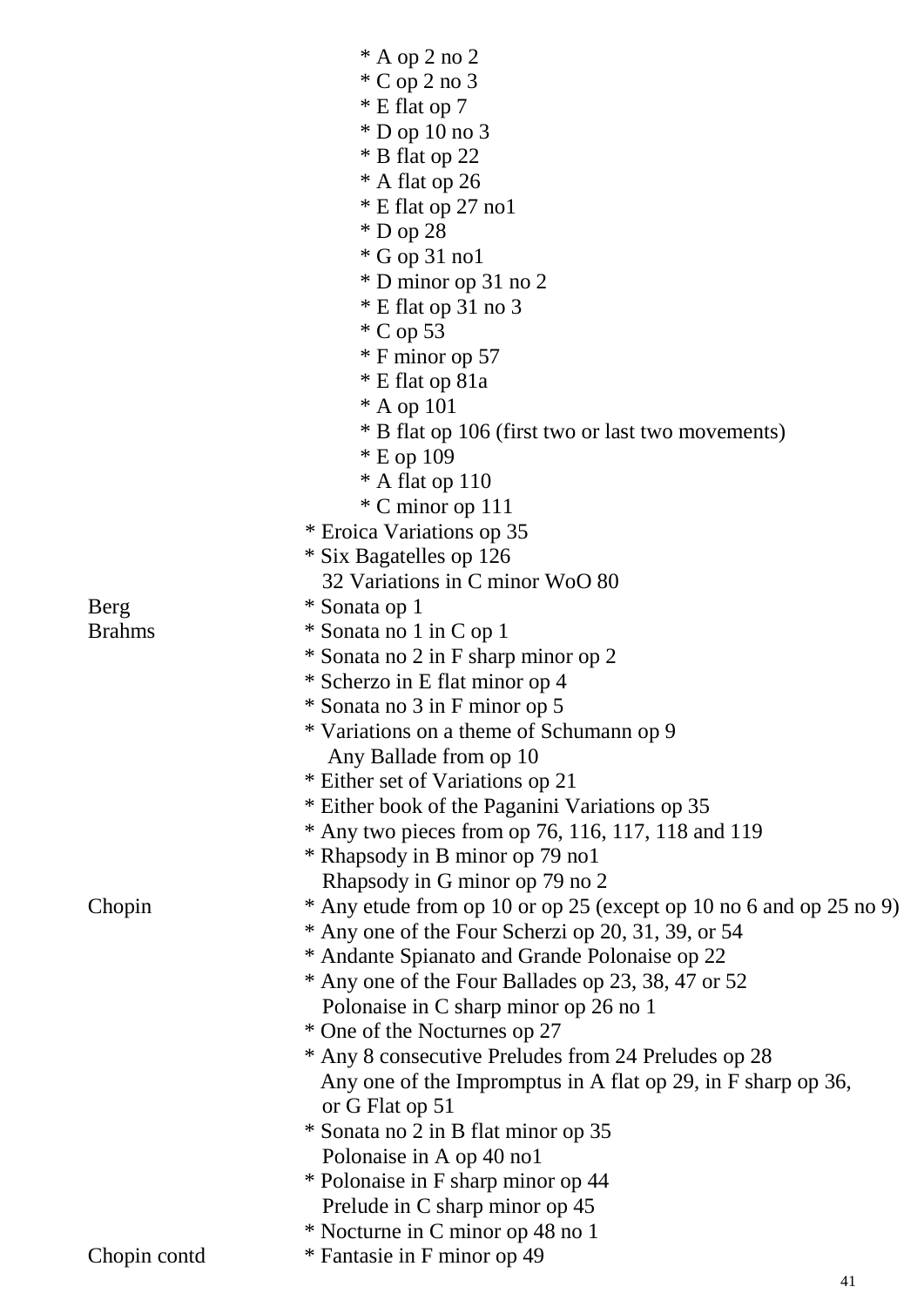|               | $*$ A op 2 no 2<br>$^*$ C op 2 no 3<br>* E flat op 7<br>$*$ D op 10 no 3<br>* B flat op 22<br>* A flat op 26<br>$*$ E flat op 27 no 1<br>$*$ D op 28<br>$*$ G op 31 no1<br>* D minor op 31 no 2<br>$*$ E flat op 31 no 3<br>$^*$ C op 53<br>* F minor op 57<br>* E flat op 81a<br>* A op 101<br>* B flat op 106 (first two or last two movements)<br>* E op 109 |
|---------------|-----------------------------------------------------------------------------------------------------------------------------------------------------------------------------------------------------------------------------------------------------------------------------------------------------------------------------------------------------------------|
|               | $*$ A flat op 110                                                                                                                                                                                                                                                                                                                                               |
|               | * C minor op 111                                                                                                                                                                                                                                                                                                                                                |
|               | * Eroica Variations op 35                                                                                                                                                                                                                                                                                                                                       |
|               | * Six Bagatelles op 126<br>32 Variations in C minor WoO 80                                                                                                                                                                                                                                                                                                      |
| Berg          |                                                                                                                                                                                                                                                                                                                                                                 |
| <b>Brahms</b> | * Sonata op 1<br>* Sonata no 1 in C op 1                                                                                                                                                                                                                                                                                                                        |
|               | * Sonata no 2 in F sharp minor op 2                                                                                                                                                                                                                                                                                                                             |
|               |                                                                                                                                                                                                                                                                                                                                                                 |
|               | * Scherzo in E flat minor op 4                                                                                                                                                                                                                                                                                                                                  |
|               | * Sonata no 3 in F minor op 5                                                                                                                                                                                                                                                                                                                                   |
|               | * Variations on a theme of Schumann op 9                                                                                                                                                                                                                                                                                                                        |
|               | Any Ballade from op 10                                                                                                                                                                                                                                                                                                                                          |
|               | * Either set of Variations op 21                                                                                                                                                                                                                                                                                                                                |
|               | * Either book of the Paganini Variations op 35                                                                                                                                                                                                                                                                                                                  |
|               | $*$ Any two pieces from op 76, 116, 117, 118 and 119                                                                                                                                                                                                                                                                                                            |
|               | * Rhapsody in B minor op 79 no1                                                                                                                                                                                                                                                                                                                                 |
|               | Rhapsody in G minor op 79 no 2                                                                                                                                                                                                                                                                                                                                  |
| Chopin        | * Any etude from op 10 or op 25 (except op 10 no 6 and op 25 no 9)<br>* Any one of the Four Scherzi op 20, 31, 39, or 54                                                                                                                                                                                                                                        |
|               | * Andante Spianato and Grande Polonaise op 22                                                                                                                                                                                                                                                                                                                   |
|               | * Any one of the Four Ballades op 23, 38, 47 or 52                                                                                                                                                                                                                                                                                                              |
|               | Polonaise in C sharp minor op 26 no 1                                                                                                                                                                                                                                                                                                                           |
|               | * One of the Nocturnes op 27                                                                                                                                                                                                                                                                                                                                    |
|               | * Any 8 consecutive Preludes from 24 Preludes op 28                                                                                                                                                                                                                                                                                                             |
|               | Any one of the Impromptus in A flat op 29, in F sharp op 36,                                                                                                                                                                                                                                                                                                    |
|               | or G Flat op 51                                                                                                                                                                                                                                                                                                                                                 |
|               | * Sonata no 2 in B flat minor op 35                                                                                                                                                                                                                                                                                                                             |
|               | Polonaise in A op 40 no1                                                                                                                                                                                                                                                                                                                                        |
|               | * Polonaise in F sharp minor op 44                                                                                                                                                                                                                                                                                                                              |
|               | Prelude in C sharp minor op 45                                                                                                                                                                                                                                                                                                                                  |
|               | * Nocturne in C minor op 48 no 1                                                                                                                                                                                                                                                                                                                                |
| Chopin contd  | * Fantasie in F minor op 49                                                                                                                                                                                                                                                                                                                                     |
|               | 41                                                                                                                                                                                                                                                                                                                                                              |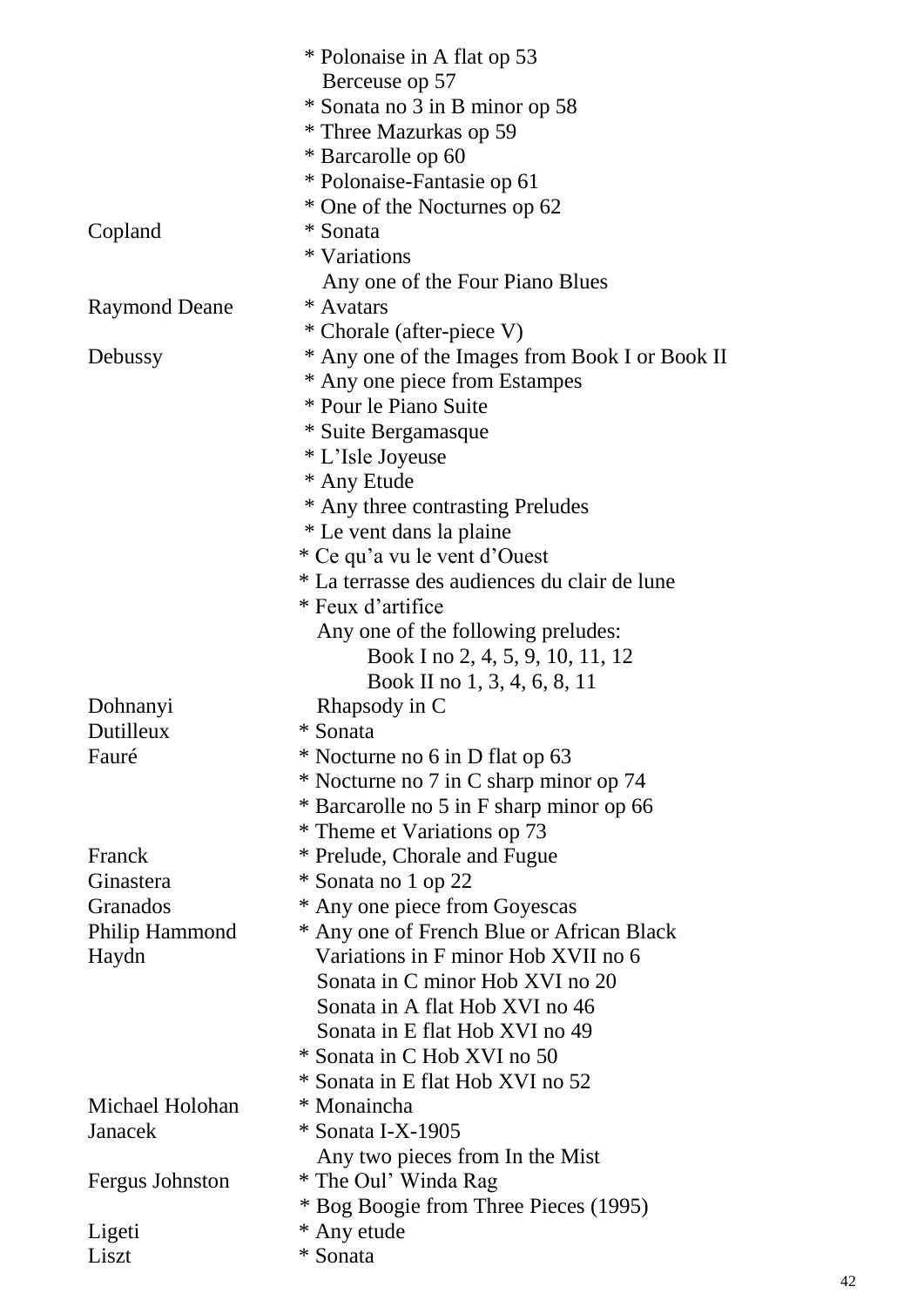|                        | * Polonaise in A flat op 53                    |
|------------------------|------------------------------------------------|
|                        | Berceuse op 57                                 |
|                        | * Sonata no 3 in B minor op 58                 |
|                        | * Three Mazurkas op 59                         |
|                        | * Barcarolle op 60                             |
|                        | * Polonaise-Fantasie op 61                     |
|                        | * One of the Nocturnes op 62                   |
| Copland                | * Sonata                                       |
|                        | * Variations                                   |
|                        | Any one of the Four Piano Blues                |
| <b>Raymond Deane</b>   | * Avatars                                      |
|                        | * Chorale (after-piece V)                      |
| Debussy                | * Any one of the Images from Book I or Book II |
|                        | * Any one piece from Estampes                  |
|                        | * Pour le Piano Suite                          |
|                        | * Suite Bergamasque                            |
|                        | * L'Isle Joyeuse                               |
|                        | * Any Etude                                    |
|                        | * Any three contrasting Preludes               |
|                        | * Le vent dans la plaine                       |
|                        | * Ce qu'a vu le vent d'Ouest                   |
|                        | * La terrasse des audiences du clair de lune   |
|                        | * Feux d'artifice                              |
|                        | Any one of the following preludes:             |
|                        | Book I no 2, 4, 5, 9, 10, 11, 12               |
|                        | Book II no 1, 3, 4, 6, 8, 11                   |
| Dohnanyi               | Rhapsody in C                                  |
| Dutilleux              | * Sonata                                       |
| Fauré                  | * Nocturne no 6 in D flat op 63                |
|                        | * Nocturne no 7 in C sharp minor op 74         |
|                        | * Barcarolle no 5 in F sharp minor op 66       |
|                        | * Theme et Variations op 73                    |
| Franck                 | * Prelude, Chorale and Fugue                   |
| Ginastera              | * Sonata no 1 op 22                            |
| Granados               | * Any one piece from Goyescas                  |
| Philip Hammond         | * Any one of French Blue or African Black      |
| Haydn                  | Variations in F minor Hob XVII no 6            |
|                        | Sonata in C minor Hob XVI no 20                |
|                        | Sonata in A flat Hob XVI no 46                 |
|                        | Sonata in E flat Hob XVI no 49                 |
|                        | * Sonata in C Hob XVI no 50                    |
|                        | * Sonata in E flat Hob XVI no 52               |
| Michael Holohan        | * Monaincha                                    |
| Janacek                | * Sonata I-X-1905                              |
|                        | Any two pieces from In the Mist                |
| <b>Fergus Johnston</b> | * The Oul' Winda Rag                           |
|                        | * Bog Boogie from Three Pieces (1995)          |
| Ligeti                 | * Any etude                                    |
| Liszt                  | * Sonata                                       |
|                        |                                                |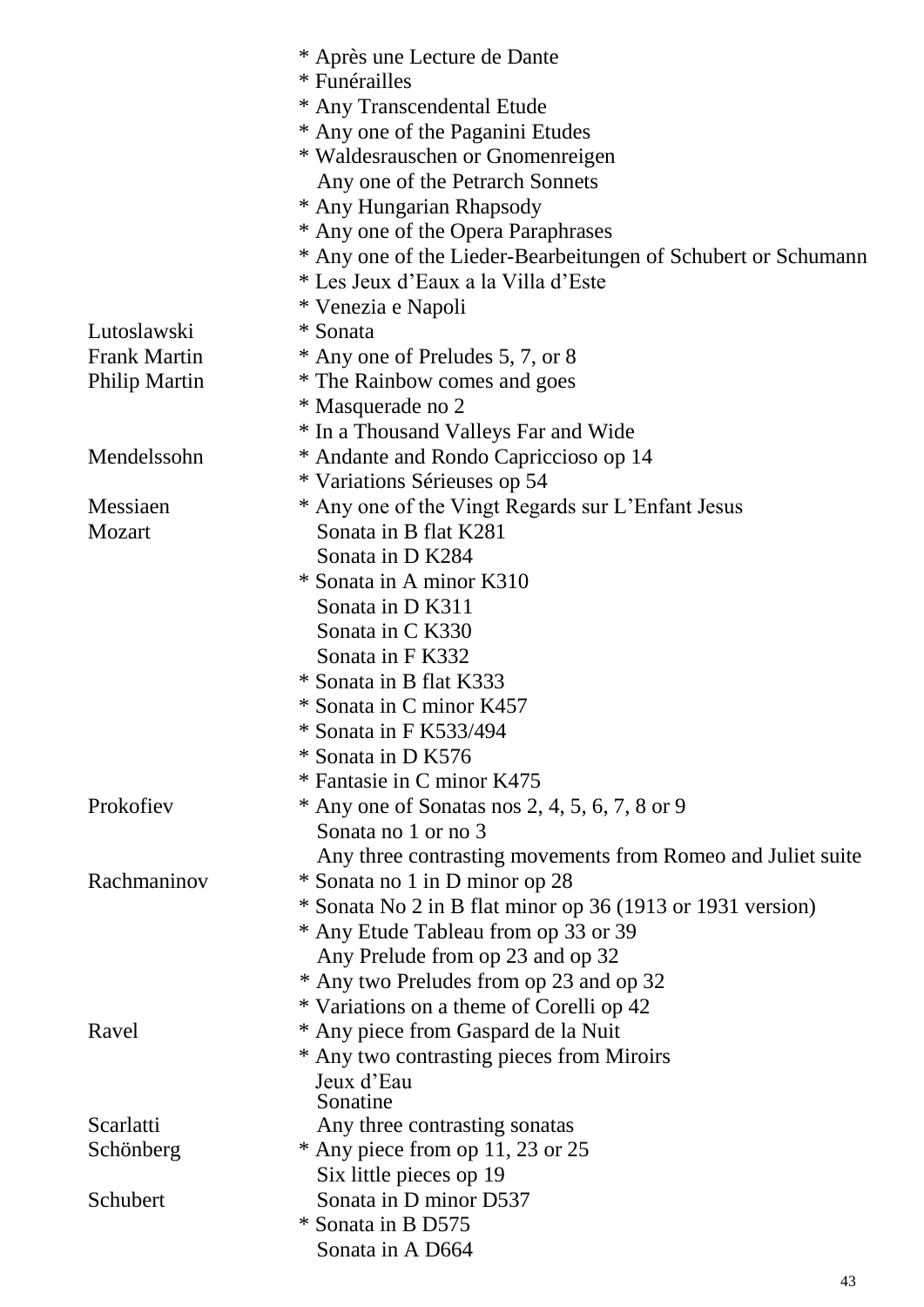|                     | * Après une Lecture de Dante                                  |
|---------------------|---------------------------------------------------------------|
|                     | * Funérailles                                                 |
|                     | * Any Transcendental Etude                                    |
|                     | * Any one of the Paganini Etudes                              |
|                     | * Waldesrauschen or Gnomenreigen                              |
|                     | Any one of the Petrarch Sonnets                               |
|                     | * Any Hungarian Rhapsody                                      |
|                     | * Any one of the Opera Paraphrases                            |
|                     | * Any one of the Lieder-Bearbeitungen of Schubert or Schumann |
|                     | * Les Jeux d'Eaux a la Villa d'Este                           |
|                     | * Venezia e Napoli                                            |
| Lutoslawski         | * Sonata                                                      |
| <b>Frank Martin</b> | * Any one of Preludes 5, 7, or 8                              |
| Philip Martin       | * The Rainbow comes and goes                                  |
|                     | * Masquerade no 2                                             |
|                     | * In a Thousand Valleys Far and Wide                          |
| Mendelssohn         | * Andante and Rondo Capriccioso op 14                         |
|                     | * Variations Sérieuses op 54                                  |
| Messiaen            | * Any one of the Vingt Regards sur L'Enfant Jesus             |
| Mozart              | Sonata in B flat K281                                         |
|                     | Sonata in D K284                                              |
|                     | * Sonata in A minor K310                                      |
|                     | Sonata in D K311                                              |
|                     | Sonata in C K330                                              |
|                     | Sonata in F K332                                              |
|                     | * Sonata in B flat K333                                       |
|                     | * Sonata in C minor K457                                      |
|                     | * Sonata in F K533/494                                        |
|                     | * Sonata in D K576                                            |
|                     | * Fantasie in C minor K475                                    |
| Prokofiev           | $*$ Any one of Sonatas nos 2, 4, 5, 6, 7, 8 or 9              |
|                     | Sonata no 1 or no 3                                           |
|                     | Any three contrasting movements from Romeo and Juliet suite   |
| Rachmaninov         | * Sonata no 1 in D minor op 28                                |
|                     | * Sonata No 2 in B flat minor op 36 (1913 or 1931 version)    |
|                     | * Any Etude Tableau from op 33 or 39                          |
|                     | Any Prelude from op 23 and op 32                              |
|                     | * Any two Preludes from op 23 and op 32                       |
|                     | * Variations on a theme of Corelli op 42                      |
| Ravel               | * Any piece from Gaspard de la Nuit                           |
|                     | * Any two contrasting pieces from Miroirs                     |
|                     | Jeux d'Eau                                                    |
|                     | Sonatine                                                      |
| Scarlatti           | Any three contrasting sonatas                                 |
| Schönberg           | $*$ Any piece from op 11, 23 or 25                            |
|                     | Six little pieces op 19                                       |
| Schubert            | Sonata in D minor D537                                        |
|                     | * Sonata in B D575                                            |
|                     | Sonata in A D664                                              |

43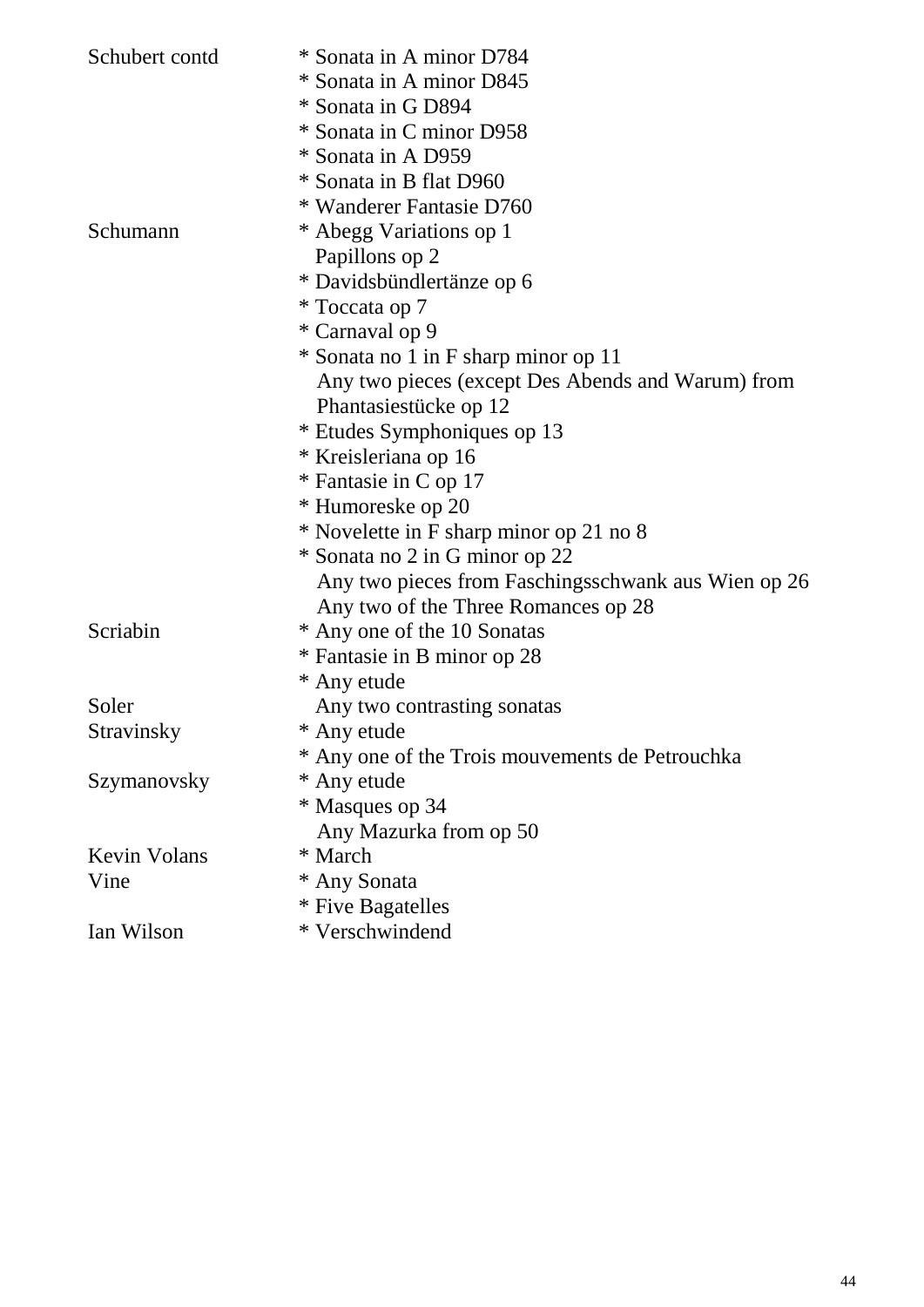| Schubert contd      | * Sonata in A minor D784                                                                   |
|---------------------|--------------------------------------------------------------------------------------------|
|                     | * Sonata in A minor D845                                                                   |
|                     | * Sonata in G D894                                                                         |
|                     | * Sonata in C minor D958                                                                   |
|                     | * Sonata in A D959                                                                         |
|                     | * Sonata in B flat D960<br>* Wanderer Fantasie D760                                        |
|                     |                                                                                            |
| Schumann            | * Abegg Variations op 1                                                                    |
|                     | Papillons op 2                                                                             |
|                     | * Davidsbündlertänze op 6                                                                  |
|                     | * Toccata op 7                                                                             |
|                     | * Carnaval op 9                                                                            |
|                     | * Sonata no 1 in F sharp minor op 11                                                       |
|                     | Any two pieces (except Des Abends and Warum) from                                          |
|                     | Phantasiestücke op 12                                                                      |
|                     | * Etudes Symphoniques op 13                                                                |
|                     | * Kreisleriana op 16                                                                       |
|                     | * Fantasie in C op 17                                                                      |
|                     | * Humoreske op 20                                                                          |
|                     | * Novelette in F sharp minor op 21 no 8                                                    |
|                     | * Sonata no 2 in G minor op 22                                                             |
|                     | Any two pieces from Faschingsschwank aus Wien op 26<br>Any two of the Three Romances op 28 |
| Scriabin            | * Any one of the 10 Sonatas                                                                |
|                     | * Fantasie in B minor op 28                                                                |
|                     | * Any etude                                                                                |
| Soler               | Any two contrasting sonatas                                                                |
| Stravinsky          | * Any etude                                                                                |
|                     | * Any one of the Trois mouvements de Petrouchka                                            |
| Szymanovsky         | * Any etude                                                                                |
|                     | * Masques op 34                                                                            |
|                     | Any Mazurka from op 50                                                                     |
| <b>Kevin Volans</b> | * March                                                                                    |
| Vine                | * Any Sonata                                                                               |
|                     | * Five Bagatelles                                                                          |
| Ian Wilson          | * Verschwindend                                                                            |
|                     |                                                                                            |